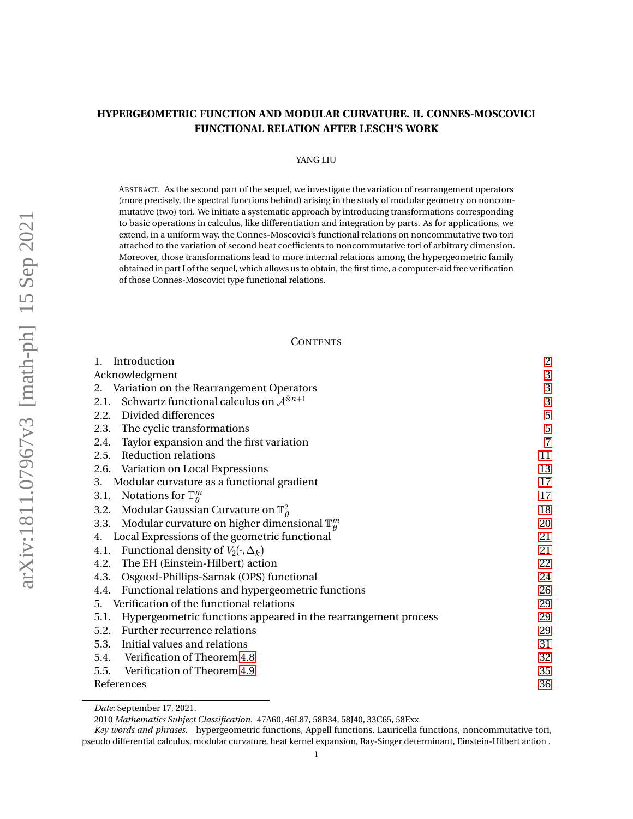# **HYPERGEOMETRIC FUNCTION AND MODULAR CURVATURE. II. CONNES-MOSCOVICI FUNCTIONAL RELATION AFTER LESCH'S WORK**

### YANG LIU

ABSTRACT. As the second part of the sequel, we investigate the variation of rearrangement operators (more precisely, the spectral functions behind) arising in the study of modular geometry on noncommutative (two) tori. We initiate a systematic approach by introducing transformations corresponding to basic operations in calculus, like differentiation and integration by parts. As for applications, we extend, in a uniform way, the Connes-Moscovici's functional relations on noncommutative two tori attached to the variation of second heat coefficients to noncommutative tori of arbitrary dimension. Moreover, those transformations lead to more internal relations among the hypergeometric family obtained in part I of the sequel, which allows us to obtain, the first time, a computer-aid free verification of those Connes-Moscovici type functional relations.

## **CONTENTS**

| Introduction                                                        | $\overline{c}$ |
|---------------------------------------------------------------------|----------------|
| Acknowledgment                                                      | 3              |
| 2. Variation on the Rearrangement Operators                         | $\sqrt{3}$     |
| 2.1. Schwartz functional calculus on $A^{\bar{\otimes}n+1}$         | 3              |
| 2.2. Divided differences                                            | $\overline{5}$ |
| 2.3. The cyclic transformations                                     | 5              |
| 2.4. Taylor expansion and the first variation                       | $\overline{7}$ |
| 2.5. Reduction relations                                            | 11             |
| 2.6. Variation on Local Expressions                                 | 13             |
| 3. Modular curvature as a functional gradient                       | 17             |
| 3.1. Notations for $\mathbb{T}_\theta^m$                            | 17             |
| 3.2. Modular Gaussian Curvature on $\mathbb{T}_\theta^2$            | 18             |
| 3.3. Modular curvature on higher dimensional $\mathbb{T}_q^m$       | 20             |
| 4. Local Expressions of the geometric functional                    | 21             |
| 4.1. Functional density of $V_2(\cdot, \Delta_k)$                   | 21             |
| 4.2. The EH (Einstein-Hilbert) action                               | 22             |
| 4.3. Osgood-Phillips-Sarnak (OPS) functional                        | 24             |
| 4.4. Functional relations and hypergeometric functions              | 26             |
| 5. Verification of the functional relations                         | 29             |
| 5.1. Hypergeometric functions appeared in the rearrangement process | 29             |
| 5.2. Further recurrence relations                                   | 29             |
| 5.3. Initial values and relations                                   | 31             |
| 5.4. Verification of Theorem 4.8                                    | 32             |
| 5.5. Verification of Theorem 4.9                                    | 35             |
| References                                                          | 36             |

*Date*: September 17, 2021.

<sup>2010</sup> *Mathematics Subject Classification.* 47A60, 46L87, 58B34, 58J40, 33C65, 58Exx.

*Key words and phrases.* hypergeometric functions, Appell functions, Lauricella functions, noncommutative tori, pseudo differential calculus, modular curvature, heat kernel expansion, Ray-Singer determinant, Einstein-Hilbert action .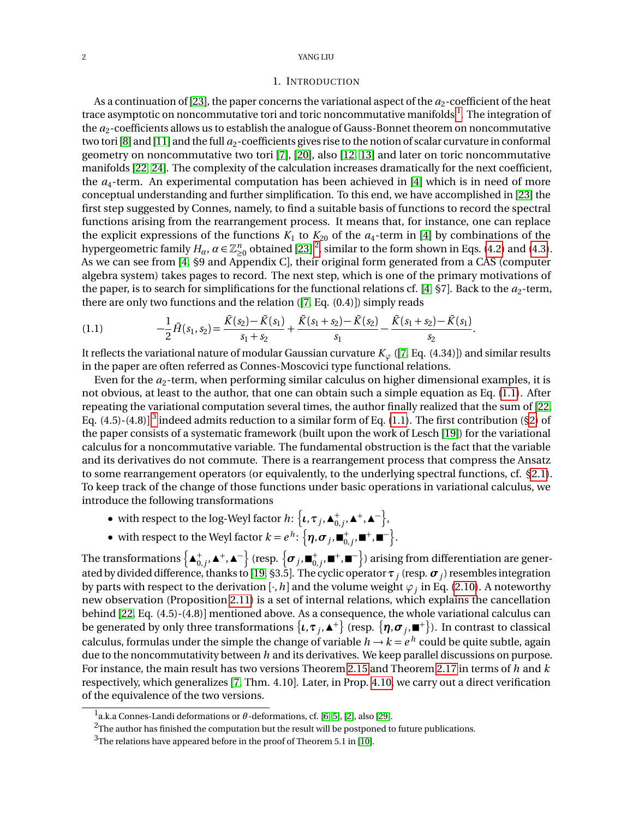#### <span id="page-1-0"></span>2 YANG LIU

#### 1. INTRODUCTION

As a continuation of [[23](#page-36-0)], the paper concerns the variational aspect of the  $a_2$ -coefficient of the heat trace asymptotic on noncommutative tori and toric noncommutative manifolds  $^{\rm l}$  . The integration of the *a*<sup>2</sup> -coefficients allows us to establish the analogue of Gauss-Bonnet theorem on noncommutative two tori [[8](#page-35-1)] and [[11](#page-35-2)] and the full  $a_2$ -coefficients gives rise to the notion of scalar curvature in conformal geometry on noncommutative two tori [[7](#page-35-3)], [[20](#page-35-4)], also [[12,](#page-35-5) [13](#page-35-6)] and later on toric noncommutative manifolds [[22,](#page-36-1) [24](#page-36-2)]. The complexity of the calculation increases dramatically for the next coefficient, the *a*<sup>4</sup> -term. An experimental computation has been achieved in [[4](#page-35-7)] which is in need of more conceptual understanding and further simplification. To this end, we have accomplished in [[23](#page-36-0)] the first step suggested by Connes, namely, to find a suitable basis of functions to record the spectral functions arising from the rearrangement process. It means that, for instance, one can replace the explicit expressions of the functions  $K_1$  to  $K_{20}$  of the  $a_4$  $a_4$ -term in [4] by combinations of the hypergeometric family  $H_\alpha$ ,  $\alpha \in \mathbb{Z}_{\geq 0}^n$  obtained [[23](#page-36-0)] <sup>[2](#page-1-2)</sup>, similar to the form shown in Eqs. [\(4.2\)](#page-21-1) and [\(4.3\)](#page-21-2). As we can see from [[4,](#page-35-7) §9 and Appendix C], their original form generated from a CAS (computer algebra system) takes pages to record. The next step, which is one of the primary motivations of the paper, is to search for simplifications for the functional relations cf. [[4,](#page-35-7)  $\S7$ ]. Back to the  $a_2$ -term, there are only two functions and the relation ([[7,](#page-35-3) Eq. (0.4)]) simply reads

<span id="page-1-3"></span>
$$
(1.1) \qquad \qquad -\frac{1}{2}\tilde{H}(s_1,s_2) = \frac{\tilde{K}(s_2) - \tilde{K}(s_1)}{s_1 + s_2} + \frac{\tilde{K}(s_1 + s_2) - \tilde{K}(s_2)}{s_1} - \frac{\tilde{K}(s_1 + s_2) - \tilde{K}(s_1)}{s_2}.
$$

It reflects the variational nature of modular Gaussian curvature  $K_{\varphi}$  ([[7,](#page-35-3) Eq. (4.34)]) and similar results in the paper are often referred as Connes-Moscovici type functional relations.

Even for the  $a_2$ -term, when performing similar calculus on higher dimensional examples, it is not obvious, at least to the author, that one can obtain such a simple equation as Eq. [\(1.1\)](#page-1-3). After repeating the variational computation several times, the author finally realized that the sum of [[22,](#page-36-1) Eq. (4.5)-(4.8)]  $^3$  $^3$  indeed admits reduction to a similar form of Eq. [\(1.1\)](#page-1-3). The first contribution ([§2\)](#page-2-1) of the paper consists of a systematic framework (built upon the work of Lesch [[19](#page-35-8)]) for the variational calculus for a noncommutative variable. The fundamental obstruction is the fact that the variable and its derivatives do not commute. There is a rearrangement process that compress the Ansatz to some rearrangement operators (or equivalently, to the underlying spectral functions, cf. [§2.1\)](#page-2-2). To keep track of the change of those functions under basic operations in variational calculus, we introduce the following transformations

- $\bullet \text{ with respect to the log-Weyl factor } h \colon \left\{ \iota, \tau_j, \blacktriangle^+_{0,j}, \blacktriangle^+, \blacktriangle^- \right\},$
- with respect to the Weyl factor  $k = e^h$ :  $\left\{\boldsymbol{\eta}, \boldsymbol{\sigma}_j, \blacksquare^+, \blacksquare^-\right\}.$

The transformations  $\left\{\blacktriangle^+_{0,j},\blacktriangle^+,\blacktriangle^- \right\}$  (resp.  $\left\{\bm\sigma_j,\blacksquare^+_{0,j},\blacksquare^+,\blacksquare^- \right\}$ ) arising from differentiation are generated by divided difference, thanks to [[19,](#page-35-8) §3.5]. The cyclic operator*τ<sup>j</sup>* (resp. *σ<sup>j</sup>* ) resembles integration by parts with respect to the derivation  $[\cdot,h]$  and the volume weight  $\varphi_j$  in Eq. [\(2.10\)](#page-4-2). A noteworthy new observation (Proposition [2.11\)](#page-10-1) is a set of internal relations, which explains the cancellation behind [[22,](#page-36-1) Eq. (4.5)-(4.8)] mentioned above. As a consequence, the whole variational calculus can be generated by only three transformations  $\{\iota,\tau_j,$   $\blacktriangle^+\}$  (resp.  $\{\eta,\bm{\sigma}_j,$   $\blacksquare^+\}$ ). In contrast to classical calculus, formulas under the simple the change of variable  $h \to k = e^{\,h}$  could be quite subtle, again due to the noncommutativity between *h* and its derivatives. We keep parallel discussions on purpose. For instance, the main result has two versions Theorem [2.15](#page-13-0) and Theorem [2.17](#page-14-0) in terms of *h* and *k* respectively, which generalizes [[7,](#page-35-3) Thm. 4.10]. Later, in Prop. [4.10,](#page-26-2) we carry out a direct verification of the equivalence of the two versions.

<span id="page-1-1"></span><sup>1</sup> a.k.a Connes-Landi deformations or *θ* -deformations, cf. [[6,](#page-35-9) [5](#page-35-10)], [[2](#page-35-11)], also [[29](#page-36-3)].

<span id="page-1-2"></span> $2$ The author has finished the computation but the result will be postponed to future publications.

<span id="page-1-4"></span> $3$ The relations have appeared before in the proof of Theorem 5.1 in [[10](#page-35-12)].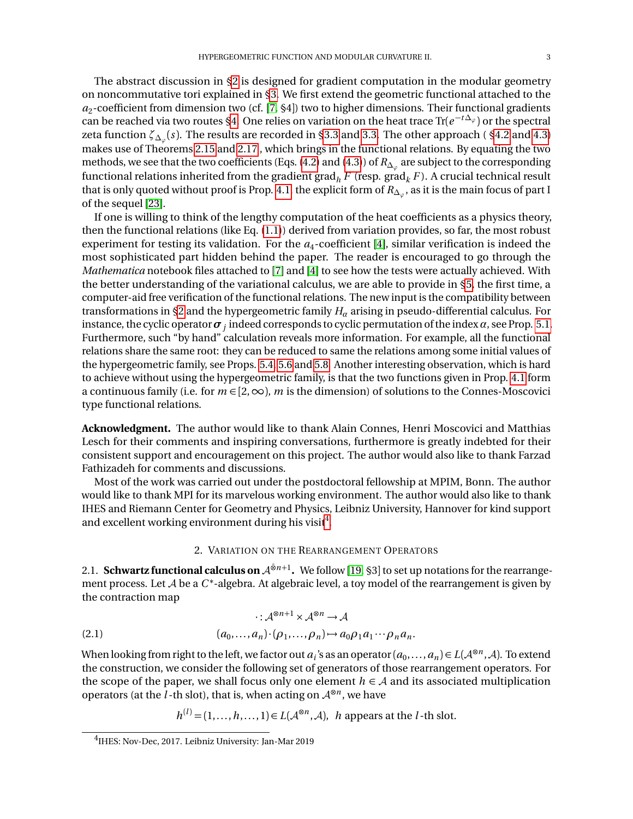The abstract discussion in [§2](#page-2-1) is designed for gradient computation in the modular geometry on noncommutative tori explained in [§3.](#page-16-0) We first extend the geometric functional attached to the *a*2 -coefficient from dimension two (cf. [[7,](#page-35-3) §4]) two to higher dimensions. Their functional gradients can be reached via two routes [§4.](#page-20-0) One relies on variation on the heat trace Tr(*e* <sup>−</sup>*<sup>t</sup>* <sup>∆</sup>*<sup>ϕ</sup>* ) or the spectral zeta function *ζ*∆*<sup>ϕ</sup>* (*s*). The results are recorded in [§3.3](#page-19-0) and [3.3.](#page-19-0) The other approach ( [§4.2](#page-21-0) and [4.3\)](#page-23-0) makes use of Theorems [2.15](#page-13-0) and [2.17](#page-14-0) , which brings in the functional relations. By equating the two methods, we see that the two coefficients (Eqs. [\(4.2\)](#page-21-1) and [\(4.3\)](#page-21-2)) of  $R_{\Delta_\varphi}$  are subject to the corresponding functional relations inherited from the gradient grad<sub>h</sub>  $F$  (resp. grad<sub>k</sub>  $F$ ). A crucial technical result that is only quoted without proof is Prop. [4.1,](#page-20-2) the explicit form of  $R_{\Delta_\varphi}$ , as it is the main focus of part I of the sequel [[23](#page-36-0)].

If one is willing to think of the lengthy computation of the heat coefficients as a physics theory, then the functional relations (like Eq. [\(1.1\)](#page-1-3)) derived from variation provides, so far, the most robust experiment for testing its validation. For the  $a_4$  $a_4$ -coefficient [4], similar verification is indeed the most sophisticated part hidden behind the paper. The reader is encouraged to go through the *Mathematica* notebook files attached to [[7](#page-35-3)] and [[4](#page-35-7)] to see how the tests were actually achieved. With the better understanding of the variational calculus, we are able to provide in [§5,](#page-28-0) the first time, a computer-aid free verification of the functional relations. The new input is the compatibility between transformations in [§2](#page-2-1) and the hypergeometric family *H<sup>α</sup>* arising in pseudo-differential calculus. For instance, the cyclic operator  $\bm{\sigma}_j$  indeed corresponds to cyclic permutation of the index  $\alpha$ , see Prop. [5.1.](#page-29-0) Furthermore, such "by hand" calculation reveals more information. For example, all the functional relations share the same root: they can be reduced to same the relations among some initial values of the hypergeometric family, see Props. [5.4,](#page-32-0) [5.6](#page-33-0) and [5.8.](#page-34-1) Another interesting observation, which is hard to achieve without using the hypergeometric family, is that the two functions given in Prop. [4.1](#page-20-2) form a continuous family (i.e. for  $m \in [2, \infty)$ , *m* is the dimension) of solutions to the Connes-Moscovici type functional relations.

<span id="page-2-0"></span>**Acknowledgment.** The author would like to thank Alain Connes, Henri Moscovici and Matthias Lesch for their comments and inspiring conversations, furthermore is greatly indebted for their consistent support and encouragement on this project. The author would also like to thank Farzad Fathizadeh for comments and discussions.

Most of the work was carried out under the postdoctoral fellowship at MPIM, Bonn. The author would like to thank MPI for its marvelous working environment. The author would also like to thank IHES and Riemann Center for Geometry and Physics, Leibniz University, Hannover for kind support and excellent working environment during his visit $^4\!.$  $^4\!.$  $^4\!.$ 

### 2. VARIATION ON THE REARRANGEMENT OPERATORS

<span id="page-2-2"></span><span id="page-2-1"></span>2.1. **Schwartz functional calculus on A®n+1.** We follow [[19,](#page-35-8) §3] to set up notations for the rearrangement process. Let A be a C<sup>\*</sup>-algebra. At algebraic level, a toy model of the rearrangement is given by the contraction map

$$
\therefore \mathcal{A}^{\otimes n+1} \times \mathcal{A}^{\otimes n} \to \mathcal{A}
$$
  
(2.1) 
$$
(a_0, \dots, a_n) \cdot (\rho_1, \dots, \rho_n) \to a_0 \rho_1 a_1 \cdots \rho_n a_n.
$$

When looking from right to the left, we factor out  $a_i$ 's as an operator  $(a_0,\ldots,a_n)\!\in L(\mathcal{A}^{\otimes n},\mathcal{A})$ . To extend the construction, we consider the following set of generators of those rearrangement operators. For the scope of the paper, we shall focus only one element  $h \in A$  and its associated multiplication operators (at the  $\overline{l}$ -th slot), that is, when acting on  $\mathcal{A}^{\otimes n}$ , we have

 $h^{(l)} = (1, \ldots, h, \ldots, 1) \in L(\mathcal{A}^{\otimes n}, \mathcal{A})$ , *h* appears at the *l*-th slot.

<span id="page-2-3"></span><sup>4</sup> IHES: Nov-Dec, 2017. Leibniz University: Jan-Mar 2019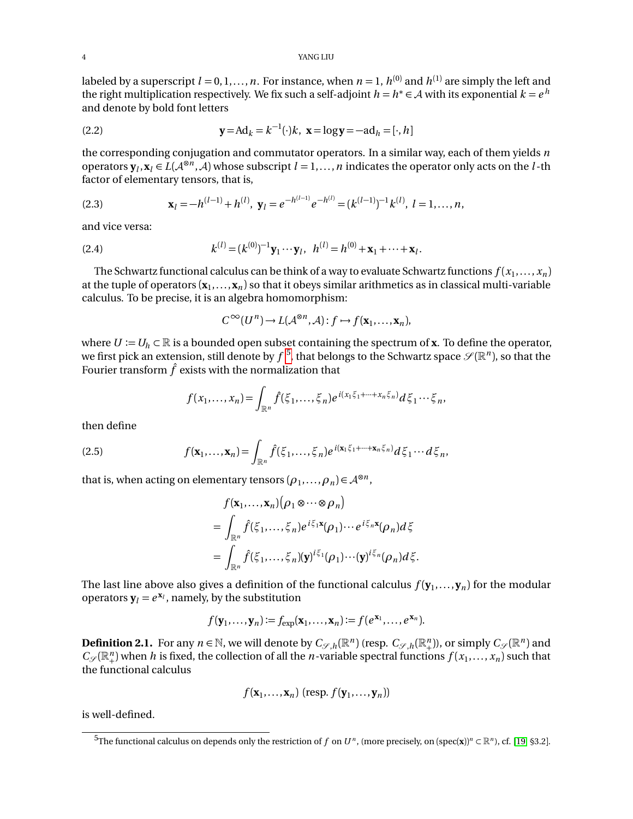labeled by a superscript  $l = 0, 1, ..., n$ . For instance, when  $n = 1$ ,  $h^{(0)}$  and  $h^{(1)}$  are simply the left and the right multiplication respectively. We fix such a self-adjoint  $h = h^* \in A$  with its exponential  $k = e^h$ and denote by bold font letters

<span id="page-3-1"></span>(2.2) 
$$
\mathbf{y} = \text{Ad}_k = k^{-1}(\cdot)k, \ \mathbf{x} = \log \mathbf{y} = -\text{ad}_h = [\cdot, h]
$$

the corresponding conjugation and commutator operators. In a similar way, each of them yields *n* operators  $\mathbf{y}_l$ ,  $\mathbf{x}_l \in L(\mathcal{A}^{\otimes n}, \mathcal{A})$  whose subscript  $l = 1, ..., n$  indicates the operator only acts on the *l*-th factor of elementary tensors, that is,

<span id="page-3-4"></span>(2.3) 
$$
\mathbf{x}_l = -h^{(l-1)} + h^{(l)}, \ \mathbf{y}_l = e^{-h^{(l-1)}} e^{-h^{(l)}} = (k^{(l-1)})^{-1} k^{(l)}, \ l = 1, ..., n,
$$

and vice versa:

<span id="page-3-2"></span>(2.4) 
$$
k^{(l)} = (k^{(0)})^{-1} \mathbf{y}_1 \cdots \mathbf{y}_l, \ \ h^{(l)} = h^{(0)} + \mathbf{x}_1 + \cdots + \mathbf{x}_l.
$$

The Schwartz functional calculus can be think of a way to evaluate Schwartz functions  $f(x_1,...,x_n)$ at the tuple of operators  $(\mathbf{x}_1, \dots, \mathbf{x}_n)$  so that it obeys similar arithmetics as in classical multi-variable calculus. To be precise, it is an algebra homomorphism:

$$
C^{\infty}(U^n) \to L(\mathcal{A}^{\otimes n}, \mathcal{A}): f \mapsto f(\mathbf{x}_1, \dots, \mathbf{x}_n),
$$

where  $U := U_h \subset \mathbb{R}$  is a bounded open subset containing the spectrum of **x**. To define the operator, we first pick an extension, still denote by  $f$  <sup>[5](#page-3-0)</sup>, that belongs to the Schwartz space  $\mathscr{S}(\mathbb{R}^n)$ , so that the Fourier transform  $\hat{f}$  exists with the normalization that

$$
f(x_1,\ldots,x_n)=\int_{\mathbb{R}^n}\hat{f}(\xi_1,\ldots,\xi_n)e^{i(x_1\xi_1+\cdots+x_n\xi_n)}d\xi_1\cdots\xi_n,
$$

then define

<span id="page-3-3"></span>(2.5) 
$$
f(\mathbf{x}_1,\ldots,\mathbf{x}_n)=\int_{\mathbb{R}^n}\hat{f}(\xi_1,\ldots,\xi_n)e^{i(\mathbf{x}_1\xi_1+\cdots+\mathbf{x}_n\xi_n)}d\xi_1\cdots d\xi_n,
$$

that is, when acting on elementary tensors  $(\rho_1, ..., \rho_n)$   $\in$   $\mathcal{A}^{\otimes n}$ ,

$$
f(\mathbf{x}_1,...,\mathbf{x}_n)(\rho_1 \otimes \cdots \otimes \rho_n)
$$
  
= 
$$
\int_{\mathbb{R}^n} \hat{f}(\xi_1,...,\xi_n) e^{i\xi_1 \mathbf{x}}(\rho_1) \cdots e^{i\xi_n \mathbf{x}}(\rho_n) d\xi
$$
  
= 
$$
\int_{\mathbb{R}^n} \hat{f}(\xi_1,...,\xi_n) (\mathbf{y})^{i\xi_1}(\rho_1) \cdots (\mathbf{y})^{i\xi_n}(\rho_n) d\xi.
$$

The last line above also gives a definition of the functional calculus  $f(\mathbf{y}_1, \dots, \mathbf{y}_n)$  for the modular operators  $y_l = e^{x_l}$ , namely, by the substitution

$$
f(\mathbf{y}_1,\ldots,\mathbf{y}_n):=f_{\exp}(\mathbf{x}_1,\ldots,\mathbf{x}_n):=f(e^{\mathbf{x}_1},\ldots,e^{\mathbf{x}_n}).
$$

**Definition 2.1.** For any  $n \in \mathbb{N}$ , we will denote by  $C_{\mathscr{S},h}(\mathbb{R}^n)$  (resp.  $C_{\mathscr{S},h}(\mathbb{R}^n_+)$ ), or simply  $C_{\mathscr{S}}(\mathbb{R}^n)$  and  $C_{\mathscr{S}}(\mathbb{R}^n_+)$  when *h* is fixed, the collection of all the *n*-variable spectral functions  $f(x_1,...,x_n)$  such that the functional calculus

$$
f(\mathbf{x}_1,\ldots,\mathbf{x}_n)
$$
 (resp.  $f(\mathbf{y}_1,\ldots,\mathbf{y}_n)$ )

is well-defined.

<span id="page-3-0"></span> $^{5}$ The functional calculus on depends only the restriction of  $f$  on  $U^n$ , (more precisely, on (spec(**x**))<sup>n</sup> ⊂  $\R^n$ ), cf. [[19,](#page-35-8) §3.2].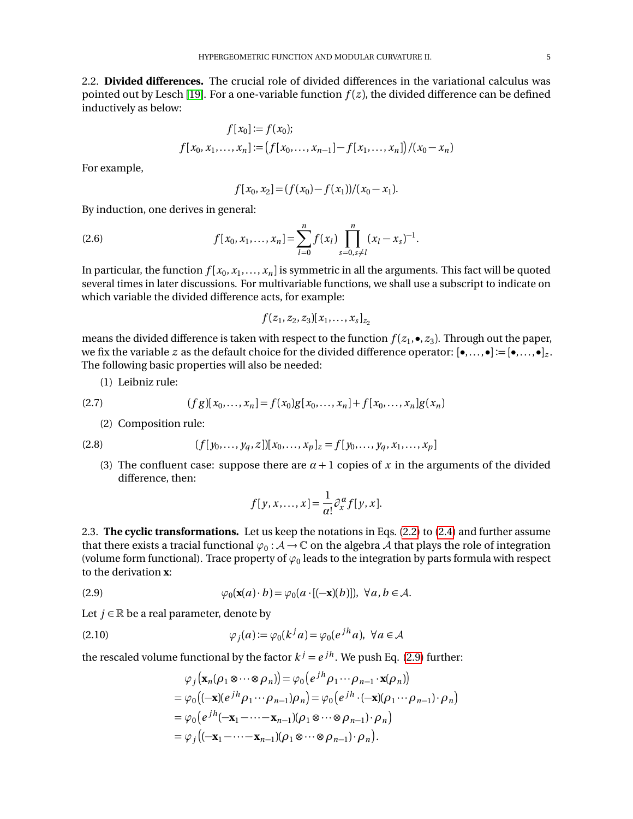<span id="page-4-0"></span>2.2. **Divided differences.** The crucial role of divided differences in the variational calculus was pointed out by Lesch [[19](#page-35-8)]. For a one-variable function  $f(z)$ , the divided difference can be defined inductively as below:

$$
f[x_0] := f(x_0);
$$
  

$$
f[x_0, x_1, ..., x_n] := (f[x_0, ..., x_{n-1}] - f[x_1, ..., x_n]) / (x_0 - x_n)
$$

For example,

$$
f[x_0, x_2] = (f(x_0) - f(x_1))/(x_0 - x_1).
$$

By induction, one derives in general:

(2.6) 
$$
f[x_0, x_1, ..., x_n] = \sum_{l=0}^n f(x_l) \prod_{s=0, s \neq l}^n (x_l - x_s)^{-1}.
$$

In particular, the function  $f[x_0,x_1,\ldots,x_n]$  is symmetric in all the arguments. This fact will be quoted several times in later discussions. For multivariable functions, we shall use a subscript to indicate on which variable the divided difference acts, for example:

$$
f(z_1, z_2, z_3)[x_1, \ldots, x_s]_{z_2}
$$

means the divided difference is taken with respect to the function  $f(z_1, \bullet, z_3)$ . Through out the paper, we fix the variable  $z$  as the default choice for the divided difference operator:  $[\bullet, \ldots, \bullet] := [\bullet, \ldots, \bullet]_z$ . The following basic properties will also be needed:

(1) Leibniz rule:

(2.7) 
$$
(fg)[x_0, ..., x_n] = f(x_0)g[x_0, ..., x_n] + f[x_0, ..., x_n]g(x_n)
$$

(2) Composition rule:

(2.8) 
$$
(f[y_0, \ldots, y_q, z])[x_0, \ldots, x_p]_z = f[y_0, \ldots, y_q, x_1, \ldots, x_p]
$$

(3) The confluent case: suppose there are  $\alpha + 1$  copies of x in the arguments of the divided difference, then:

$$
f[y, x, \ldots, x] = \frac{1}{\alpha!} \partial_x^{\alpha} f[y, x].
$$

<span id="page-4-1"></span>2.3. **The cyclic transformations.** Let us keep the notations in Eqs. [\(2.2\)](#page-3-1) to [\(2.4\)](#page-3-2) and further assume that there exists a tracial functional  $\varphi_0: \mathcal{A} \to \mathbb{C}$  on the algebra  $\mathcal{A}$  that plays the role of integration (volume form functional). Trace property of  $\varphi_0$  leads to the integration by parts formula with respect to the derivation **x**:

<span id="page-4-3"></span>(2.9) 
$$
\varphi_0(\mathbf{x}(a)\cdot b) = \varphi_0(a\cdot [(-\mathbf{x})(b)]), \ \forall a, b \in \mathcal{A}.
$$

Let  $j \in \mathbb{R}$  be a real parameter, denote by

<span id="page-4-2"></span>(2.10) 
$$
\varphi_j(a) := \varphi_0(k^j a) = \varphi_0(e^{jh} a), \ \forall a \in \mathcal{A}
$$

the rescaled volume functional by the factor  $k^j = e^{jh}$ . We push Eq. [\(2.9\)](#page-4-3) further:

$$
\varphi_j\left(\mathbf{x}_n(\rho_1 \otimes \cdots \otimes \rho_n)\right) = \varphi_0\left(e^{jh}\rho_1 \cdots \rho_{n-1} \cdot \mathbf{x}(\rho_n)\right)
$$
  
=  $\varphi_0\left(\left(-\mathbf{x}\right)(e^{jh}\rho_1 \cdots \rho_{n-1})\rho_n\right) = \varphi_0\left(e^{jh} \cdot \left(-\mathbf{x}\right)(\rho_1 \cdots \rho_{n-1}) \cdot \rho_n\right)$   
=  $\varphi_0\left(e^{jh}(-\mathbf{x}_1 - \cdots - \mathbf{x}_{n-1})(\rho_1 \otimes \cdots \otimes \rho_{n-1}) \cdot \rho_n\right)$   
=  $\varphi_j\left(\left(-\mathbf{x}_1 - \cdots - \mathbf{x}_{n-1})(\rho_1 \otimes \cdots \otimes \rho_{n-1}) \cdot \rho_n\right)\right).$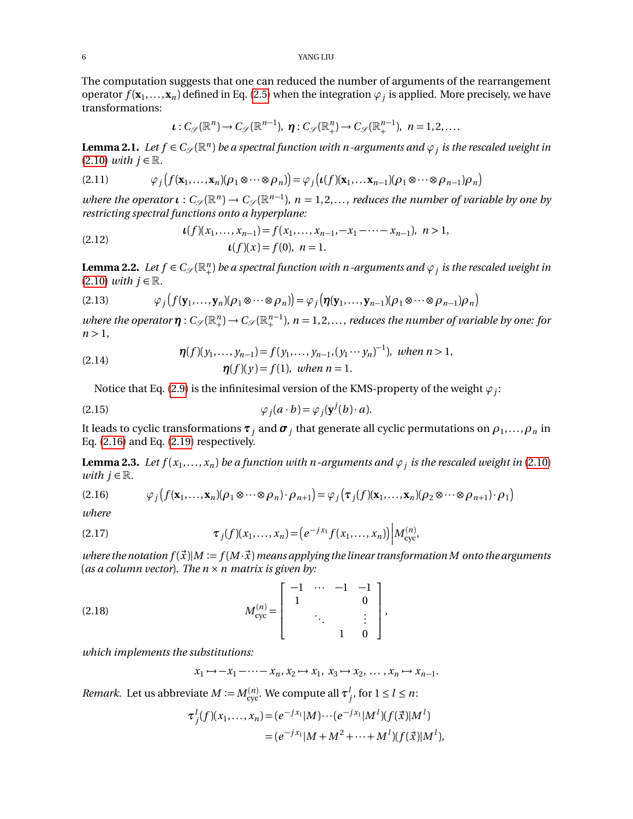The computation suggests that one can reduced the number of arguments of the rearrangement operator  $f(\mathbf{x}_1,...,\mathbf{x}_n)$  defined in Eq. [\(2.5\)](#page-3-3) when the integration  $\varphi_j$  is applied. More precisely, we have transformations:

$$
\iota: C_{\mathscr{S}}(\mathbb{R}^n)\to C_{\mathscr{S}}(\mathbb{R}^{n-1}), \ \eta: C_{\mathscr{S}}(\mathbb{R}^n_+)\to C_{\mathscr{S}}(\mathbb{R}^{n-1}_+), \ \ n=1,2,\ldots.
$$

<span id="page-5-4"></span> $L$ emma 2.1. *Let*  $f \in C_{\mathscr{S}}(\mathbb{R}^n)$  *be a spectral function with*  $n$  *-arguments and*  $\varphi_j$  *is the rescaled weight in*  $(2.10)$  *with*  $j \in \mathbb{R}$ .

(2.11) 
$$
\varphi_j(f(\mathbf{x}_1,\ldots,\mathbf{x}_n)(\rho_1\otimes\cdots\otimes\rho_n))=\varphi_j(\iota(f)(\mathbf{x}_1,\ldots,\mathbf{x}_{n-1})(\rho_1\otimes\cdots\otimes\rho_{n-1})\rho_n)
$$

*where the operator*  $\iota: C_{\mathscr{S}}(\mathbb{R}^n) \to C_{\mathscr{S}}(\mathbb{R}^{n-1})$ ,  $n = 1, 2, ...,$  reduces the number of variable by one by *restricting spectral functions onto a hyperplane:*

(2.12) 
$$
\iota(f)(x_1,\ldots,x_{n-1}) = f(x_1,\ldots,x_{n-1},-x_1-\cdots-x_{n-1}), \quad n > 1, \quad \iota(f)(x) = f(0), \quad n = 1.
$$

<span id="page-5-5"></span>**Lemma 2.2.** Let  $f \in C_{\mathscr{S}}(\mathbb{R}^n_+)$  be a spectral function with *n*-arguments and  $\varphi_j$  is the rescaled weight in  $(2.10)$  *with*  $j \in \mathbb{R}$ .

(2.13) 
$$
\varphi_j(f(\mathbf{y}_1,\ldots,\mathbf{y}_n)(\rho_1\otimes\cdots\otimes\rho_n))=\varphi_j(\boldsymbol{\eta}(\mathbf{y}_1,\ldots,\mathbf{y}_{n-1})(\rho_1\otimes\cdots\otimes\rho_{n-1})\rho_n)
$$

 $a$  *where the operator*  $\pmb{\eta}$  :  $C_{\mathscr{S}}(\mathbb{R}^{n}_+)\to C_{\mathscr{S}}(\mathbb{R}^{n-1}_+)$ ,  $n=1,2,\ldots$ , reduces the number of variable by one: for  $n > 1$ ,

<span id="page-5-6"></span>(2.14) 
$$
\eta(f)(y_1,..., y_{n-1}) = f(y_1,..., y_{n-1}, (y_1 \cdots y_n)^{-1}), \text{ when } n > 1, \eta(f)(y) = f(1), \text{ when } n = 1.
$$

Notice that Eq. [\(2.9\)](#page-4-3) is the infinitesimal version of the KMS-property of the weight  $\varphi_j$ :

(2.15) 
$$
\varphi_j(a \cdot b) = \varphi_j(\mathbf{y}^j(b) \cdot a).
$$

It leads to cyclic transformations  $\pmb{\tau}_j$  and  $\pmb{\sigma}_j$  that generate all cyclic permutations on  $\rho_1, ..., \rho_n$  in Eq. [\(2.16\)](#page-5-0) and Eq. [\(2.19\)](#page-6-1) respectively.

<span id="page-5-3"></span>**Lemma 2.3.** Let  $f(x_1,...,x_n)$  be a function with n-arguments and  $\varphi_j$  is the rescaled weight in [\(2.10\)](#page-4-2) *with*  $j \in \mathbb{R}$ *.* 

<span id="page-5-0"></span>(2.16) 
$$
\varphi_j(f(\mathbf{x}_1,\ldots,\mathbf{x}_n)(\rho_1\otimes\cdots\otimes\rho_n)\cdot\rho_{n+1})=\varphi_j(\tau_j(f)(\mathbf{x}_1,\ldots,\mathbf{x}_n)(\rho_2\otimes\cdots\otimes\rho_{n+1})\cdot\rho_1)
$$

*where*

<span id="page-5-2"></span>(2.17) 
$$
\tau_j(f)(x_1,\ldots,x_n) = \left(e^{-jx_1}f(x_1,\ldots,x_n)\right) \left|M_{\text{cyc}}^{(n)},\right|
$$

*where the notation*  $f(\vec{x})|M := f(M \cdot \vec{x})$  *means applying the linear transformation M onto the arguments* (*as a column vector*)*. The n* × *n matrix is given by:*

<span id="page-5-1"></span>(2.18) 
$$
M_{\text{cyc}}^{(n)} = \begin{bmatrix} -1 & \cdots & -1 & -1 \\ 1 & & 0 & \\ & \ddots & & \vdots \\ & & 1 & 0 \end{bmatrix},
$$

*which implements the substitutions:*

$$
x_1 \mapsto -x_1 - \cdots - x_n, x_2 \mapsto x_1, x_3 \mapsto x_2, \dots, x_n \mapsto x_{n-1}.
$$

*Remark*. Let us abbreviate  $M := M_{\text{cyc}}^{(n)}$ . We compute all  $\tau_j^l$ , for  $1 \leq l \leq n$ :

$$
\tau_j^l(f)(x_1,\ldots,x_n) = (e^{-jx_1}|M)\cdots(e^{-jx_1}|M^l)(f(\vec{x})|M^l)
$$
  
= 
$$
(e^{-jx_1}|M+M^2+\cdots+M^l)(f(\vec{x})|M^l),
$$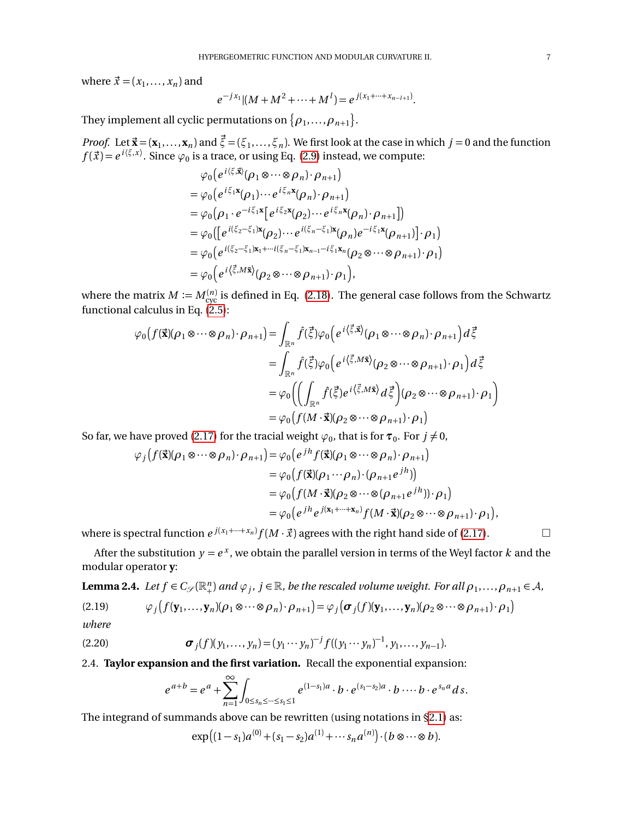where  $\vec{x} = (x_1, \ldots, x_n)$  and

$$
e^{-jx_1}[(M+M^2+\cdots+M^l)=e^{j(x_1+\cdots+x_{n-l+1})}.
$$

They implement all cyclic permutations on  $\{\rho_1, \ldots, \rho_{n+1}\}.$ 

*Proof.* Let  $\vec{x} = (\mathbf{x}_1, ..., \mathbf{x}_n)$  and  $\vec{\xi} = (\xi_1, ..., \xi_n)$ . We first look at the case in which  $j = 0$  and the function  $f(\vec{x}) = e^{i(\xi, x)}$ . Since  $\varphi_0$  is a trace, or using Eq. [\(2.9\)](#page-4-3) instead, we compute:

$$
\varphi_0\Big(e^{i\langle \xi,\vec{x}\rangle}(\rho_1\otimes\cdots\otimes\rho_n)\cdot\rho_{n+1}\Big) \n= \varphi_0\Big(e^{i\xi_1\vec{x}}(\rho_1)\cdots e^{i\xi_n\vec{x}}(\rho_n)\cdot\rho_{n+1}\Big) \n= \varphi_0\Big(\rho_1\cdot e^{-i\xi_1\vec{x}}\Big(e^{i\xi_2\vec{x}}(\rho_2)\cdots e^{i\xi_n\vec{x}}(\rho_n)\cdot\rho_{n+1}\Big)\Big) \n= \varphi_0\Big(\Big[e^{i(\xi_2-\xi_1)\vec{x}}(\rho_2)\cdots e^{i(\xi_n-\xi_1)\vec{x}}(\rho_n)e^{-i\xi_1\vec{x}}(\rho_{n+1})\Big]\cdot\rho_1\Big) \n= \varphi_0\Big(e^{i(\xi_2-\xi_1)\vec{x}_1+\cdots+i(\xi_n-\xi_1)\vec{x}_{n-1}-i\xi_1\vec{x}_n}(\rho_2\otimes\cdots\otimes\rho_{n+1})\cdot\rho_1\Big) \n= \varphi_0\Big(e^{i\langle \vec{\xi},M\vec{x}\rangle}(\rho_2\otimes\cdots\otimes\rho_{n+1})\cdot\rho_1\Big),
$$

where the matrix  $M\coloneqq M_{\mathrm{cyc}}^{(n)}$  is defined in Eq. [\(2.18\)](#page-5-1). The general case follows from the Schwartz functional calculus in Eq.  $(2.5)$ :

$$
\varphi_0\big(f(\vec{\mathbf{x}})(\rho_1 \otimes \cdots \otimes \rho_n) \cdot \rho_{n+1}\big) = \int_{\mathbb{R}^n} \hat{f}(\vec{\xi}) \varphi_0\big(e^{i\langle \vec{\xi}, \vec{\mathbf{x}} \rangle}(\rho_1 \otimes \cdots \otimes \rho_n) \cdot \rho_{n+1}\big) d\vec{\xi}
$$
  
\n
$$
= \int_{\mathbb{R}^n} \hat{f}(\vec{\xi}) \varphi_0\big(e^{i\langle \vec{\xi}, M\vec{\mathbf{x}} \rangle}(\rho_2 \otimes \cdots \otimes \rho_{n+1}) \cdot \rho_1\big) d\vec{\xi}
$$
  
\n
$$
= \varphi_0\bigg(\bigg(\int_{\mathbb{R}^n} \hat{f}(\vec{\xi}) e^{i\langle \vec{\xi}, M\vec{\mathbf{x}} \rangle} d\vec{\xi}\bigg)(\rho_2 \otimes \cdots \otimes \rho_{n+1}) \cdot \rho_1\bigg)
$$
  
\n
$$
= \varphi_0\bigg(f(M \cdot \vec{\mathbf{x}})(\rho_2 \otimes \cdots \otimes \rho_{n+1}) \cdot \rho_1\bigg)
$$

So far, we have proved [\(2.17\)](#page-5-2) for the tracial weight  $\varphi_0$ , that is for  $\tau_0$ . For  $j \neq 0$ ,

$$
\varphi_j(f(\vec{\mathbf{x}})(\rho_1 \otimes \cdots \otimes \rho_n) \cdot \rho_{n+1}) = \varphi_0(e^{jh}f(\vec{\mathbf{x}})(\rho_1 \otimes \cdots \otimes \rho_n) \cdot \rho_{n+1})
$$
  
\n
$$
= \varphi_0(f(\vec{\mathbf{x}})(\rho_1 \cdots \rho_n) \cdot (\rho_{n+1}e^{jh}))
$$
  
\n
$$
= \varphi_0(f(M \cdot \vec{\mathbf{x}})(\rho_2 \otimes \cdots \otimes (\rho_{n+1}e^{jh})) \cdot \rho_1)
$$
  
\n
$$
= \varphi_0(e^{jh}e^{j(\mathbf{x}_1 + \cdots + \mathbf{x}_n)}f(M \cdot \vec{\mathbf{x}})(\rho_2 \otimes \cdots \otimes \rho_{n+1}) \cdot \rho_1),
$$

where is spectral function  $e^{j(x_1+\cdots+x_n)}f(M\cdot\vec{x})$  agrees with the right hand side of [\(2.17\)](#page-5-2).  $\hfill\Box$ 

After the substitution  $y = e^x$ , we obtain the parallel version in terms of the Weyl factor  $k$  and the modular operator **y**:

<span id="page-6-2"></span>**Lemma 2.4.** Let  $f \in C_{\mathscr{S}}(\mathbb{R}^n_+)$  and  $\varphi_j$ ,  $j \in \mathbb{R}$ , be the rescaled volume weight. For all  $\rho_1, \ldots, \rho_{n+1} \in A$ ,

<span id="page-6-1"></span>(2.19) 
$$
\varphi_j(f(\mathbf{y}_1,\ldots,\mathbf{y}_n)(\rho_1\otimes\cdots\otimes\rho_n)\cdot\rho_{n+1})=\varphi_j(\boldsymbol{\sigma}_j(f)(\mathbf{y}_1,\ldots,\mathbf{y}_n)(\rho_2\otimes\cdots\otimes\rho_{n+1})\cdot\rho_1)
$$

*where*

(2.20) 
$$
\boldsymbol{\sigma}_j(f)(y_1,\ldots,y_n)=(y_1\cdots y_n)^{-j}f((y_1\cdots y_n)^{-1},y_1,\ldots,y_{n-1}).
$$

<span id="page-6-0"></span>2.4. **Taylor expansion and the first variation.** Recall the exponential expansion:

$$
e^{a+b} = e^a + \sum_{n=1}^{\infty} \int_{0 \le s_n \le \dots \le s_1 \le 1} e^{(1-s_1)a} \cdot b \cdot e^{(s_1-s_2)a} \cdot b \dots b \cdot e^{s_n a} ds.
$$

The integrand of summands above can be rewritten (using notations in [§2.1\)](#page-2-2) as:

$$
\exp((1-s_1)a^{(0)} + (s_1-s_2)a^{(1)} + \cdots s_na^{(n)}) \cdot (b \otimes \cdots \otimes b).
$$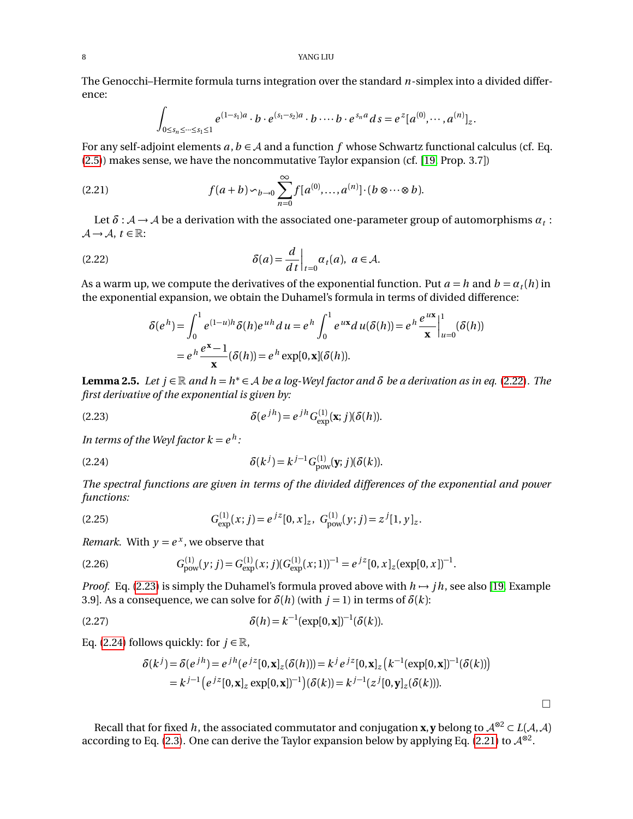The Genocchi–Hermite formula turns integration over the standard *n*-simplex into a divided difference:

$$
\int_{0 \leq s_n \leq \dots \leq s_1 \leq 1} e^{(1-s_1)a} \cdot b \cdot e^{(s_1-s_2)a} \cdot b \cdots b \cdot e^{s_n a} ds = e^{z} [a^{(0)}, \dots, a^{(n)}]_z.
$$

For any self-adjoint elements  $a, b \in A$  and a function f whose Schwartz functional calculus (cf. Eq. [\(2.5\)](#page-3-3)) makes sense, we have the noncommutative Taylor expansion (cf. [[19,](#page-35-8) Prop. 3.7])

<span id="page-7-3"></span>(2.21) 
$$
f(a+b) \sim_{b \to 0} \sum_{n=0}^{\infty} f[a^{(0)},...,a^{(n)}] \cdot (b \otimes \cdots \otimes b).
$$

Let  $\delta : A \to A$  be a derivation with the associated one-parameter group of automorphisms  $\alpha_t$  :  $\mathcal{A} \rightarrow \mathcal{A}, t \in \mathbb{R}$ :

<span id="page-7-0"></span>(2.22) 
$$
\delta(a) = \frac{d}{dt}\Big|_{t=0} \alpha_t(a), \ a \in \mathcal{A}.
$$

As a warm up, we compute the derivatives of the exponential function. Put  $a = h$  and  $b = a_t(h)$  in the exponential expansion, we obtain the Duhamel's formula in terms of divided difference:

$$
\delta(e^h) = \int_0^1 e^{(1-u)h} \delta(h) e^{uh} du = e^h \int_0^1 e^{ux} du (\delta(h)) = e^h \frac{e^{ux}}{x} \Big|_{u=0}^1 (\delta(h))
$$
  
=  $e^h \frac{e^x - 1}{x} (\delta(h)) = e^h \exp[0, x] (\delta(h)).$ 

<span id="page-7-7"></span>**Lemma 2.5.** *Let*  $j \in \mathbb{R}$  and  $h = h^* \in A$  *be a log-Weyl factor and*  $\delta$  *be a derivation as in eq.* [\(2.22\)](#page-7-0). The *first derivative of the exponential is given by:*

<span id="page-7-1"></span>(2.23) 
$$
\delta(e^{jh}) = e^{jh} G_{\text{exp}}^{(1)}(\mathbf{x}; j)(\delta(h)).
$$

In terms of the Weyl factor  $k = e^h$ :

<span id="page-7-2"></span>(2.24) 
$$
\delta(k^{j}) = k^{j-1} G_{\text{pow}}^{(1)}(\mathbf{y};j)(\delta(k)).
$$

*The spectral functions are given in terms of the divided differences of the exponential and power functions:*

<span id="page-7-4"></span>(2.25) 
$$
G_{\text{exp}}^{(1)}(x;j) = e^{jz}[0,x]_z, G_{\text{pow}}^{(1)}(y;j) = z^{j}[1,y]_z.
$$

*Remark.* With  $y = e^x$ , we observe that

<span id="page-7-6"></span>
$$
(2.26) \tGpow(1)(y; j) = Gexp(1)(x; j)(Gexp(1)(x; 1))-1 = ejz[0, x]z(exp[0, x])-1.
$$

*Proof.* Eq. [\(2.23\)](#page-7-1) is simply the Duhamel's formula proved above with  $h \rightarrow jh$ , see also [[19,](#page-35-8) Example 3.9]. As a consequence, we can solve for  $\delta(h)$  (with  $j = 1$ ) in terms of  $\delta(k)$ :

<span id="page-7-5"></span>(2.27) 
$$
\delta(h) = k^{-1} (\exp[0, \mathbf{x}])^{-1} (\delta(k)).
$$

Eq. [\(2.24\)](#page-7-2) follows quickly: for  $j \in \mathbb{R}$ ,

$$
\delta(k^{j}) = \delta(e^{jh}) = e^{jh}(e^{jz}[0, \mathbf{x}]_{z}(\delta(h))) = k^{j} e^{jz}[0, \mathbf{x}]_{z} (k^{-1}(\exp[0, \mathbf{x}])^{-1}(\delta(k)))
$$
  
=  $k^{j-1} (e^{jz}[0, \mathbf{x}]_{z} \exp[0, \mathbf{x}])^{-1} (\delta(k)) = k^{j-1} (z^{j}[0, \mathbf{y}]_{z}(\delta(k))).$ 

 $\Box$ 

Recall that for fixed *h*, the associated commutator and conjugation **x**, **y** belong to  $A^{\otimes 2} \subset L(A, A)$ according to Eq. [\(2.3\)](#page-3-4). One can derive the Taylor expansion below by applying Eq. [\(2.21\)](#page-7-3) to  $\mathcal{A}^{\otimes 2}$ .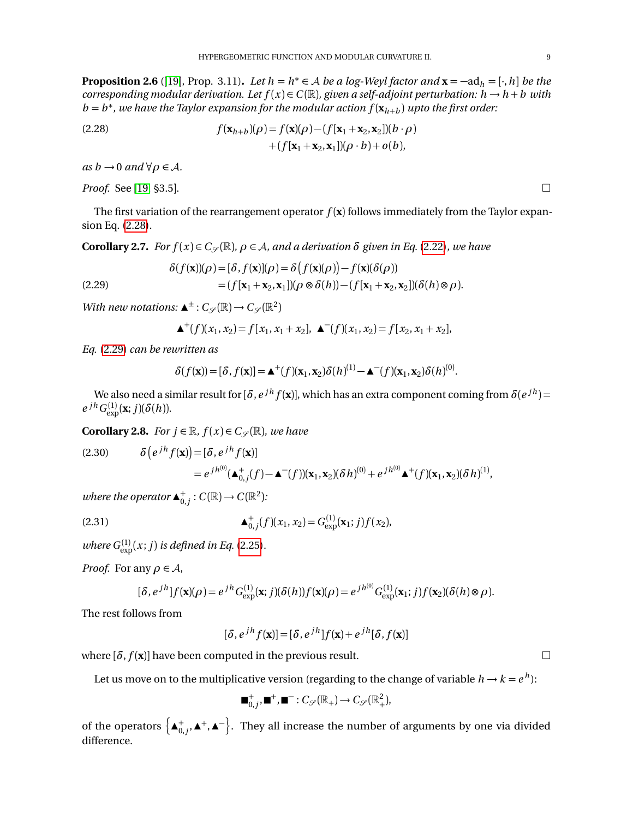**Proposition 2.6** ([[19](#page-35-8)], Prop. 3.11). *Let*  $h = h^* \in A$  *be a log-Weyl factor and*  $\mathbf{x} = -ad_h = [\cdot, h]$  *be the corresponding modular derivation. Let*  $f(x) \in C(\mathbb{R})$ *, given a self-adjoint perturbation:*  $h \to h + b$  *with*  $b = b^*$ , we have the Taylor expansion for the modular action  $f(\mathbf{x}_{h+b})$  upto the first order:

<span id="page-8-0"></span>(2.28) 
$$
f(\mathbf{x}_{h+b})(\rho) = f(\mathbf{x})(\rho) - (f[\mathbf{x}_1 + \mathbf{x}_2, \mathbf{x}_2])(b \cdot \rho) + (f[\mathbf{x}_1 + \mathbf{x}_2, \mathbf{x}_1])(\rho \cdot b) + o(b),
$$

 $as b \rightarrow 0$  *and*  $\forall \rho \in A$ *.* 

*Proof.* See [[19,](#page-35-8) \$3.5].

The first variation of the rearrangement operator  $f(\mathbf{x})$  follows immediately from the Taylor expansion Eq. [\(2.28\)](#page-8-0).

<span id="page-8-3"></span>**Corollary 2.7.** *For*  $f(x) \in C_{\mathcal{S}}(\mathbb{R})$ *,*  $\rho \in A$ *, and a derivation*  $\delta$  *given in Eq.* [\(2.22\)](#page-7-0)*, we have* 

<span id="page-8-1"></span>(2.29) 
$$
\delta(f(\mathbf{x}))(\rho) = [\delta, f(\mathbf{x})](\rho) = \delta(f(\mathbf{x})(\rho)) - f(\mathbf{x})(\delta(\rho))
$$

$$
= (f[\mathbf{x}_1 + \mathbf{x}_2, \mathbf{x}_1])(\rho \otimes \delta(h)) - (f[\mathbf{x}_1 + \mathbf{x}_2, \mathbf{x}_2])(\delta(h) \otimes \rho).
$$

*With new notations:*  $\blacktriangle^{\pm}$  :  $C_{\mathscr{S}}(\mathbb{R}) \rightarrow C_{\mathscr{S}}(\mathbb{R}^2)$ 

$$
\blacktriangle^+(f)(x_1, x_2) = f[x_1, x_1 + x_2], \blacktriangle^-(f)(x_1, x_2) = f[x_2, x_1 + x_2],
$$

*Eq.* [\(2.29\)](#page-8-1) *can be rewritten as*

$$
\delta(f(\mathbf{x})) = [\delta, f(\mathbf{x})] = \mathbf{\Delta}^+(f)(\mathbf{x}_1, \mathbf{x}_2) \delta(h)^{(1)} - \mathbf{\Delta}^-(f)(\mathbf{x}_1, \mathbf{x}_2) \delta(h)^{(0)}.
$$

We also need a similar result for  $[\delta, e^{jh} f(\mathbf{x})]$ , which has an extra component coming from  $\delta(e^{jh})$  =  $e^{jh}G_{\text{exp}}^{(1)}(\mathbf{x};j)(\delta(h)).$ 

<span id="page-8-4"></span>**Corollary 2.8.** *For*  $j \in \mathbb{R}$ *,*  $f(x) \in C_{\mathcal{S}}(\mathbb{R})$ *, we have* 

<span id="page-8-2"></span>(2.30) 
$$
\delta\left(e^{jh}f(\mathbf{x})\right) = [\delta, e^{jh}f(\mathbf{x})] \n= e^{jh^{(0)}}(\mathbf{A}_{0,j}^+(f) - \mathbf{A}^-(f))(\mathbf{x}_1, \mathbf{x}_2)(\delta h)^{(0)} + e^{jh^{(0)}}\mathbf{A}^+(f)(\mathbf{x}_1, \mathbf{x}_2)(\delta h)^{(1)},
$$

*where the operator*  $\blacktriangle^+_{0,j}$ :  $C(\mathbb{R}) \rightarrow C(\mathbb{R}^2)$ *:* 

(2.31) 
$$
\Delta_{0,j}^+(f)(x_1, x_2) = G_{\text{exp}}^{(1)}(\mathbf{x}_1; j) f(x_2),
$$

*where*  $G_{\text{exp}}^{(1)}(x; j)$  *is defined in Eq.* [\(2.25\)](#page-7-4)*.* 

*Proof.* For any  $\rho \in A$ ,

$$
[\delta, e^{jh}]f(\mathbf{x})(\rho) = e^{jh}G_{\text{exp}}^{(1)}(\mathbf{x};j)(\delta(h))f(\mathbf{x})(\rho) = e^{jh^{(0)}}G_{\text{exp}}^{(1)}(\mathbf{x}_1;j)f(\mathbf{x}_2)(\delta(h)\otimes\rho).
$$

The rest follows from

$$
[\delta, e^{jh} f(\mathbf{x})] = [\delta, e^{jh}] f(\mathbf{x}) + e^{jh} [\delta, f(\mathbf{x})]
$$

where  $[\delta, f(\mathbf{x})]$  have been computed in the previous result.

Let us move on to the multiplicative version (regarding to the change of variable  $h \to k = e^{\,h}$ ):

$$
\blacksquare^+_{0,j}, \blacksquare^+, \blacksquare^-: C_{\mathcal{S}}(\mathbb{R}_+) \to C_{\mathcal{S}}(\mathbb{R}_+^2),
$$

<span id="page-8-5"></span>of the operators  $\left\{ \blacktriangle^+_{0,j}, \blacktriangle^+,\blacktriangle^- \right\}$ . They all increase the number of arguments by one via divided difference.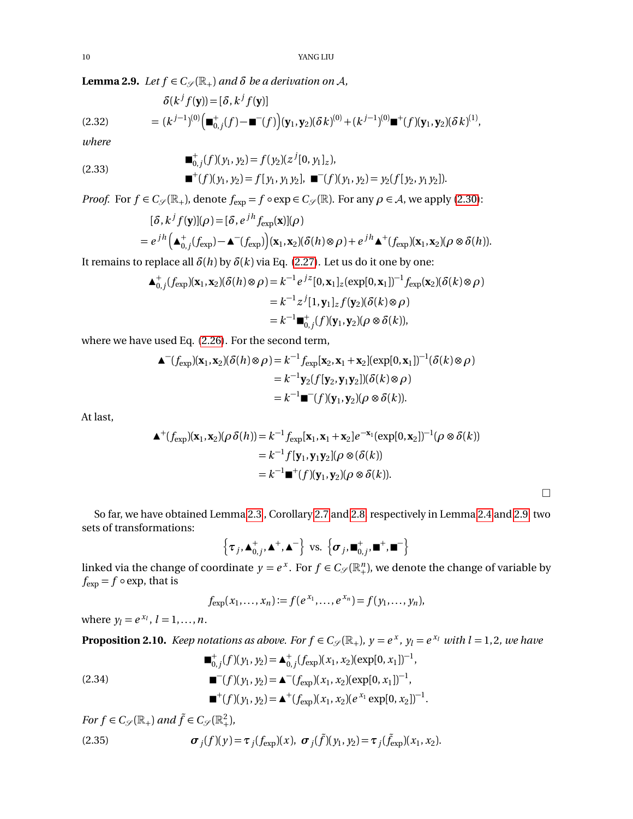**Lemma 2.9.** *Let*  $f \in C_{\mathscr{S}}(\mathbb{R}_{+})$  *and*  $\delta$  *be a derivation on*  $\mathcal{A}$ *,* 

(2.32) 
$$
\delta(k^{j} f(\mathbf{y})) = [\delta, k^{j} f(\mathbf{y})] \n= (k^{j-1})^{(0)} (\blacksquare_{0,j}^{+}(f) - \blacksquare^{-}(f)) (\mathbf{y}_{1}, \mathbf{y}_{2})(\delta k)^{(0)} + (k^{j-1})^{(0)} \blacksquare^{+}(f) (\mathbf{y}_{1}, \mathbf{y}_{2})(\delta k)^{(1)},
$$

*where*

(2.33) 
$$
\begin{aligned}\n&\blacksquare_{0,j}^+(f)(y_1, y_2) = f(y_2)(z^j[0, y_1]_z), \\
&\blacksquare^+(f)(y_1, y_2) = f[y_1, y_1 y_2], \blacksquare^-(f)(y_1, y_2) = y_2(f[y_2, y_1 y_2]).\n\end{aligned}
$$

*Proof.* For  $f \in C_{\mathscr{S}}(\mathbb{R}_+)$ , denote  $f_{exp} = f \circ exp \in C_{\mathscr{S}}(\mathbb{R})$ . For any  $\rho \in \mathcal{A}$ , we apply [\(2.30\)](#page-8-2):

$$
[\delta, k^j f(\mathbf{y})](\rho) = [\delta, e^{jh} f_{\exp}(\mathbf{x})](\rho)
$$
  
=  $e^{jh} (\mathbf{A}_{0,j}^+(f_{\exp}) - \mathbf{A}^-(f_{\exp}))(\mathbf{x}_1, \mathbf{x}_2)(\delta(h) \otimes \rho) + e^{jh} \mathbf{A}^+(f_{\exp})(\mathbf{x}_1, \mathbf{x}_2)(\rho \otimes \delta(h)).$ 

It remains to replace all  $\delta(h)$  by  $\delta(k)$  via Eq. [\(2.27\)](#page-7-5). Let us do it one by one:

$$
\begin{aligned} \n\blacktriangle^+_{0,j}(f_{\exp})(\mathbf{x}_1, \mathbf{x}_2)(\delta(h)\otimes\rho) &= k^{-1}e^{jz}[0, \mathbf{x}_1]_z(\exp[0, \mathbf{x}_1])^{-1}f_{\exp}(\mathbf{x}_2)(\delta(k)\otimes\rho) \\ \n&= k^{-1}z^j[1, \mathbf{y}_1]_zf(\mathbf{y}_2)(\delta(k)\otimes\rho) \\ \n&= k^{-1}\blacksquare^+_{0,j}(f)(\mathbf{y}_1, \mathbf{y}_2)(\rho\otimes\delta(k)), \n\end{aligned}
$$

where we have used Eq. [\(2.26\)](#page-7-6). For the second term,

$$
\begin{aligned} \n\blacktriangle^{-} (f_{\exp})(\mathbf{x}_1, \mathbf{x}_2)(\delta(h) \otimes \rho) &= k^{-1} f_{\exp}[\mathbf{x}_2, \mathbf{x}_1 + \mathbf{x}_2](\exp[0, \mathbf{x}_1])^{-1}(\delta(k) \otimes \rho) \\ \n&= k^{-1} \mathbf{y}_2(f[\mathbf{y}_2, \mathbf{y}_1 \mathbf{y}_2])(\delta(k) \otimes \rho) \\ \n&= k^{-1} \blacksquare^{-} (f)(\mathbf{y}_1, \mathbf{y}_2)(\rho \otimes \delta(k)). \n\end{aligned}
$$

At last,

$$
\begin{aligned} \n\blacktriangle^+(f_{\text{exp}})(\mathbf{x}_1, \mathbf{x}_2)(\rho \,\delta(h)) &= k^{-1} f_{\text{exp}}[\mathbf{x}_1, \mathbf{x}_1 + \mathbf{x}_2] e^{-\mathbf{x}_1}(\text{exp}[0, \mathbf{x}_2])^{-1}(\rho \otimes \delta(k)) \\ \n&= k^{-1} f[\mathbf{y}_1, \mathbf{y}_1 \mathbf{y}_2](\rho \otimes (\delta(k)) \\ \n&= k^{-1} \blacksquare^+(f)(\mathbf{y}_1, \mathbf{y}_2)(\rho \otimes \delta(k)). \n\end{aligned}
$$

So far, we have obtained Lemma [2.3](#page-5-3) , Corollary [2.7](#page-8-3) and [2.8,](#page-8-4) respectively in Lemma [2.4](#page-6-2) and [2.9,](#page-8-5) two sets of transformations:

$$
\left\{\boldsymbol{\tau}_j,\boldsymbol{\Delta}_{0,j}^+,\boldsymbol{\Delta}^+,\boldsymbol{\Delta}^-\right\}\text{ vs. }\left\{\boldsymbol{\sigma}_j,\boldsymbol{\blacksquare}_{0,j}^+,\boldsymbol{\blacksquare}^+,\boldsymbol{\blacksquare}^-\right\}
$$

linked via the change of coordinate  $y = e^x$ . For  $f \in C_{\mathscr{S}}(\mathbb{R}^n_+)$ , we denote the change of variable by  $f_{\text{exp}} = f \circ \exp$ , that is

$$
f_{\exp}(x_1,...,x_n) := f(e^{x_1},...,e^{x_n}) = f(y_1,...,y_n),
$$

where  $y_l = e^{x_l}$ ,  $l = 1, ..., n$ .

<span id="page-9-2"></span>**Proposition 2.10.** *Keep notations as above. For*  $f \in C_{\mathscr{S}}(\mathbb{R}_+)$ ,  $y = e^x$ ,  $y_l = e^{x_l}$  *with l* = 1,2, we have

<span id="page-9-0"></span>
$$
\begin{aligned}\n\blacksquare_{0,j}^+(f)(y_1, y_2) &= \blacktriangle_{0,j}^+(f_{\exp})(x_1, x_2)(\exp[0, x_1])^{-1}, \\
&= -(f)(y_1, y_2) = \blacktriangle^{-}(f_{\exp})(x_1, x_2)(\exp[0, x_1])^{-1}, \\
&= +(f)(y_1, y_2) = \blacktriangle^{+}(f_{\exp})(x_1, x_2)(e^{x_1}\exp[0, x_2])^{-1}.\n\end{aligned}
$$

<span id="page-9-1"></span>For 
$$
f \in C_{\mathscr{S}}(\mathbb{R}_+)
$$
 and  $\tilde{f} \in C_{\mathscr{S}}(\mathbb{R}^2_+)$ ,  
(2.35) 
$$
\sigma_j(f)(y) = \tau_j(f_{\exp})(x), \ \sigma_j(\tilde{f})(y_1, y_2) = \tau_j(\tilde{f}_{\exp})(x_1, x_2).
$$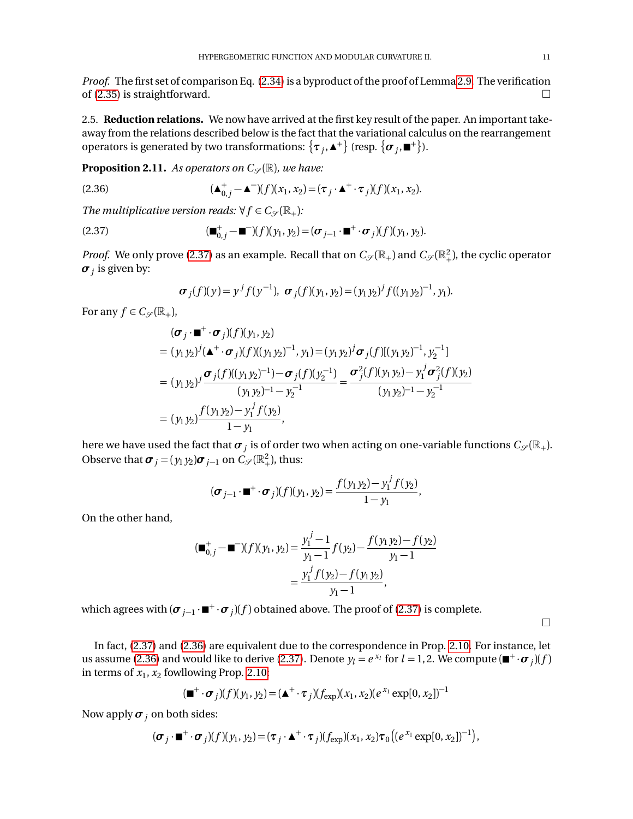*Proof.* The first set of comparison Eq. [\(2.34\)](#page-9-0) is a byproduct of the proof of Lemma [2.9.](#page-8-5) The verification of [\(2.35\)](#page-9-1) is straightforward.  $\square$ 

<span id="page-10-0"></span>2.5. **Reduction relations.** We now have arrived at the first key result of the paper. An important takeaway from the relations described below is the fact that the variational calculus on the rearrangement operators is generated by two transformations:  $\{\bm{\tau}_j,\blacktriangle^+\}$  (resp.  $\{\bm{\sigma}_j,\blacksquare^+\}$ ).

<span id="page-10-1"></span>**Proposition 2.11.** As operators on  $C_{\mathscr{S}}(\mathbb{R})$ , we have:

<span id="page-10-3"></span>(2.36) 
$$
(\blacktriangle^+_{0,j} - \blacktriangle^-)(f)(x_1, x_2) = (\tau_j \cdot \blacktriangle^+ \cdot \tau_j)(f)(x_1, x_2).
$$

*The multiplicative version reads:*  $\forall f \in C_{\mathcal{S}}(\mathbb{R}_{+})$ *:* 

<span id="page-10-2"></span>(2.37) 
$$
(\blacksquare^+_{0,j} - \blacksquare^-)(f)(y_1, y_2) = (\sigma_{j-1} \cdot \blacksquare^+ \cdot \sigma_j)(f)(y_1, y_2).
$$

*Proof.* We only prove [\(2.37\)](#page-10-2) as an example. Recall that on  $C_{\mathscr{S}}(\mathbb{R}_+^2)$  and  $C_{\mathscr{S}}(\mathbb{R}_+^2)$ , the cyclic operator  $\boldsymbol{\sigma}_j$  is given by:

$$
\boldsymbol{\sigma}_j(f)(y) = y^j f(y^{-1}), \ \boldsymbol{\sigma}_j(f)(y_1, y_2) = (y_1 y_2)^j f((y_1 y_2)^{-1}, y_1).
$$

For any  $f \in C_{\mathscr{S}}(\mathbb{R}_+),$ 

$$
(\sigma_j \cdot \mathbf{m}^+ \cdot \sigma_j)(f)(y_1, y_2)
$$
  
=  $(y_1 y_2)^j (\mathbf{A}^+ \cdot \sigma_j)(f)((y_1 y_2)^{-1}, y_1) = (y_1 y_2)^j \sigma_j(f)[(y_1 y_2)^{-1}, y_2^{-1}]$   
=  $(y_1 y_2)^j \frac{\sigma_j(f)((y_1 y_2)^{-1}) - \sigma_j(f)(y_2^{-1})}{(y_1 y_2)^{-1} - y_2^{-1}} = \frac{\sigma_j^2(f)(y_1 y_2) - y_1^j \sigma_j^2(f)(y_2)}{(y_1 y_2)^{-1} - y_2^{-1}}$   
=  $(y_1 y_2) \frac{f(y_1 y_2) - y_1^j f(y_2)}{1 - y_1},$ 

here we have used the fact that  $\bm{\sigma}_j$  is of order two when acting on one-variable functions  $C_{\mathscr{S}}(\mathbb{R}_+).$ Observe that  $\sigma_j = (y_1 y_2) \sigma_{j-1}$  on  $C_{\mathscr{S}}(\mathbb{R}^2_+),$  thus:

$$
(\boldsymbol{\sigma}_{j-1}\cdot\mathbf{m}^+\cdot\boldsymbol{\sigma}_j)(f)(y_1,y_2)=\frac{f(y_1y_2)-y_1^j f(y_2)}{1-y_1},
$$

On the other hand,

$$
(\blacksquare_{0,j}^+ - \blacksquare^{-})(f)(y_1, y_2) = \frac{y_1^j - 1}{y_1 - 1} f(y_2) - \frac{f(y_1 y_2) - f(y_2)}{y_1 - 1}
$$
  
= 
$$
\frac{y_1^j f(y_2) - f(y_1 y_2)}{y_1 - 1},
$$

which agrees with  $(\sigma_{j-1} \cdot \blacksquare^+ \cdot \sigma_j)(f)$  obtained above. The proof of [\(2.37\)](#page-10-2) is complete.

 $\Box$ 

In fact, [\(2.37\)](#page-10-2) and [\(2.36\)](#page-10-3) are equivalent due to the correspondence in Prop. [2.10.](#page-9-2) For instance, let us assume [\(2.36\)](#page-10-3) and would like to derive [\(2.37\)](#page-10-2). Denote  $y_l = e^{x_l}$  for  $l = 1, 2$ . We compute  $(\blacksquare^+ \cdot \sigma_j)(f)$ in terms of  $x_1, x_2$  fowllowing Prop. [2.10:](#page-9-2)

$$
(\blacksquare^+ \cdot \sigma_j)(f)(y_1, y_2) = (\blacktriangle^+ \cdot \tau_j)(f_{\exp})(x_1, x_2)(e^{x_1} \exp[0, x_2])^{-1}
$$

Now apply  $\sigma_j$  on both sides:

$$
(\boldsymbol{\sigma}_j \cdot \mathbf{I}^+ \cdot \boldsymbol{\sigma}_j)(f)(y_1, y_2) = (\boldsymbol{\tau}_j \cdot \mathbf{A}^+ \cdot \boldsymbol{\tau}_j)(f_{\exp})(x_1, x_2)\boldsymbol{\tau}_0((e^{x_1}\exp[0, x_2])^{-1}),
$$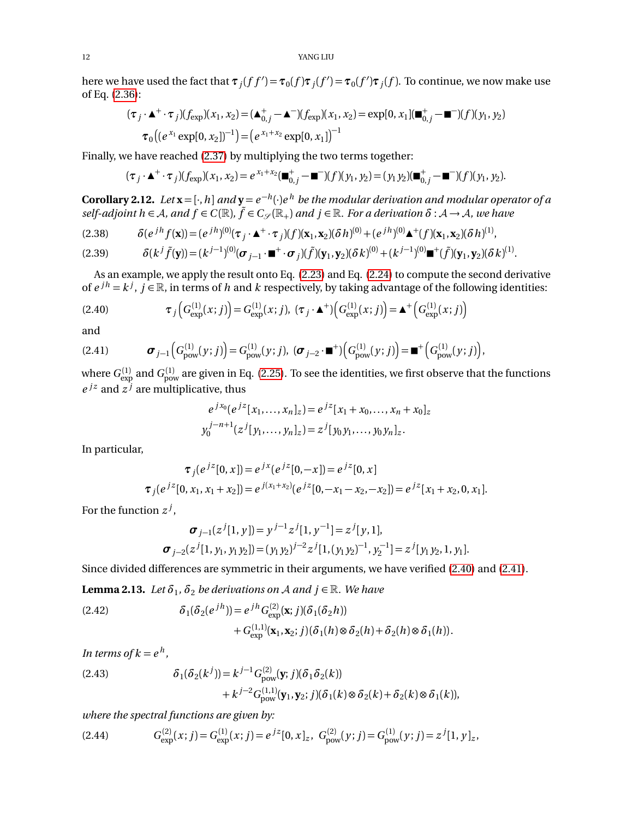here we have used the fact that  $\tau_j(f f') = \tau_0(f) \tau_j(f') = \tau_0(f') \tau_j(f)$ . To continue, we now make use of Eq. [\(2.36\)](#page-10-3):

$$
(\tau_j \cdot \mathbf{A}^+ \cdot \tau_j)(f_{\exp})(x_1, x_2) = (\mathbf{A}_{0,j}^+ - \mathbf{A}^-)(f_{\exp})(x_1, x_2) = \exp[0, x_1] (\blacksquare_{0,j}^+ - \blacksquare^-)(f)(y_1, y_2)
$$

$$
\tau_0 \big( (e^{x_1} \exp[0, x_2])^{-1} \big) = \big( e^{x_1 + x_2} \exp[0, x_1] \big)^{-1}
$$

Finally, we have reached [\(2.37\)](#page-10-2) by multiplying the two terms together:

$$
(\tau_j \cdot \blacktriangle^+ \cdot \tau_j)(f_{\exp})(x_1, x_2) = e^{x_1 + x_2}(\blacksquare^+_{0,j} - \blacksquare^-)(f)(y_1, y_2) = (y_1 y_2)(\blacksquare^+_{0,j} - \blacksquare^-)(f)(y_1, y_2).
$$

<span id="page-11-5"></span>**Corollary 2.12.** Let  $\mathbf{x} = [\cdot,h]$  and  $\mathbf{y} = e^{-h}(\cdot)e^{h}$  be the modular derivation and modular operator of a  $self\text{-}adjoint\ h\in A$ , and  $f\in C(\mathbb{R})$ ,  $\tilde{f}\in C_{\mathscr{S}}(\mathbb{R}_+)$  and  $j\in\mathbb{R}$ . For a derivation  $\delta:\mathcal{A}\to\mathcal{A}$ , we have

(2.38) 
$$
\delta(e^{jh}f(\mathbf{x})) = (e^{jh})^{(0)}(\tau_j \cdot \mathbf{A}^+ \cdot \tau_j)(f)(\mathbf{x}_1, \mathbf{x}_2)(\delta h)^{(0)} + (e^{jh})^{(0)}\mathbf{A}^+(f)(\mathbf{x}_1, \mathbf{x}_2)(\delta h)^{(1)},
$$

<span id="page-11-2"></span>(2.39) 
$$
\delta(k^{j}\tilde{f}(\mathbf{y})) = (k^{j-1})^{(0)}(\boldsymbol{\sigma}_{j-1}\cdot\mathbf{m}^{+}\cdot\boldsymbol{\sigma}_{j})(\tilde{f})(\mathbf{y}_{1},\mathbf{y}_{2})(\delta k)^{(0)} + (k^{j-1})^{(0)}\mathbf{m}^{+}(\tilde{f})(\mathbf{y}_{1},\mathbf{y}_{2})(\delta k)^{(1)}.
$$

As an example, we apply the result onto Eq. [\(2.23\)](#page-7-1) and Eq. [\(2.24\)](#page-7-2) to compute the second derivative of  $e^{jh} = k^j$ ,  $j \in \mathbb{R}$ , in terms of *h* and *k* respectively, by taking advantage of the following identities:

<span id="page-11-0"></span>(2.40) 
$$
\tau_j\Big(G_{\text{exp}}^{(1)}(x;j)\Big)=G_{\text{exp}}^{(1)}(x;j), \ (\tau_j \cdot \blacktriangle^+)\Big(G_{\text{exp}}^{(1)}(x;j)\Big)=\blacktriangle^+\Big(G_{\text{exp}}^{(1)}(x;j)\Big)
$$

and

<span id="page-11-1"></span>
$$
(2.41) \t\boldsymbol{\sigma}_{j-1}\Big(G_{\text{pow}}^{(1)}(y;j)\Big)=G_{\text{pow}}^{(1)}(y;j),\ (\boldsymbol{\sigma}_{j-2}\cdot\mathbf{m}^+)\Big(G_{\text{pow}}^{(1)}(y;j)\Big)=\mathbf{m}^+\Big(G_{\text{pow}}^{(1)}(y;j)\Big),
$$

where  $G_{\rm exp}^{(1)}$  and  $G_{\rm pow}^{(1)}$  are given in Eq. [\(2.25\)](#page-7-4). To see the identities, we first observe that the functions  $e^{jz}$  and  $z^{j}$  are multiplicative, thus

$$
e^{jx_0}(e^{jz}[x_1,\ldots,x_n]_z) = e^{jz}[x_1+x_0,\ldots,x_n+x_0]_z
$$
  

$$
y_0^{j-n+1}(z^j[y_1,\ldots,y_n]_z) = z^j[y_0y_1,\ldots,y_0y_n]_z.
$$

In particular,

$$
\tau_j(e^{jz}[0, x]) = e^{jx}(e^{jz}[0, -x]) = e^{jz}[0, x]
$$
  

$$
\tau_j(e^{jz}[0, x_1, x_1 + x_2]) = e^{j(x_1 + x_2)}(e^{jz}[0, -x_1 - x_2, -x_2]) = e^{jz}[x_1 + x_2, 0, x_1].
$$

For the function *z j* ,

$$
\boldsymbol{\sigma}_{j-1}(z^{j}[1, y]) = y^{j-1}z^{j}[1, y^{-1}] = z^{j}[y, 1],
$$
  

$$
\boldsymbol{\sigma}_{j-2}(z^{j}[1, y_{1}, y_{1}y_{2}]) = (y_{1}y_{2})^{j-2}z^{j}[1, (y_{1}y_{2})^{-1}, y_{2}^{-1}] = z^{j}[y_{1}y_{2}, 1, y_{1}].
$$

Since divided differences are symmetric in their arguments, we have verified [\(2.40\)](#page-11-0) and [\(2.41\)](#page-11-1).

**Lemma 2.13.** Let  $\delta_1$ ,  $\delta_2$  be derivations on A and  $j \in \mathbb{R}$ . We have

<span id="page-11-4"></span>(2.42) 
$$
\delta_1(\delta_2(e^{jh})) = e^{jh} G_{\text{exp}}^{(2)}(\mathbf{x}; j)(\delta_1(\delta_2 h)) + G_{\text{exp}}^{(1,1)}(\mathbf{x}_1, \mathbf{x}_2; j)(\delta_1(h) \otimes \delta_2(h) + \delta_2(h) \otimes \delta_1(h)).
$$

*In terms of*  $k = e^h$ ,

<span id="page-11-3"></span>(2.43) 
$$
\delta_1(\delta_2(k^j)) = k^{j-1} G_{\text{pow}}^{(2)}(\mathbf{y}; j)(\delta_1 \delta_2(k)) + k^{j-2} G_{\text{pow}}^{(1,1)}(\mathbf{y}_1, \mathbf{y}_2; j)(\delta_1(k) \otimes \delta_2(k) + \delta_2(k) \otimes \delta_1(k)),
$$

*where the spectral functions are given by:*

$$
(2.44) \tG_{\text{exp}}^{(2)}(x;j) = G_{\text{exp}}^{(1)}(x;j) = e^{jz}[0,x]_z, \ G_{\text{pow}}^{(2)}(y;j) = G_{\text{pow}}^{(1)}(y;j) = z^j[1,y]_z,
$$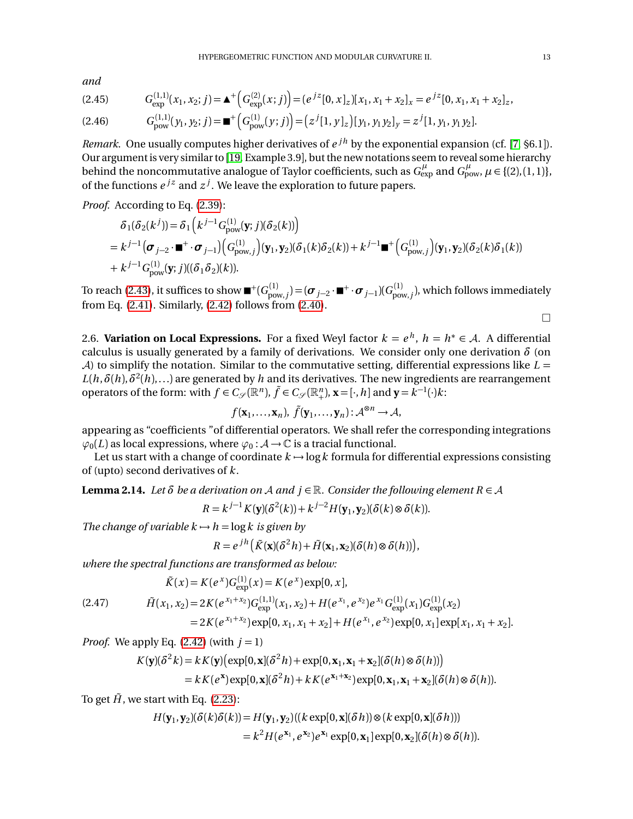*and*

$$
(2.45) \qquad G_{\text{exp}}^{(1,1)}(x_1, x_2; j) = \mathbf{A}^+ \Big( G_{\text{exp}}^{(2)}(x; j) \Big) = (e^{jz} [0, x]_z [x_1, x_1 + x_2]_x = e^{jz} [0, x_1, x_1 + x_2]_z,
$$

$$
(2.46) \tGpow(1,1)(y1, y2; j) = \blacksquare^+\Big(Gpow(1)(y; j)\Big) = (zj[1, y1, y1y2]y = zj[1, y1, y1y2].
$$

*Remark.* One usually computes higher derivatives of  $e^{jh}$  by the exponential expansion (cf. [[7,](#page-35-3) §6.1]). Our argument is very similar to [[19,](#page-35-8) Example 3.9], but the new notations seem to reveal some hierarchy behind the noncommutative analogue of Taylor coefficients, such as  $G^\mu_{\rm exp}$  and  $G^\mu_{\rm pow}$ ,  $\mu$   $\in$  {(2),(1,1)}, of the functions  $e^{jz}$  and  $z^j$ . We leave the exploration to future papers.

*Proof.* According to Eq. [\(2.39\)](#page-11-2):

$$
\delta_1(\delta_2(k^{j})) = \delta_1(k^{j-1}G_{\text{pow}}^{(1)}(\mathbf{y};j)(\delta_2(k)))
$$
  
=  $k^{j-1}(\sigma_{j-2} \cdot \mathbf{m}^+ \cdot \sigma_{j-1})(G_{\text{pow},j}^{(1)})(\mathbf{y}_1, \mathbf{y}_2)(\delta_1(k)\delta_2(k)) + k^{j-1}\mathbf{m}^+ (G_{\text{pow},j}^{(1)})(\mathbf{y}_1, \mathbf{y}_2)(\delta_2(k)\delta_1(k))$   
+  $k^{j-1}G_{\text{pow}}^{(1)}(\mathbf{y};j)((\delta_1 \delta_2)(k)).$ 

To reach [\(2.43\)](#page-11-3), it suffices to show  $\blacksquare^+(G_{\text{pow},j}^{(1)})$   $=$   $(\pmb{\sigma}_{j-2}\cdot\blacksquare^+\cdot\pmb{\sigma}_{j-1})(G_{\text{pow},j}^{(1)})$ , which follows immediately from Eq. [\(2.41\)](#page-11-1). Similarly, [\(2.42\)](#page-11-4) follows from [\(2.40\)](#page-11-0).

$$
\Box
$$

<span id="page-12-0"></span>2.6. **Variation on Local Expressions.** For a fixed Weyl factor  $k = e^h$ ,  $h = h^* \in A$ . A differential calculus is usually generated by a family of derivations. We consider only one derivation *δ* (on A) to simplify the notation. Similar to the commutative setting, differential expressions like  $L =$  $L(h, \delta(h), \delta^2(h), \ldots)$  are generated by  $h$  and its derivatives. The new ingredients are rearrangement operators of the form: with  $f \in C_{\mathscr{S}}(\mathbb{R}^n)$ ,  $\tilde{f} \in C_{\mathscr{S}}(\mathbb{R}^n_+)$ ,  $\mathbf{x} = [\cdot, h]$  and  $\mathbf{y} = k^{-1}(\cdot)k$ :

$$
f(\mathbf{x}_1,\ldots,\mathbf{x}_n),\ \tilde{f}(\mathbf{y}_1,\ldots,\mathbf{y}_n):A^{\otimes n}\to A,
$$

appearing as "coefficients "of differential operators. We shall refer the corresponding integrations  $\varphi_0(L)$  as local expressions, where  $\varphi_0: \mathcal{A} \to \mathbb{C}$  is a tracial functional.

Let us start with a change of coordinate  $k \mapsto \log k$  formula for differential expressions consisting of (upto) second derivatives of *k*.

<span id="page-12-1"></span>**Lemma 2.14.** Let  $\delta$  be a derivation on A and  $j \in \mathbb{R}$ . Consider the following element  $R \in \mathcal{A}$ 

$$
R = k^{j-1} K(\mathbf{y}) (\delta^2(k)) + k^{j-2} H(\mathbf{y}_1, \mathbf{y}_2) (\delta(k) \otimes \delta(k)).
$$

*The change of variable*  $k \rightarrow h = \log k$  *is given by* 

$$
R = e^{jh} \left( \tilde{K}(\mathbf{x}) (\delta^2 h) + \tilde{H}(\mathbf{x}_1, \mathbf{x}_2) (\delta(h) \otimes \delta(h)) \right),
$$

*where the spectral functions are transformed as below:*

$$
\tilde{K}(x) = K(e^x)G_{\text{exp}}^{(1)}(x) = K(e^x)\exp[0, x],
$$
\n
$$
\tilde{H}(x_1, x_2) = 2K(e^{x_1+x_2})G_{\text{exp}}^{(1,1)}(x_1, x_2) + H(e^{x_1}, e^{x_2})e^{x_1}G_{\text{exp}}^{(1)}(x_1)G_{\text{exp}}^{(1)}(x_2)
$$
\n
$$
= 2K(e^{x_1+x_2})\exp[0, x_1, x_1 + x_2] + H(e^{x_1}, e^{x_2})\exp[0, x_1]\exp[x_1, x_1 + x_2].
$$

*Proof.* We apply Eq.  $(2.42)$  (with  $j = 1$ )

$$
K(\mathbf{y})(\delta^2 k) = k K(\mathbf{y}) (\exp[0, \mathbf{x}](\delta^2 h) + \exp[0, \mathbf{x}_1, \mathbf{x}_1 + \mathbf{x}_2](\delta(h) \otimes \delta(h)))
$$
  
=  $k K(e^{\mathbf{x}}) \exp[0, \mathbf{x}](\delta^2 h) + k K(e^{\mathbf{x}_1 + \mathbf{x}_2}) \exp[0, \mathbf{x}_1, \mathbf{x}_1 + \mathbf{x}_2](\delta(h) \otimes \delta(h)).$ 

To get  $\tilde{H}$ , we start with Eq. [\(2.23\)](#page-7-1):

$$
H(\mathbf{y}_1, \mathbf{y}_2)(\delta(k)\delta(k)) = H(\mathbf{y}_1, \mathbf{y}_2)((k \exp[0, \mathbf{x}](\delta h)) \otimes (k \exp[0, \mathbf{x}](\delta h)))
$$
  
=  $k^2 H(e^{\mathbf{x}_1}, e^{\mathbf{x}_2})e^{\mathbf{x}_1} \exp[0, \mathbf{x}_1] \exp[0, \mathbf{x}_2](\delta(h) \otimes \delta(h)).$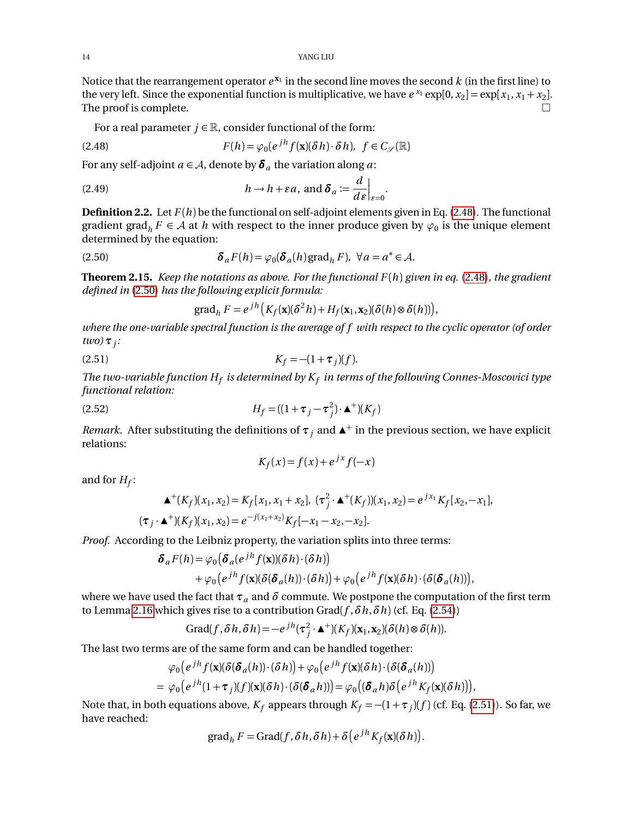Notice that the rearrangement operator  $e^{x_1}$  in the second line moves the second  $k$  (in the first line) to the very left. Since the exponential function is multiplicative, we have  $e^{x_1} \exp[0, x_2] = \exp[x_1, x_1 + x_2]$ . The proof is complete.  $\Box$ 

For a real parameter  $j \in \mathbb{R}$ , consider functional of the form:

<span id="page-13-1"></span>(2.48) 
$$
F(h) = \varphi_0(e^{jh} f(\mathbf{x})(\delta h) \cdot \delta h), \ f \in C_{\mathcal{S}}(\mathbb{R})
$$

For any self-adjoint  $a \in A$ , denote by  $\delta_a$  the variation along  $a$ :

(2.49) 
$$
h \to h + \varepsilon a, \text{ and } \delta_a := \frac{d}{d\varepsilon}\Big|_{\varepsilon=0}.
$$

<span id="page-13-4"></span>**Definition 2.2.** Let  $F(h)$  be the functional on self-adjoint elements given in Eq. [\(2.48\)](#page-13-1). The functional gradient grad<sub>*h*</sub>  $F \in A$  at *h* with respect to the inner produce given by  $\varphi_0$  is the unique element determined by the equation:

<span id="page-13-2"></span>(2.50) 
$$
\delta_a F(h) = \varphi_0(\delta_a(h) \text{grad}_h F), \ \forall a = a^* \in \mathcal{A}.
$$

<span id="page-13-0"></span>**Theorem 2.15.** *Keep the notations as above. For the functional F* (*h*) *given in eq.* [\(2.48\)](#page-13-1)*, the gradient defined in* [\(2.50\)](#page-13-2) *has the following explicit formula:*

$$
\operatorname{grad}_h F = e^{jh} \big( K_f(\mathbf{x}) (\delta^2 h) + H_f(\mathbf{x}_1, \mathbf{x}_2) (\delta(h) \otimes \delta(h)) \big),
$$

*where the one-variable spectral function is the average of f with respect to the cyclic operator (of order two) τ<sup>j</sup> :*

<span id="page-13-3"></span>(2.51) 
$$
K_f = -(1 + \tau_j)(f).
$$

*The two-variable function H<sup>f</sup> is determined by K<sup>f</sup> in terms of the following Connes-Moscovici type functional relation:*

(2.52) 
$$
H_f = ((1 + \tau_j - \tau_j^2) \cdot \mathbf{\Delta}^+)(K_f)
$$

*Remark.* After substituting the definitions of  $\tau_j$  and  $\Delta^+$  in the previous section, we have explicit relations:

$$
K_f(x) = f(x) + e^{jx} f(-x)
$$

and for  $H_f$ :

$$
\mathbf{\Delta}^+(K_f)(x_1, x_2) = K_f[x_1, x_1 + x_2], \ (\tau_j^2 \cdot \mathbf{\Delta}^+(K_f))(x_1, x_2) = e^{jx_1} K_f[x_2, -x_1],
$$
  

$$
(\tau_j \cdot \mathbf{\Delta}^+)(K_f)(x_1, x_2) = e^{-j(x_1 + x_2)} K_f[-x_1 - x_2, -x_2].
$$

*Proof.* According to the Leibniz property, the variation splits into three terms:

$$
\delta_a F(h) = \varphi_0 \big( \delta_a (e^{jh} f(\mathbf{x})) (\delta h) \cdot (\delta h) \big) + \varphi_0 \big( e^{jh} f(\mathbf{x}) (\delta(\delta_a(h)) \cdot (\delta h) \big) + \varphi_0 \big( e^{jh} f(\mathbf{x}) (\delta h) \cdot (\delta(\delta_a(h)) \big)
$$

where we have used the fact that  $\tau_a$  and  $\delta$  commute. We postpone the computation of the first term to Lemma [2.16](#page-14-1) which gives rise to a contribution Grad( $f$ ,  $\delta h$ ,  $\delta h$ ) (cf. Eq. [\(2.54\)](#page-14-2))

,

$$
\text{Grad}(f, \delta h, \delta h) = -e^{jh}(\tau_j^2 \cdot \mathbf{A}^+)(K_f)(\mathbf{x}_1, \mathbf{x}_2)(\delta(h) \otimes \delta(h)).
$$

The last two terms are of the same form and can be handled together:

$$
\varphi_0\big(e^{jh}f(\mathbf{x})(\delta(\delta_a(h))\cdot(\delta h)\big)+\varphi_0\big(e^{jh}f(\mathbf{x})(\delta h)\cdot(\delta(\delta_a(h))\big)\newline=\varphi_0\big(e^{jh}(1+\tau_j)(f)(\mathbf{x})(\delta h)\cdot(\delta(\delta_a h))\big)=\varphi_0\big((\delta_a h)\delta\big(e^{jh}K_f(\mathbf{x})(\delta h)\big)\big),
$$

Note that, in both equations above,  $K_f$  appears through  $K_f = -(1 + \tau_j)(f)$  (cf. Eq. [\(2.51\)](#page-13-3)). So far, we have reached:

$$
\operatorname{grad}_h F = \operatorname{Grad}(f, \delta h, \delta h) + \delta \left( e^{jh} K_f(\mathbf{x}) (\delta h) \right).
$$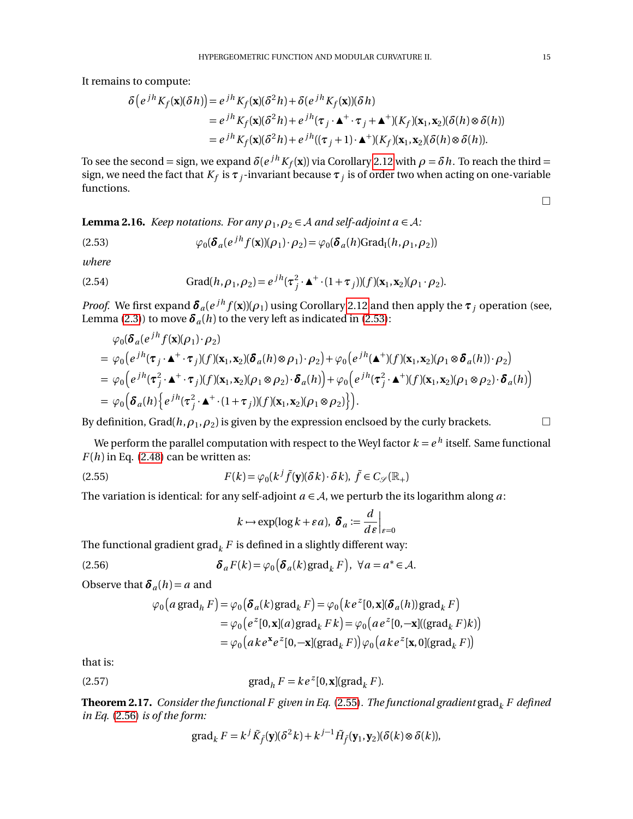It remains to compute:

$$
\delta(e^{jh}K_f(\mathbf{x})(\delta h)) = e^{jh}K_f(\mathbf{x})(\delta^2 h) + \delta(e^{jh}K_f(\mathbf{x}))(\delta h)
$$
  
\n
$$
= e^{jh}K_f(\mathbf{x})(\delta^2 h) + e^{jh}(\tau_j \cdot \mathbf{A}^+ \cdot \tau_j + \mathbf{A}^+)(K_f)(\mathbf{x}_1, \mathbf{x}_2)(\delta(h) \otimes \delta(h))
$$
  
\n
$$
= e^{jh}K_f(\mathbf{x})(\delta^2 h) + e^{jh}((\tau_j + 1) \cdot \mathbf{A}^+)(K_f)(\mathbf{x}_1, \mathbf{x}_2)(\delta(h) \otimes \delta(h)).
$$

To see the second = sign, we expand  $\delta(e^{jh}K_f(\mathbf{x}))$  via Corollary [2.12](#page-11-5) with  $\rho = \delta h$ . To reach the third = sign, we need the fact that  $K_f$  is  $\pmb{\tau}_j$ -invariant because  $\pmb{\tau}_j$  is of order two when acting on one-variable functions.

<span id="page-14-1"></span>**Lemma 2.16.** *Keep notations. For any*  $\rho_1$ ,  $\rho_2 \in A$  *and self-adjoint a*  $\in A$ *:* 

<span id="page-14-3"></span>(2.53) 
$$
\varphi_0(\boldsymbol{\delta}_a(e^{jh}f(\mathbf{x}))(\rho_1)\cdot\rho_2) = \varphi_0(\boldsymbol{\delta}_a(h)\text{Grad}_I(h,\rho_1,\rho_2))
$$

*where*

<span id="page-14-2"></span>(2.54) Grad
$$
(h, \rho_1, \rho_2) = e^{jh}(\tau_j^2 \cdot \mathbf{A}^+ \cdot (1 + \tau_j))(f)(\mathbf{x}_1, \mathbf{x}_2)(\rho_1 \cdot \rho_2).
$$

*Proof.* We first expand  $\bm{\delta}_a(e^{jh}f(\bm{x}))(\rho_1)$  using Corollary [2.12](#page-11-5) and then apply the  $\bm{\tau}_j$  operation (see, Lemma [\(2.3\)](#page-5-3)) to move  $\delta_a(h)$  to the very left as indicated in [\(2.53\)](#page-14-3):

$$
\varphi_0(\delta_a(e^{jh}f(\mathbf{x})(\rho_1)\cdot\rho_2))
$$
\n
$$
= \varphi_0(e^{jh}(\tau_j\cdot\mathbf{A}^+\cdot\tau_j)(f)(\mathbf{x}_1,\mathbf{x}_2)(\delta_a(h)\otimes\rho_1)\cdot\rho_2) + \varphi_0(e^{jh}(\mathbf{A}^+)(f)(\mathbf{x}_1,\mathbf{x}_2)(\rho_1\otimes\delta_a(h))\cdot\rho_2)
$$
\n
$$
= \varphi_0(e^{jh}(\tau_j^2\cdot\mathbf{A}^+\cdot\tau_j)(f)(\mathbf{x}_1,\mathbf{x}_2)(\rho_1\otimes\rho_2)\cdot\delta_a(h)) + \varphi_0(e^{jh}(\tau_j^2\cdot\mathbf{A}^+)(f)(\mathbf{x}_1,\mathbf{x}_2)(\rho_1\otimes\rho_2)\cdot\delta_a(h))
$$
\n
$$
= \varphi_0(\delta_a(h)\{e^{jh}(\tau_j^2\cdot\mathbf{A}^+\cdot(1+\tau_j))(f)(\mathbf{x}_1,\mathbf{x}_2)(\rho_1\otimes\rho_2)\}).
$$

By definition, Grad( $h, \rho_1, \rho_2$ ) is given by the expression enclsoed by the curly brackets.

We perform the parallel computation with respect to the Weyl factor  $k=e^{\,h}$  itself. Same functional  $F(h)$  in Eq. [\(2.48\)](#page-13-1) can be written as:

<span id="page-14-4"></span>(2.55) 
$$
F(k) = \varphi_0(k^j \tilde{f}(\mathbf{y})(\delta k) \cdot \delta k), \ \tilde{f} \in C_{\mathscr{S}}(\mathbb{R}_+)
$$

The variation is identical: for any self-adjoint  $a \in A$ , we perturb the its logarithm along *a*:

$$
k \mapsto \exp(\log k + \varepsilon a), \ \boldsymbol{\delta}_a := \frac{d}{d\varepsilon}\Big|_{\varepsilon=0}
$$

The functional gradient grad<sub>k</sub>  $F$  is defined in a slightly different way:

<span id="page-14-5"></span>(2.56) 
$$
\delta_a F(k) = \varphi_0 \big( \delta_a(k) \text{grad}_k F \big), \ \forall a = a^* \in \mathcal{A}.
$$

Observe that  $\delta_a(h) = a$  and

$$
\varphi_0(a \operatorname{grad}_h F) = \varphi_0(\delta_a(k) \operatorname{grad}_k F) = \varphi_0(ke^z[0, \mathbf{x}](\delta_a(h)) \operatorname{grad}_k F)
$$
  
\n
$$
= \varphi_0(e^z[0, \mathbf{x}](a) \operatorname{grad}_k Fk) = \varphi_0(a e^z[0, -\mathbf{x}]((\operatorname{grad}_k F)k))
$$
  
\n
$$
= \varphi_0(a ke^x e^z[0, -\mathbf{x}](\operatorname{grad}_k F)) \varphi_0(a ke^z[\mathbf{x}, 0](\operatorname{grad}_k F))
$$

that is:

<span id="page-14-6"></span>(2.57) 
$$
\operatorname{grad}_h F = k e^z [0, \mathbf{x}] (\operatorname{grad}_k F).
$$

<span id="page-14-0"></span>**Theorem 2.17.** *Consider the functional F given in Eq.* [\(2.55\)](#page-14-4). *The functional gradient* grad<sub>k</sub>  $F$  *defined in Eq.* [\(2.56\)](#page-14-5) *is of the form:*

grad<sub>k</sub> 
$$
F = k^j \tilde{K}_{\tilde{f}}(\mathbf{y})(\delta^2 k) + k^{j-1} \tilde{H}_{\tilde{f}}(\mathbf{y}_1, \mathbf{y}_2)(\delta(k) \otimes \delta(k)),
$$

 $\Box$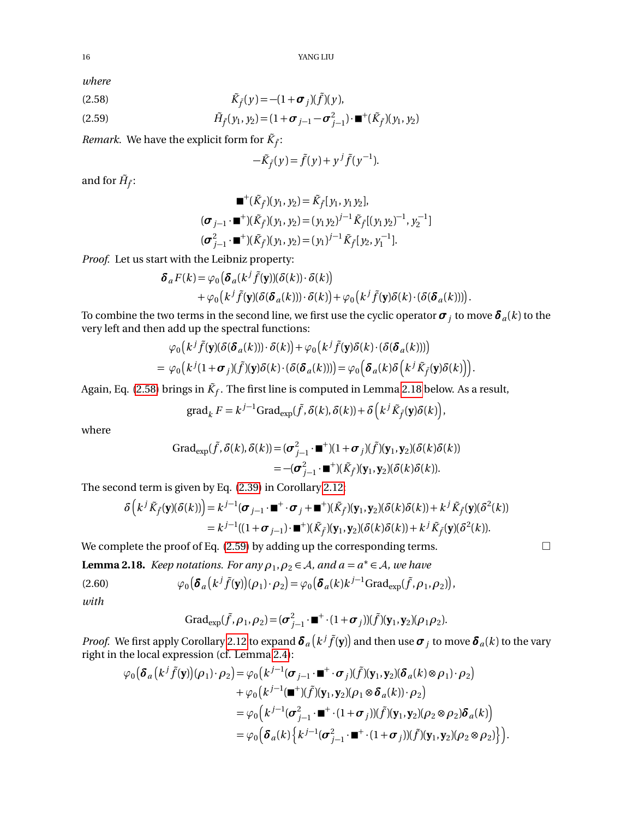*where*

<span id="page-15-0"></span>
$$
\tilde{K}_{\tilde{f}}(y) = -(1 + \boldsymbol{\sigma}_j)(\tilde{f})(y),
$$

<span id="page-15-2"></span>(2.59) 
$$
\tilde{H}_{\tilde{f}}(y_1, y_2) = (1 + \boldsymbol{\sigma}_{j-1} - \boldsymbol{\sigma}_{j-1}^2) \cdot \mathbf{m}^+(\tilde{K}_{\tilde{f}})(y_1, y_2)
$$

*Remark.* We have the explicit form for  $\tilde{K}_{\tilde{f}}$ :

$$
-\tilde{K}_{\tilde{f}}(y) = \tilde{f}(y) + y^j \tilde{f}(y^{-1}).
$$

and for  $\tilde{H}_{\tilde{f}}$ :

$$
\mathbf{w}^{+}(\tilde{K}_{\tilde{f}})(y_1, y_2) = \tilde{K}_{\tilde{f}}[y_1, y_1 y_2],
$$
  
\n
$$
(\sigma_{j-1} \cdot \mathbf{w}^{+})(\tilde{K}_{\tilde{f}})(y_1, y_2) = (y_1 y_2)^{j-1} \tilde{K}_{\tilde{f}}[(y_1 y_2)^{-1}, y_2^{-1}]
$$
  
\n
$$
(\sigma_{j-1}^{2} \cdot \mathbf{w}^{+})(\tilde{K}_{\tilde{f}})(y_1, y_2) = (y_1)^{j-1} \tilde{K}_{\tilde{f}}[y_2, y_1^{-1}].
$$

*Proof.* Let us start with the Leibniz property:

$$
\delta_a F(k) = \varphi_0 \big( \delta_a (k^j \tilde{f}(\mathbf{y})) (\delta(k)) \cdot \delta(k) \big) + \varphi_0 \big( k^j \tilde{f}(\mathbf{y}) (\delta(\delta_a(k))) \cdot \delta(k) \big) + \varphi_0 \big( k^j \tilde{f}(\mathbf{y}) \delta(k) \cdot (\delta(\delta_a(k))) \big).
$$

To combine the two terms in the second line, we first use the cyclic operator  $\bm{\sigma}_j$  to move  $\bm{\delta}_a(k)$  to the very left and then add up the spectral functions:

$$
\varphi_0(k^j \tilde{f}(\mathbf{y}) (\delta(\boldsymbol{\delta}_a(k))) \cdot \delta(k)) + \varphi_0(k^j \tilde{f}(\mathbf{y}) \delta(k) \cdot (\delta(\boldsymbol{\delta}_a(k))))
$$
  
= 
$$
\varphi_0(k^j (1 + \boldsymbol{\sigma}_j) (\tilde{f}) (\mathbf{y}) \delta(k) \cdot (\delta(\boldsymbol{\delta}_a(k)))) = \varphi_0(\boldsymbol{\delta}_a(k) \delta(k^j \tilde{K}_{\tilde{f}}(\mathbf{y}) \delta(k))).
$$

Again, Eq. [\(2.58\)](#page-15-0) brings in  $\tilde{K}_f$ . The first line is computed in Lemma [2.18](#page-15-1) below. As a result,

grad<sub>k</sub> 
$$
F = k^{j-1} \text{Grad}_{\text{exp}}(\tilde{f}, \delta(k), \delta(k)) + \delta \left( k^j \tilde{K}_{\tilde{f}}(\mathbf{y}) \delta(k) \right),
$$

where

$$
\begin{aligned} \text{Grad}_{\text{exp}}(\tilde{f}, \delta(k), \delta(k)) &= (\sigma_{j-1}^2 \cdot \blacksquare^+)(1 + \sigma_j)(\tilde{f})(\mathbf{y}_1, \mathbf{y}_2)(\delta(k)\delta(k)) \\ &= -(\sigma_{j-1}^2 \cdot \blacksquare^+)(\tilde{K}_{\tilde{f}})(\mathbf{y}_1, \mathbf{y}_2)(\delta(k)\delta(k)). \end{aligned}
$$

The second term is given by Eq. [\(2.39\)](#page-11-2) in Corollary [2.12:](#page-11-5)

$$
\delta\left(k^{j}\tilde{K}_{\tilde{f}}(\mathbf{y})(\delta(k))\right) = k^{j-1}(\boldsymbol{\sigma}_{j-1}\cdot\mathbf{m}^{+}\cdot\boldsymbol{\sigma}_{j} + \mathbf{m}^{+})(\tilde{K}_{\tilde{f}})(\mathbf{y}_{1},\mathbf{y}_{2})(\delta(k)\delta(k)) + k^{j}\tilde{K}_{\tilde{f}}(\mathbf{y})(\delta^{2}(k))
$$
  
=  $k^{j-1}((1+\boldsymbol{\sigma}_{j-1})\cdot\mathbf{m}^{+})(\tilde{K}_{\tilde{f}})(\mathbf{y}_{1},\mathbf{y}_{2})(\delta(k)\delta(k)) + k^{j}\tilde{K}_{\tilde{f}}(\mathbf{y})(\delta^{2}(k)).$ 

We complete the proof of Eq. [\(2.59\)](#page-15-2) by adding up the corresponding terms.  $\Box$ 

<span id="page-15-1"></span>**Lemma 2.18.** *Keep notations. For any*  $\rho_1$ ,  $\rho_2 \in A$ , and  $a = a^* \in A$ , we have

(2.60) 
$$
\varphi_0\big(\boldsymbol{\delta}_a\big(k^j\tilde{f}(\mathbf{y})\big)(\rho_1)\cdot\rho_2\big)=\varphi_0\big(\boldsymbol{\delta}_a(k)k^{j-1}\text{Grad}_{\exp}(\tilde{f},\rho_1,\rho_2)\big),
$$

*with*

$$
\text{Grad}_{\text{exp}}(\tilde{f}, \rho_1, \rho_2) = (\sigma_{j-1}^2 \cdot \blacksquare^+ \cdot (1 + \sigma_j))(\tilde{f})(\mathbf{y}_1, \mathbf{y}_2)(\rho_1 \rho_2).
$$

*Proof.* We first apply Corollary [2.12](#page-11-5) to expand  $\bm{\delta}_a\big(k^j\tilde{f}({\bf y})\big)$  and then use  $\bm{\sigma}_j$  to move  $\bm{\delta}_a(k)$  to the vary right in the local expression (cf. Lemma [2.4\)](#page-6-2):

$$
\varphi_0\big(\delta_a\big(k^j\tilde{f}(\mathbf{y})\big)(\rho_1)\cdot\rho_2\big) = \varphi_0\big(k^{j-1}(\sigma_{j-1}\cdot\mathbf{m}^+\cdot\sigma_j)(\tilde{f})(\mathbf{y}_1,\mathbf{y}_2)(\delta_a(k)\otimes\rho_1)\cdot\rho_2\big) \n+ \varphi_0\big(k^{j-1}(\mathbf{m}^+)(\tilde{f})(\mathbf{y}_1,\mathbf{y}_2)(\rho_1\otimes\delta_a(k))\cdot\rho_2\big) \n= \varphi_0\big(k^{j-1}(\sigma_{j-1}^2\cdot\mathbf{m}^+\cdot(1+\sigma_j))(\tilde{f})(\mathbf{y}_1,\mathbf{y}_2)(\rho_2\otimes\rho_2)\delta_a(k)\big) \n= \varphi_0\big(\delta_a(k)\big\{k^{j-1}(\sigma_{j-1}^2\cdot\mathbf{m}^+\cdot(1+\sigma_j))(\tilde{f})(\mathbf{y}_1,\mathbf{y}_2)(\rho_2\otimes\rho_2)\big\}\big).
$$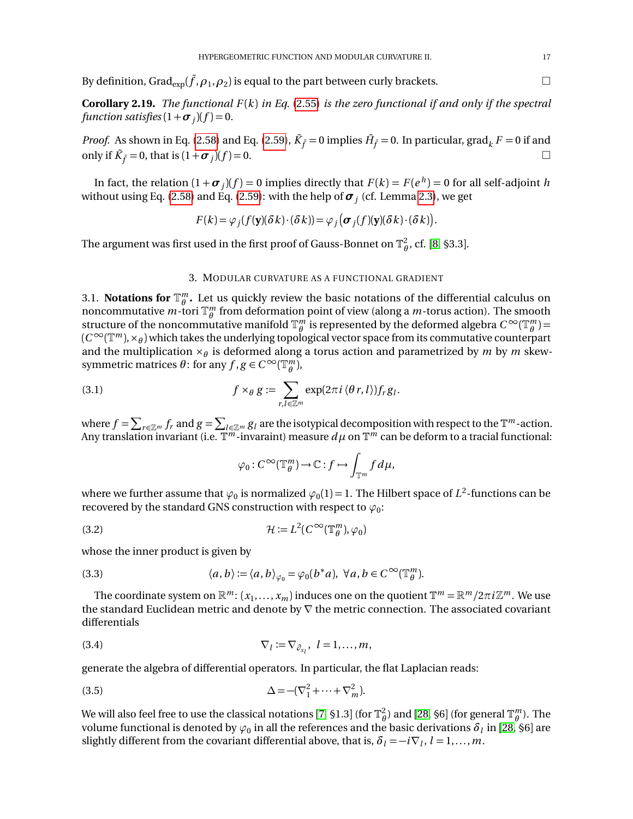By definition, Gra $\text{d}_{\text{exp}}(\tilde{f},\rho_1,\rho_2)$  is equal to the part between curly brackets.  $\hfill\Box$ 

**Corollary 2.19.** *The functional F* (*k*) *in Eq.* [\(2.55\)](#page-14-4) *is the zero functional if and only if the spectral function satisfies*  $(1 + \sigma_j)(f) = 0$ *.* 

*Proof.* As shown in Eq. [\(2.58\)](#page-15-0) and Eq. [\(2.59\)](#page-15-2),  $\tilde{K}_{\tilde{f}} = 0$  implies  $\tilde{H}_{\tilde{f}} = 0$ . In particular,  $\text{grad}_k F = 0$  if and only if  $\tilde{K}_{\tilde{f}} = 0$ , that is  $(1 + \sigma_j)$  $)(f)=0.$ 

In fact, the relation  $(1 + \sigma_j)(f) = 0$  implies directly that  $F(k) = F(e^{\,h}) = 0$  for all self-adjoint  $h$ without using Eq. [\(2.58\)](#page-15-0) and Eq. [\(2.59\)](#page-15-2): with the help of  $\bm{\sigma}_j$  (cf. Lemma [2.3\)](#page-5-3), we get

$$
F(k) = \varphi_j(f(\mathbf{y})(\delta k) \cdot (\delta k)) = \varphi_j(\boldsymbol{\sigma}_j(f)(\mathbf{y})(\delta k) \cdot (\delta k)).
$$

The argument was first used in the first proof of Gauss-Bonnet on  $\mathbb{T}_{\theta}^2$ , cf. [[8,](#page-35-1) §3.3].

### 3. MODULAR CURVATURE AS A FUNCTIONAL GRADIENT

<span id="page-16-1"></span><span id="page-16-0"></span>3.1. **Notations for**  $\mathbb{T}_{\theta}^m$ . Let us quickly review the basic notations of the differential calculus on noncommutative  $m$ -tori  $\mathbb{T}_{\theta}^{m}$  from deformation point of view (along a  $m$ -torus action). The smooth structure of the noncommutative manifold  $\mathbb{T}_{\theta}^m$  is represented by the deformed algebra  $C^{\infty}(\mathbb{T}_{\theta}^m)$  =  $(C^\infty(\mathbb{T}^m),\times_\theta)$  which takes the underlying topological vector space from its commutative counterpart and the multiplication ×*<sup>θ</sup>* is deformed along a torus action and parametrized by *m* by *m* skewsymmetric matrices  $\theta$ : for any  $f, g \in C^{\infty}(\mathbb{T}_{\theta}^{m})$ ,

(3.1) 
$$
f \times_{\theta} g := \sum_{r,l \in \mathbb{Z}^m} \exp(2\pi i \langle \theta r, l \rangle) f_r g_l.
$$

where  $f = \sum_{r \in \mathbb{Z}^m} f_r$  and  $g = \sum_{l \in \mathbb{Z}^m} g_l$  are the isotypical decomposition with respect to the  $\mathbb{T}^m$ -action. Any translation invariant (i.e.  $\mathbb{T}^m$ -invaraint) measure  $d\mu$  on  $\mathbb{T}^m$  can be deform to a tracial functional:

$$
\varphi_0: C^\infty(\mathbb{T}_\theta^m)\to \mathbb{C}: f\mapsto \int_{\mathbb{T}^m} f d\mu,
$$

where we further assume that  $\varphi_0$  is normalized  $\varphi_0(1)$  = 1. The Hilbert space of  $L^2$ -functions can be recovered by the standard GNS construction with respect to  $\varphi_0$ :

<span id="page-16-4"></span>(3.2) 
$$
\mathcal{H} := L^2(C^\infty(\mathbb{T}_\theta^m), \varphi_0)
$$

whose the inner product is given by

<span id="page-16-3"></span>(3.3) 
$$
\langle a,b\rangle := \langle a,b\rangle_{\varphi_0} = \varphi_0(b^*a), \ \forall a,b \in C^\infty(\mathbb{T}_\theta^m).
$$

The coordinate system on  $\mathbb{R}^m$ :  $(x_1, \ldots, x_m)$  induces one on the quotient  $\mathbb{T}^m = \mathbb{R}^m/2\pi i \mathbb{Z}^m$ . We use the standard Euclidean metric and denote by  $\nabla$  the metric connection. The associated covariant differentials

$$
\nabla_l := \nabla_{\partial_{x_l}}, \ l = 1, \ldots, m,
$$

generate the algebra of differential operators. In particular, the flat Laplacian reads:

<span id="page-16-2"></span>(3.5) 
$$
\Delta = -(\nabla_1^2 + \dots + \nabla_m^2).
$$

We will also feel free to use the classical notations [[7,](#page-35-3) §1.3] (for  $\mathbb{T}_\theta^2$ ) and [[28,](#page-36-4) §6] (for general  $\mathbb{T}_\theta^m$ ). The volume functional is denoted by  $\varphi_0$  in all the references and the basic derivations  ${\delta}_l$  in [[28,](#page-36-4) §6] are slightly different from the covariant differential above, that is,  $\delta_l = -i \nabla_l$ ,  $l = 1, \ldots, m$ .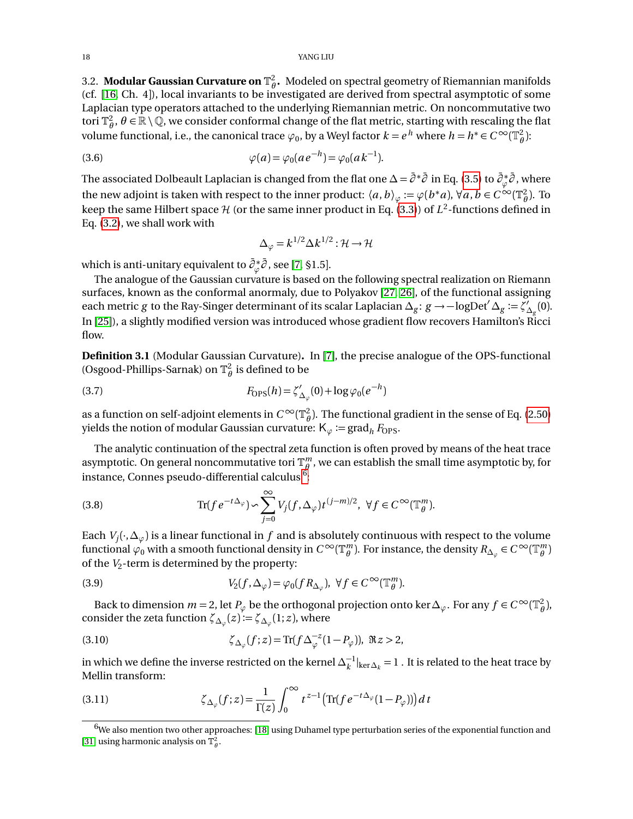#### 18 YANG LIU

<span id="page-17-0"></span>3.2. **Modular Gaussian Curvature on**  $\mathbb{T}^2_\theta$ . Modeled on spectral geometry of Riemannian manifolds (cf. [[16,](#page-35-13) Ch. 4]), local invariants to be investigated are derived from spectral asymptotic of some Laplacian type operators attached to the underlying Riemannian metric. On noncommutative two tori  $\mathbb{T}_\theta^2$ ,  $\theta \in \mathbb{R} \setminus \mathbb{Q}$ , we consider conformal change of the flat metric, starting with rescaling the flat volume functional, i.e., the canonical trace  $\varphi_0$ , by a Weyl factor  $k = e^h$  where  $h = h^* \in C^\infty(\mathbb{T}_\theta^2)$ :

(3.6) 
$$
\varphi(a) = \varphi_0(a e^{-h}) = \varphi_0(a k^{-1}).
$$

The associated Dolbeault Laplacian is changed from the flat one  $\Delta$  =  $\bar\partial^*\bar\partial$  in Eq. [\(3.5\)](#page-16-2) to  $\bar\partial^*_\varphi$ *ϕ* ¯*∂* , where the new adjoint is taken with respect to the inner product:  $\langle a,b\rangle_\varphi:=\varphi(b^*a),\forall a,b\in C^\infty(\mathbb{T}_\theta^2).$  To keep the same Hilbert space  ${\cal H}$  (or the same inner product in Eq. [\(3.3\)](#page-16-3)) of  $L^2$ -functions defined in Eq. [\(3.2\)](#page-16-4), we shall work with

$$
\Delta_{\varphi} = k^{1/2} \Delta k^{1/2} : \mathcal{H} \to \mathcal{H}
$$

which is anti-unitary equivalent to ¯*∂* ∗ *ϕ* ¯*∂* , see [[7,](#page-35-3) §1.5].

The analogue of the Gaussian curvature is based on the following spectral realization on Riemann surfaces, known as the conformal anormaly, due to Polyakov [[27,](#page-36-5) [26](#page-36-6)], of the functional assigning each metric *g* to the Ray-Singer determinant of its scalar Laplacian  $\Delta_g$ : *g* → −logDet<sup>'</sup>  $\Delta_g$  :=  $\zeta'_2$  $\Delta_{\rm g}^{\prime}(0).$ In [[25](#page-36-7)]), a slightly modified version was introduced whose gradient flow recovers Hamilton's Ricci flow.

**Definition 3.1** (Modular Gaussian Curvature)**.** In [[7](#page-35-3)], the precise analogue of the OPS-functional (Osgood-Phillips-Sarnak) on  $\mathbb{T}_{\theta}^2$  is defined to be

<span id="page-17-3"></span>(3.7) 
$$
F_{\rm OPS}(h) = \zeta'_{\Delta_{\varphi}}(0) + \log \varphi_0(e^{-h})
$$

as a function on self-adjoint elements in  $C^\infty(\mathbb{T}_\theta^2).$  The functional gradient in the sense of Eq. [\(2.50\)](#page-13-2) yields the notion of modular Gaussian curvature:  $K_{\varphi}$  := grad<sub>h</sub>  $F_{OPS}$ .

The analytic continuation of the spectral zeta function is often proved by means of the heat trace asymptotic. On general noncommutative tori  $\mathbb{T}_{\theta}^m$ , we can establish the small time asymptotic by, for instance, Connes pseudo-differential calculus  $^6$  $^6$ :

<span id="page-17-2"></span>(3.8) 
$$
\text{Tr}(fe^{-t\Delta_{\varphi}}) \sim \sum_{j=0}^{\infty} V_j(f, \Delta_{\varphi}) t^{(j-m)/2}, \ \forall f \in C^{\infty}(\mathbb{T}_{\theta}^m).
$$

Each  $V_j(\cdot,\Delta_\varphi)$  is a linear functional in  $f$  and is absolutely continuous with respect to the volume functional  $\varphi_0$  with a smooth functional density in  $C^\infty(\mathbb{T}^m_\theta)$ . For instance, the density  $R_{\Delta_\varphi}\in C^\infty(\mathbb{T}^m_\theta)$ of the *V*<sup>2</sup> -term is determined by the property:

(3.9) 
$$
V_2(f, \Delta_{\varphi}) = \varphi_0(f R_{\Delta_{\varphi}}), \ \forall f \in C^{\infty}(\mathbb{T}_\theta^m).
$$

Back to dimension  $m = 2$ , let  $P_{\varphi}$  be the orthogonal projection onto ker $\Delta_{\varphi}$ . For any  $f \in C^{\infty}(\mathbb{T}_{\theta}^2)$ , consider the zeta function  $\zeta_{\Delta_\varphi}(z)\!:=\!\zeta_{\Delta_\varphi}(1;z)$ , where

(3.10) 
$$
\zeta_{\Delta_{\varphi}}(f;z) = \text{Tr}(f \Delta_{\varphi}^{-z} (1 - P_{\varphi})), \ \Re z > 2,
$$

in which we define the inverse restricted on the kernel  $\Delta_k^{-1}|_{\ker\Delta_k}=1$  . It is related to the heat trace by Mellin transform:

(3.11) 
$$
\zeta_{\Delta_{\varphi}}(f; z) = \frac{1}{\Gamma(z)} \int_0^{\infty} t^{z-1} \left( \text{Tr}(f e^{-t\Delta_{\varphi}} (1 - P_{\varphi})) \right) dt
$$

<span id="page-17-1"></span> $6$ We also mention two other approaches: [[18](#page-35-14)] using Duhamel type perturbation series of the exponential function and [[31](#page-36-8)] using harmonic analysis on  $\mathbb{T}_{\theta}^2$ .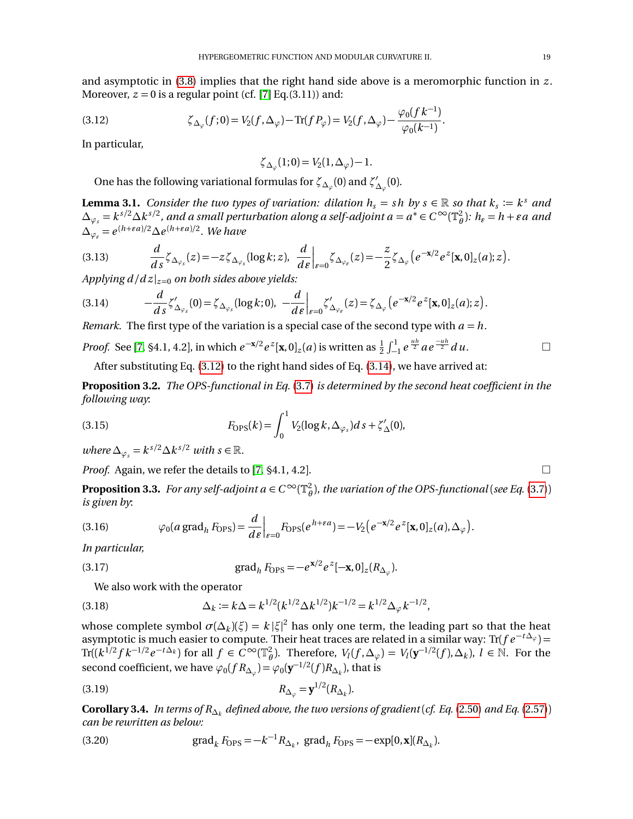and asymptotic in [\(3.8\)](#page-17-2) implies that the right hand side above is a meromorphic function in *z* . Moreover,  $z = 0$  is a regular point (cf. [[7](#page-35-3)] Eq.(3.11)) and:

(*f k* <sup>−</sup><sup>1</sup>

<span id="page-18-0"></span>(3.12) 
$$
\zeta_{\Delta_{\varphi}}(f;0) = V_2(f,\Delta_{\varphi}) - \text{Tr}(f P_{\varphi}) = V_2(f,\Delta_{\varphi}) - \frac{\varphi_0(f k^{-1})}{\varphi_0(k^{-1})}.
$$

In particular,

$$
\zeta_{\Delta_{\varphi}}(1;0) = V_2(1,\Delta_{\varphi}) - 1.
$$

One has the following variational formulas for  $\zeta_{\Delta_\varphi}(0)$  and  $\zeta'_{\Delta_\varphi}(0)$  $_{\Delta_\varphi}'(0).$ 

**Lemma 3.1.** *Consider the two types of variation: dilation*  $h_s = sh$  *by*  $s \in \mathbb{R}$  *so that*  $k_s := k^s$  *and*  $\Delta_{\varphi_s}=k^{s/2}\Delta k^{s/2}$ , and a small perturbation along a self-adjoint  $a=a^*\in C^\infty(\mathbb{T}_\theta^2)$ :  $h_\varepsilon=h+\varepsilon a$  and  $\Delta_{\varphi_{\varepsilon}} = e^{(h+\varepsilon a)/2} \Delta e^{(h+\varepsilon a)/2}$ . We have

$$
(3.13) \qquad \frac{d}{ds}\zeta_{\Delta_{\varphi_s}}(z)=-z\zeta_{\Delta_{\varphi_s}}(\log k;z),\ \frac{d}{d\epsilon}\Big|_{\epsilon=0}\zeta_{\Delta_{\varphi_\epsilon}}(z)=-\frac{z}{2}\zeta_{\Delta_{\varphi}}\big(e^{-x/2}e^z[\mathbf{x},0]_z(a);z\big).
$$

*Applying*  $d/dz|_{z=0}$  *on both sides above yields:* 

<span id="page-18-1"></span>
$$
(3.14) \qquad \qquad -\frac{d}{ds}\zeta'_{\Delta_{\varphi_s}}(0)=\zeta_{\Delta_{\varphi_s}}(\log k;0),\ \ -\frac{d}{d\varepsilon}\Big|_{\varepsilon=0}\zeta'_{\Delta_{\varphi_\varepsilon}}(z)=\zeta_{\Delta_{\varphi}}\big(e^{-x/2}e^z[\mathbf{x},0]_z(a);z\big).
$$

*Remark.* The first type of the variation is a special case of the second type with  $a = h$ .

*Proof.* See [[7,](#page-35-3) §4.1, 4.2], in which  $e^{-x/2}e^{z}$ [**x**, 0]<sub>*z*</sub>(*a*) is written as  $\frac{1}{2}\int_{-1}^{1}e^{\frac{uh}{2}}ae^{\frac{-uh}{2}}du$ . □

After substituting Eq. [\(3.12\)](#page-18-0) to the right hand sides of Eq. [\(3.14\)](#page-18-1), we have arrived at:

**Proposition 3.2.** *The OPS-functional in Eq.* [\(3.7\)](#page-17-3) *is determined by the second heat coefficient in the following way*:

<span id="page-18-5"></span>(3.15) 
$$
F_{\mathrm{OPS}}(k) = \int_0^1 V_2(\log k, \Delta_{\varphi_s}) ds + \zeta'_{\Delta}(0),
$$

 $where \Delta_{\varphi_s} = k^{s/2} \Delta k^{s/2}$  *with*  $s \in \mathbb{R}$ .

*Proof.* Again, we refer the details to [[7,](#page-35-3)  $\S 4.1$ ,  $4.2$ ].

**Proposition 3.3.** *For any self-adjoint a*  $\in C^\infty(\mathbb{T}_\theta^2)$ *, the variation of the OPS-functional* (*see Eq.* [\(3.7\)](#page-17-3)) *is given by*:

(3.16) 
$$
\varphi_0(a \operatorname{grad}_h F_{\text{OPS}}) = \frac{d}{d\varepsilon}\Big|_{\varepsilon=0} F_{\text{OPS}}(e^{h+\varepsilon a}) = -V_2\big(e^{-x/2}e^z[\mathbf{x},0]_z(a),\Delta_\varphi\big).
$$

*In particular,*

<span id="page-18-3"></span>(3.17) 
$$
\text{grad}_h F_{\text{OPS}} = -e^{\mathbf{x}/2} e^z [-\mathbf{x}, 0]_z (R_{\Delta_\varphi}).
$$

We also work with the operator

<span id="page-18-4"></span>(3.18) 
$$
\Delta_k := k \Delta = k^{1/2} (k^{1/2} \Delta k^{1/2}) k^{-1/2} = k^{1/2} \Delta_{\varphi} k^{-1/2},
$$

whose complete symbol  $\sigma(\Delta_k)(\xi) = k |\xi|^2$  has only one term, the leading part so that the heat asymptotic is much easier to compute. Their heat traces are related in a similar way: Tr( $f e^{-t\Delta_{\varphi}}$ ) =  $\text{Tr}((k^{1/2} f k^{-1/2} e^{-t\Delta_k})$  for all  $f \in C^{\infty}(\mathbb{T}_{\theta}^2)$ . Therefore,  $V_l(f, \Delta_{\varphi}) = V_l(\mathbf{y}^{-1/2}(f), \Delta_k)$ ,  $l \in \mathbb{N}$ . For the second coefficient, we have  $\varphi_0(f R_{\Delta_\varphi}) = \varphi_0(\mathbf{y}^{-1/2}(f) R_{\Delta_k})$ , that is

<span id="page-18-2"></span>
$$
R_{\Delta_{\varphi}} = \mathbf{y}^{1/2} (R_{\Delta_k}).
$$

 $\bf{Corollary 3.4.}$   $\it{In terms of R_{\Delta_k}}$  defined above, the two versions of gradient (cf. Eq. [\(2.50\)](#page-13-2) and Eq. [\(2.57\)](#page-14-6)) *can be rewritten as below:*

(3.20) grad<sub>k</sub> 
$$
F_{\text{OPS}} = -k^{-1} R_{\Delta_k}
$$
, grad<sub>h</sub>  $F_{\text{OPS}} = -\exp[0, \mathbf{x}](R_{\Delta_k})$ .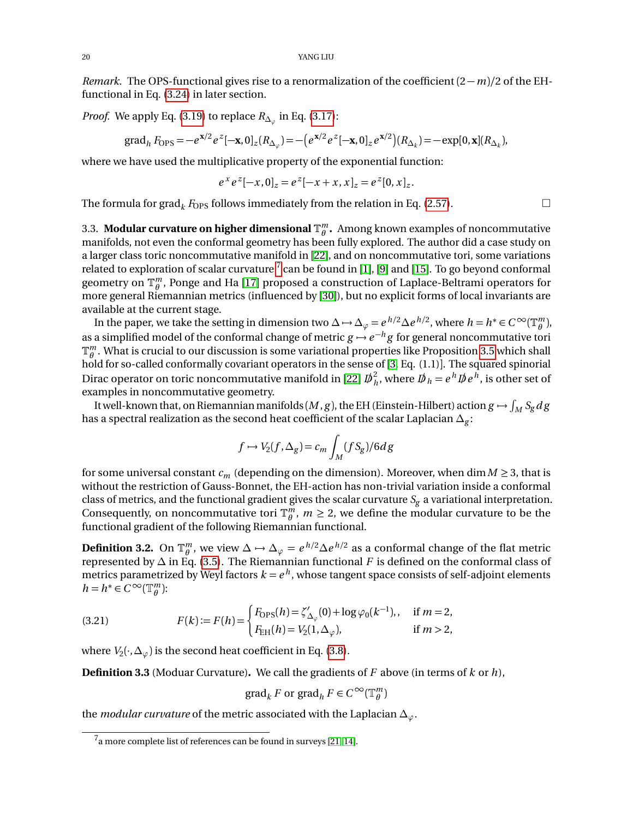*Remark.* The OPS-functional gives rise to a renormalization of the coefficient  $(2 - m)/2$  of the EHfunctional in Eq. [\(3.24\)](#page-20-3) in later section.

*Proof.* We apply Eq. [\(3.19\)](#page-18-2) to replace  $R_{\Delta_\varphi}$  in Eq. [\(3.17\)](#page-18-3):

grad<sub>h</sub> 
$$
F_{\text{OPS}} = -e^{\mathbf{x}/2} e^z [-\mathbf{x}, 0]_z (R_{\Delta_\varphi}) = -\left(e^{\mathbf{x}/2} e^z [-\mathbf{x}, 0]_z e^{\mathbf{x}/2}\right) (R_{\Delta_k}) = -\exp[0, \mathbf{x}] (R_{\Delta_k}),
$$

where we have used the multiplicative property of the exponential function:

$$
e^x e^z [-x, 0]_z = e^z [-x + x, x]_z = e^z [0, x]_z.
$$

The formula for grad<sub>k</sub>  $F_{\text{OPS}}$  follows immediately from the relation in Eq. [\(2.57\)](#page-14-6).

<span id="page-19-0"></span>3.3. Modular curvature on higher dimensional  $\mathbb{T}_{\theta}^m$ . Among known examples of noncommutative manifolds, not even the conformal geometry has been fully explored. The author did a case study on a larger class toric noncommutative manifold in [[22](#page-36-1)], and on noncommutative tori, some variations related to exploration of scalar curvature  $^7$  $^7$  can be found in [[1](#page-35-15)], [[9](#page-35-16)] and [[15](#page-35-17)]. To go beyond conformal geometry on  $\mathbb{T}_{\theta}^m$ , Ponge and Ha [[17](#page-35-18)] proposed a construction of Laplace-Beltrami operators for more general Riemannian metrics (influenced by [[30](#page-36-9)]), but no explicit forms of local invariants are available at the current stage.

In the paper, we take the setting in dimension two  $\Delta \mapsto \Delta_{\varphi} = e^{h/2} \Delta e^{h/2}$ , where  $h = h^* \in C^\infty(\mathbb{T}_\theta^m)$ , as a simplified model of the conformal change of metric  $g \mapsto e^{-h}g$  for general noncommutative tori  $\mathbb{T}_{\theta}^m$ . What is crucial to our discussion is some variational properties like Proposition [3.5](#page-20-4) which shall hold for so-called conformally covariant operators in the sense of [[3,](#page-35-19) Eq. (1.1)]. The squared spinorial Dirac operator on toric noncommutative manifold in [[22](#page-36-1)]  ${\not\!{\!D}}^2_{\,h}$  $\frac{a}{h}$ , where  $D\!\!\!\!/ \, h = e^h D\!\!\!\!/ \, e^h$ , is other set of examples in noncommutative geometry.

It well-known that, on Riemannian manifolds  $(M, g)$ , the EH (Einstein-Hilbert) action  $g \mapsto \int_M S_g d\,g$ has a spectral realization as the second heat coefficient of the scalar Laplacian  $\Delta_g$ :

$$
f \mapsto V_2(f, \Delta_g) = c_m \int_M (f S_g) / 6dg
$$

for some universal constant  $c_m$  (depending on the dimension). Moreover, when dim  $M \geq 3$ , that is without the restriction of Gauss-Bonnet, the EH-action has non-trivial variation inside a conformal class of metrics, and the functional gradient gives the scalar curvature  $S_g$  a variational interpretation. Consequently, on noncommutative tori  $\mathbb{T}_{\theta}^{m}$ ,  $m \geq 2$ , we define the modular curvature to be the functional gradient of the following Riemannian functional.

**Definition 3.2.** On  $\mathbb{T}_{\theta}^m$ , we view  $\Delta \mapsto \Delta_{\varphi} = e^{h/2} \Delta e^{h/2}$  as a conformal change of the flat metric represented by  $\Delta$  in Eq. [\(3.5\)](#page-16-2). The Riemannian functional  $F$  is defined on the conformal class of metrics parametrized by Weyl factors  $k=e^{\,h}$ , whose tangent space consists of self-adjoint elements  $h = h^* \in C^\infty(\mathbb{T}_{\theta}^m)$ :

(3.21) 
$$
F(k) := F(h) = \begin{cases} F_{\text{OPS}}(h) = \zeta'_{\Delta_{\varphi}}(0) + \log \varphi_0(k^{-1}), & \text{if } m = 2, \\ F_{\text{EH}}(h) = V_2(1, \Delta_{\varphi}), & \text{if } m > 2, \end{cases}
$$

where  $V_2(\cdot,\Delta_\varphi)$  is the second heat coefficient in Eq. [\(3.8\)](#page-17-2).

**Definition 3.3** (Moduar Curvature)**.** We call the gradients of *F* above (in terms of *k* or *h*),

$$
\operatorname{grad}_k F \text{ or } \operatorname{grad}_h F \in C^{\infty}(\mathbb{T}_\theta^m)
$$

the *modular curvature* of the metric associated with the Laplacian ∆*ϕ*.

<span id="page-19-1"></span> $^7$ a more complete list of references can be found in surveys [[21,](#page-36-10) [14](#page-35-20)].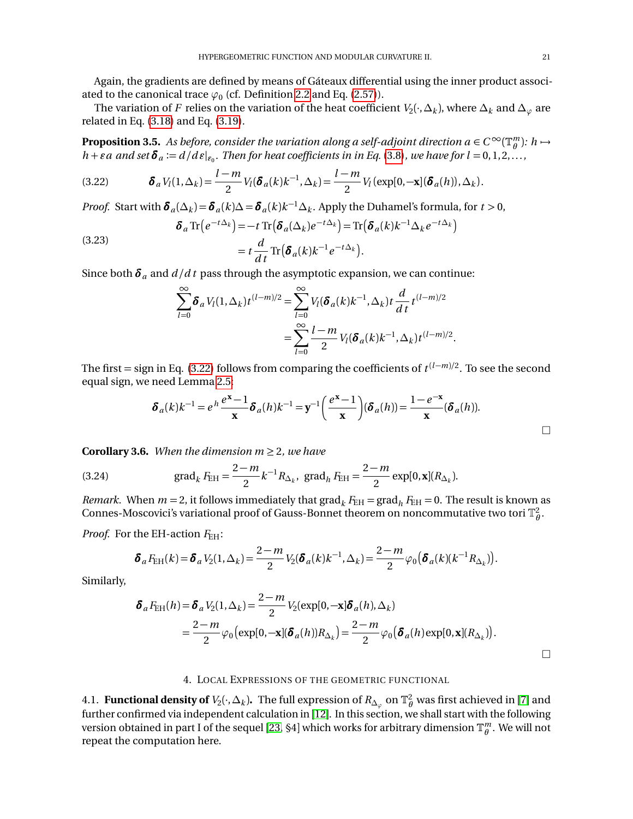Again, the gradients are defined by means of Gáteaux differential using the inner product associated to the canonical trace  $\varphi_0$  (cf. Definition [2.2](#page-13-4) and Eq. [\(2.57\)](#page-14-6)).

The variation of  $F$  relies on the variation of the heat coefficient  $V_2(\cdot,\Delta_k)$ , where  $\Delta_k$  and  $\Delta_\varphi$  are related in Eq. [\(3.18\)](#page-18-4) and Eq. [\(3.19\)](#page-18-2).

<span id="page-20-4"></span>**Proposition 3.5.** As before, consider the variation along a self-adjoint direction  $a \in C^\infty(\mathbb{T}^m_\theta)$ :  $h \mapsto$  $h + \varepsilon a$  and set  $\pmb{\delta}_a := d/d\, \pmb{\varepsilon}|_{\varepsilon_0}$ . Then for heat coefficients in in Eq. [\(3.8\)](#page-17-2), we have for  $l = 0, 1, 2, \ldots$ ,

<span id="page-20-5"></span>(3.22) 
$$
\boldsymbol{\delta}_a V_l(1,\Delta_k) = \frac{l-m}{2} V_l(\boldsymbol{\delta}_a(k)k^{-1},\Delta_k) = \frac{l-m}{2} V_l(\exp[0,-\mathbf{x}](\boldsymbol{\delta}_a(h)),\Delta_k).
$$

*Proof.* Start with  $\delta_a(\Delta_k) = \delta_a(k)\Delta = \delta_a(k)k^{-1}\Delta_k$ . Apply the Duhamel's formula, for  $t > 0$ ,

(3.23) 
$$
\delta_a \text{Tr}\left(e^{-t\Delta_k}\right) = -t \text{Tr}\left(\delta_a(\Delta_k)e^{-t\Delta_k}\right) = \text{Tr}\left(\delta_a(k)k^{-1}\Delta_k e^{-t\Delta_k}\right) = t \frac{d}{dt} \text{Tr}\left(\delta_a(k)k^{-1}e^{-t\Delta_k}\right).
$$

Since both  $\delta_a$  and  $d/dt$  pass through the asymptotic expansion, we can continue:

$$
\sum_{l=0}^{\infty} \delta_a V_l(1,\Delta_k) t^{(l-m)/2} = \sum_{l=0}^{\infty} V_l(\delta_a(k)k^{-1},\Delta_k) t \frac{d}{dt} t^{(l-m)/2}
$$
  
= 
$$
\sum_{l=0}^{\infty} \frac{l-m}{2} V_l(\delta_a(k)k^{-1},\Delta_k) t^{(l-m)/2}.
$$

The first = sign in Eq. [\(3.22\)](#page-20-5) follows from comparing the coefficients of  $t^{(l-m)/2}$ . To see the second equal sign, we need Lemma [2.5:](#page-7-7)

$$
\boldsymbol{\delta}_a(k)k^{-1} = e^h \frac{e^{\mathbf{x}}-1}{\mathbf{x}} \boldsymbol{\delta}_a(h)k^{-1} = \mathbf{y}^{-1} \left(\frac{e^{\mathbf{x}}-1}{\mathbf{x}}\right) (\boldsymbol{\delta}_a(h)) = \frac{1-e^{-\mathbf{x}}}{\mathbf{x}} (\boldsymbol{\delta}_a(h)).
$$

**Corollary 3.6.** *When the dimension*  $m \geq 2$ *, we have* 

<span id="page-20-3"></span>(3.24) grad<sub>k</sub> 
$$
F_{\text{EH}} = \frac{2-m}{2} k^{-1} R_{\Delta_k}
$$
, grad<sub>h</sub>  $F_{\text{EH}} = \frac{2-m}{2} \exp[0, \mathbf{x}](R_{\Delta_k})$ .

*Remark.* When  $m = 2$ , it follows immediately that  $\text{grad}_k F_{\text{EH}} = \text{grad}_h F_{\text{EH}} = 0$ . The result is known as Connes-Moscovici's variational proof of Gauss-Bonnet theorem on noncommutative two tori  $\mathbb{T}_{\theta}^2$ .

*Proof.* For the EH-action  $F_{\text{EH}}$ :

$$
\delta_a F_{\text{EH}}(k) = \delta_a V_2(1, \Delta_k) = \frac{2-m}{2} V_2(\delta_a(k)k^{-1}, \Delta_k) = \frac{2-m}{2} \varphi_0(\delta_a(k)(k^{-1}R_{\Delta_k})).
$$

Similarly,

$$
\delta_a F_{\text{EH}}(h) = \delta_a V_2(1, \Delta_k) = \frac{2-m}{2} V_2(\exp[0, -\mathbf{x}] \delta_a(h), \Delta_k)
$$
  
= 
$$
\frac{2-m}{2} \varphi_0 \big( \exp[0, -\mathbf{x}] (\delta_a(h)) R_{\Delta_k} \big) = \frac{2-m}{2} \varphi_0 \big( \delta_a(h) \exp[0, \mathbf{x}] (R_{\Delta_k}) \big).
$$

### 4. LOCAL EXPRESSIONS OF THE GEOMETRIC FUNCTIONAL

<span id="page-20-2"></span><span id="page-20-1"></span><span id="page-20-0"></span>4.1. **Functional density of**  $V_2(\cdot,\Delta_k)$ . The full expression of  $R_{\Delta_\varphi}$  on  $\mathbb{T}_\theta^2$  was first achieved in [[7](#page-35-3)] and further confirmed via independent calculation in [[12](#page-35-5)]. In this section, we shall start with the following version obtained in part I of the sequel [[23,](#page-36-0) §4] which works for arbitrary dimension  $\mathbb{T}_{\theta}^m$ . We will not repeat the computation here.

 $\Box$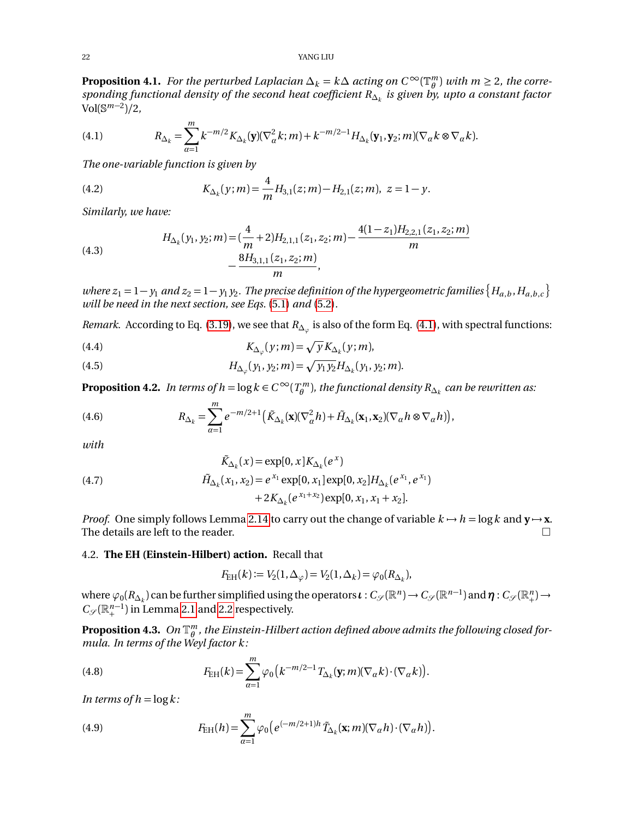**Proposition 4.1.** *For the perturbed Laplacian*  $\Delta_k = k\Delta$  *acting on*  $C^{\infty}(\mathbb{T}_{\theta}^m)$  *with*  $m \geq 2$ *, the corresponding functional density of the second heat coefficient R*∆*<sup>k</sup> is given by, upto a constant factor* Vol(S *m*−2 )*/*2*,*

<span id="page-21-3"></span>(4.1) 
$$
R_{\Delta_k} = \sum_{\alpha=1}^m k^{-m/2} K_{\Delta_k}(\mathbf{y}) (\nabla_\alpha^2 k; m) + k^{-m/2-1} H_{\Delta_k}(\mathbf{y}_1, \mathbf{y}_2; m) (\nabla_\alpha k \otimes \nabla_\alpha k).
$$

*The one-variable function is given by*

<span id="page-21-1"></span>(4.2) 
$$
K_{\Delta_k}(y;m) = \frac{4}{m} H_{3,1}(z;m) - H_{2,1}(z;m), \ z = 1 - y.
$$

*Similarly, we have:*

<span id="page-21-2"></span>(4.3) 
$$
H_{\Delta_k}(y_1, y_2; m) = \left(\frac{4}{m} + 2\right)H_{2,1,1}(z_1, z_2; m) - \frac{4(1-z_1)H_{2,2,1}(z_1, z_2; m)}{m} - \frac{8H_{3,1,1}(z_1, z_2; m)}{m},
$$

*where*  $z_1 = 1 - y_1$  and  $z_2 = 1 - y_1 y_2$ . The precise definition of the hypergeometric families  $\{H_{a,b}, H_{a,b,c}\}$ *will be need in the next section, see Eqs.* [\(5.1\)](#page-28-3) *and* [\(5.2\)](#page-28-4)*.*

*Remark.* According to Eq. [\(3.19\)](#page-18-2), we see that  $R_{\Delta_\varphi}$  is also of the form Eq. [\(4.1\)](#page-21-3), with spectral functions:

(4.4) 
$$
K_{\Delta_{\varphi}}(y;m) = \sqrt{y} K_{\Delta_k}(y;m),
$$

(4.5) 
$$
H_{\Delta_{\varphi}}(y_1, y_2; m) = \sqrt{y_1 y_2} H_{\Delta_k}(y_1, y_2; m).
$$

**Proposition 4.2.** *In terms of h* =  $\log k \in C^\infty(T^m_\theta)$ , the functional density  $R_{\Delta_k}$  can be rewritten as:

<span id="page-21-4"></span>(4.6) 
$$
R_{\Delta_k} = \sum_{\alpha=1}^m e^{-m/2+1} \left( \tilde{K}_{\Delta_k}(\mathbf{x}) (\nabla^2_{\alpha} h) + \tilde{H}_{\Delta_k}(\mathbf{x}_1, \mathbf{x}_2) (\nabla_{\alpha} h \otimes \nabla_{\alpha} h) \right),
$$

*with*

<span id="page-21-8"></span>(4.7) 
$$
\tilde{K}_{\Delta_k}(x) = \exp[0, x] K_{\Delta_k}(e^x)
$$

$$
\tilde{H}_{\Delta_k}(x_1, x_2) = e^{x_1} \exp[0, x_1] \exp[0, x_2] H_{\Delta_k}(e^{x_1}, e^{x_1})
$$

$$
+ 2K_{\Delta_k}(e^{x_1 + x_2}) \exp[0, x_1, x_1 + x_2].
$$

*Proof.* One simply follows Lemma [2.14](#page-12-1) to carry out the change of variable  $k \mapsto h = \log k$  and  $y \mapsto x$ . The details are left to the reader.  $\Box$ 

### <span id="page-21-0"></span>4.2. **The EH (Einstein-Hilbert) action.** Recall that

$$
F_{\rm EH}(k) := V_2(1, \Delta_{\varphi}) = V_2(1, \Delta_k) = \varphi_0(R_{\Delta_k}),
$$

where  $\varphi_0(R_{\Delta_k})$  can be further simplified using the operators  $\iota: C_{\mathscr{S}}(\mathbb{R}^n) \to C_{\mathscr{S}}(\mathbb{R}^{n-1})$  and  $\eta: C_{\mathscr{S}}(\mathbb{R}^n_+) \to C_{\mathscr{S}}(\mathbb{R}^n_+)$  $C_{\mathscr{S}}(\mathbb{R}^{n-1}_+)$  in Lemma [2.1](#page-5-4) and [2.2](#page-5-5) respectively.

<span id="page-21-7"></span> ${\bf Proposition \ 4.3.} \ \ On \ \mathbb{T}^m_\theta$  , the Einstein-Hilbert action defined above admits the following closed for*mula. In terms of the Weyl factor k:*

<span id="page-21-5"></span>(4.8) 
$$
F_{\text{EH}}(k) = \sum_{\alpha=1}^{m} \varphi_0 \left( k^{-m/2-1} T_{\Delta_k}(\mathbf{y};m) (\nabla_{\alpha} k) \cdot (\nabla_{\alpha} k) \right).
$$

*In terms of h* =  $\log k$ :

<span id="page-21-6"></span>(4.9) 
$$
F_{\text{EH}}(h) = \sum_{\alpha=1}^{m} \varphi_0 \big( e^{(-m/2+1)h} \tilde{T}_{\Delta_k}(\mathbf{x};m) (\nabla_{\alpha} h) \cdot (\nabla_{\alpha} h) \big).
$$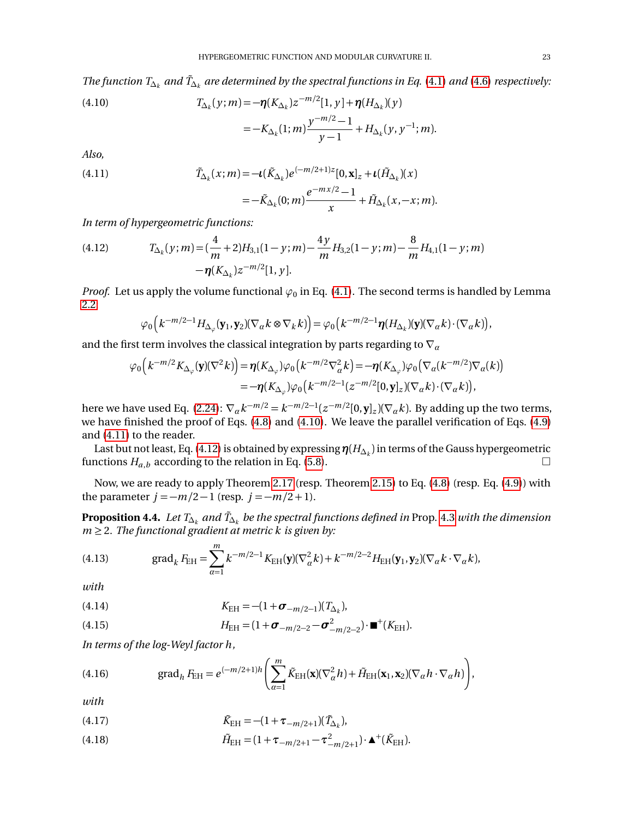*The function*  $T_{\Delta_k}$  *and*  $\tilde{T}_{\Delta_k}$  *are determined by the spectral functions in Eq. [\(4.1\)](#page-21-3) and [\(4.6\)](#page-21-4) respectively:* 

<span id="page-22-0"></span>(4.10) 
$$
T_{\Delta_k}(y;m) = -\eta (K_{\Delta_k}) z^{-m/2} [1, y] + \eta (H_{\Delta_k})(y)
$$

$$
= -K_{\Delta_k}(1;m) \frac{y^{-m/2} - 1}{y - 1} + H_{\Delta_k}(y, y^{-1}; m).
$$

*Also,*

<span id="page-22-1"></span>(4.11) 
$$
\tilde{T}_{\Delta_k}(x;m) = -\iota(\tilde{K}_{\Delta_k})e^{(-m/2+1)z}[0,\mathbf{x}]_z + \iota(\tilde{H}_{\Delta_k})(x) \n= -\tilde{K}_{\Delta_k}(0;m)\frac{e^{-mx/2}-1}{x} + \tilde{H}_{\Delta_k}(x,-x;m).
$$

*In term of hypergeometric functions:*

<span id="page-22-2"></span>(4.12) 
$$
T_{\Delta_k}(y;m) = \left(\frac{4}{m} + 2\right)H_{3,1}(1-y;m) - \frac{4y}{m}H_{3,2}(1-y;m) - \frac{8}{m}H_{4,1}(1-y;m) - \eta(K_{\Delta_k})z^{-m/2}[1,y].
$$

*Proof.* Let us apply the volume functional  $\varphi_0$  in Eq. [\(4.1\)](#page-21-3). The second terms is handled by Lemma [2.2:](#page-5-5)

$$
\varphi_0\big(k^{-m/2-1}H_{\Delta_{\varphi}}(\mathbf{y}_1,\mathbf{y}_2)(\nabla_{\alpha}k\otimes \nabla_k k)\big)=\varphi_0\big(k^{-m/2-1}\boldsymbol{\eta}(H_{\Delta_k})(\mathbf{y})(\nabla_{\alpha}k)\cdot(\nabla_{\alpha}k)\big),
$$

and the first term involves the classical integration by parts regarding to  $\nabla_a$ 

$$
\varphi_0\Big(k^{-m/2}K_{\Delta_{\varphi}}(\mathbf{y})(\nabla^2 k)\Big) = \eta(K_{\Delta_{\varphi}})\varphi_0\Big(k^{-m/2}\nabla^2_{\alpha}k\Big) = -\eta(K_{\Delta_{\varphi}})\varphi_0\big(\nabla_{\alpha}(k^{-m/2})\nabla_{\alpha}(k)\big) \n= -\eta(K_{\Delta_{\varphi}})\varphi_0\Big(k^{-m/2-1}(z^{-m/2}[0,\mathbf{y}]_z)(\nabla_{\alpha}k)\cdot(\nabla_{\alpha}k)\Big),
$$

here we have used Eq. [\(2.24\)](#page-7-2):  $\nabla_{a}k^{-m/2} = k^{-m/2-1}(z^{-m/2}[0, \mathbf{y}]_z)(\nabla_{a}k)$ . By adding up the two terms, we have finished the proof of Eqs. [\(4.8\)](#page-21-5) and [\(4.10\)](#page-22-0). We leave the parallel verification of Eqs. [\(4.9\)](#page-21-6) and [\(4.11\)](#page-22-1) to the reader.

Last but not least, Eq. [\(4.12\)](#page-22-2) is obtained by expressing*η*(*H*∆*<sup>k</sup>* ) in terms of the Gauss hypergeometric functions  $H_{a,b}$  according to the relation in Eq. [\(5.8\)](#page-29-1).

Now, we are ready to apply Theorem [2.17](#page-14-0) (resp. Theorem [2.15\)](#page-13-0) to Eq. [\(4.8\)](#page-21-5) (resp. Eq. [\(4.9\)](#page-21-6)) with the parameter  $j = -m/2 - 1$  (resp.  $j = -m/2 + 1$ ).

<span id="page-22-5"></span>**Proposition 4.4.** *Let T*∆*<sup>k</sup> and <sup>T</sup>*˜∆*<sup>k</sup> be the spectral functions defined in* Prop. [4.3](#page-21-7) *with the dimension*  $m \geq 2$ *. The functional gradient at metric k is given by:* 

(4.13) grad<sub>k</sub> 
$$
F_{\text{EH}} = \sum_{\alpha=1}^{m} k^{-m/2-1} K_{\text{EH}}(\mathbf{y}) (\nabla_{\alpha}^2 k) + k^{-m/2-2} H_{\text{EH}}(\mathbf{y}_1, \mathbf{y}_2) (\nabla_{\alpha} k \cdot \nabla_{\alpha} k),
$$

*with*

(4.14) 
$$
K_{\text{EH}} = -(1 + \sigma_{-m/2-1})(T_{\Delta_k}),
$$

(4.15) 
$$
H_{\text{EH}} = (1 + \sigma_{-m/2-2} - \sigma_{-m/2-2}^2) \cdot \mathbf{m}^+(K_{\text{EH}}).
$$

*In terms of the log-Weyl factor h,*

(4.16) grad<sub>h</sub> F<sub>EH</sub> = 
$$
e^{(-m/2+1)h} \left( \sum_{\alpha=1}^{m} \tilde{K}_{\text{EH}}(\mathbf{x}) (\nabla_{\alpha}^2 h) + \tilde{H}_{\text{EH}}(\mathbf{x}_1, \mathbf{x}_2) (\nabla_{\alpha} h \cdot \nabla_{\alpha} h) \right),
$$

*with*

<span id="page-22-3"></span>(4.17) 
$$
\tilde{K}_{\text{EH}} = -(1 + \tau_{-m/2+1})(\tilde{T}_{\Delta_k}),
$$

<span id="page-22-4"></span>(4.18) 
$$
\tilde{H}_{\text{EH}} = (1 + \tau_{-m/2+1} - \tau_{-m/2+1}^2) \cdot \blacktriangle^+(\tilde{K}_{\text{EH}}).
$$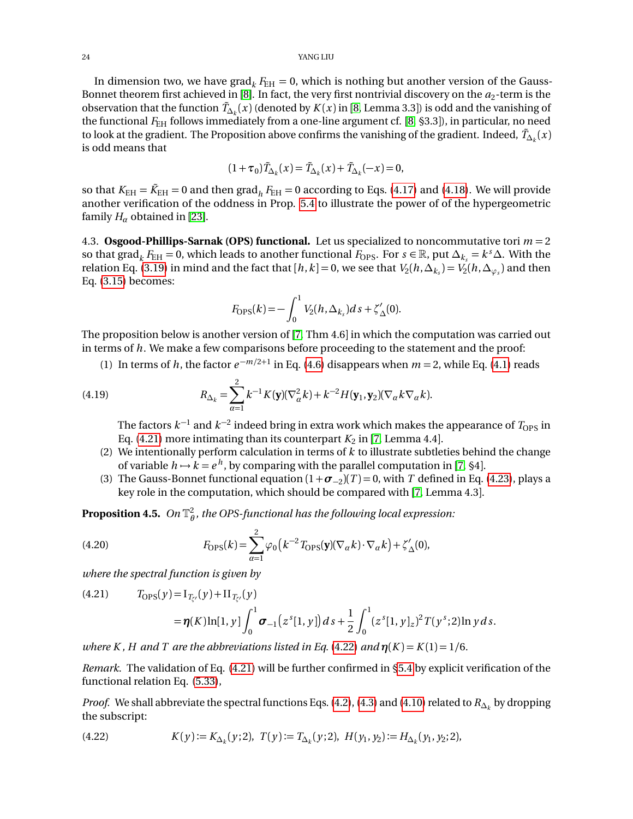#### 24 YANG LIU

In dimension two, we have grad<sub>k</sub>  $F_{\text{EH}} = 0$ , which is nothing but another version of the Gauss-Bonnet theorem first achieved in [[8](#page-35-1)]. In fact, the very first nontrivial discovery on the  $a_2$ -term is the observation that the function  $\tilde{T}_{\Delta_k}(x)$  (denoted by  $K(x)$  in [[8,](#page-35-1) Lemma 3.3]) is odd and the vanishing of the functional  $F_{\text{EH}}$  follows immediately from a one-line argument cf. [[8,](#page-35-1) §3.3]), in particular, no need to look at the gradient. The Proposition above confirms the vanishing of the gradient. Indeed,  $\tilde{T}_{\Delta_k}(x)$ is odd means that

$$
(1+\tau_0)\tilde{T}_{\Delta_k}(x) = \tilde{T}_{\Delta_k}(x) + \tilde{T}_{\Delta_k}(-x) = 0,
$$

so that  $K_{\text{EH}} = \tilde{K}_{\text{EH}} = 0$  and then  $\text{grad}_h F_{\text{EH}} = 0$  according to Eqs. [\(4.17\)](#page-22-3) and [\(4.18\)](#page-22-4). We will provide another verification of the oddness in Prop. [5.4](#page-32-0) to illustrate the power of of the hypergeometric family  $H_\alpha$  obtained in [[23](#page-36-0)].

<span id="page-23-0"></span>4.3. **Osgood-Phillips-Sarnak (OPS) functional.** Let us specialized to noncommutative tori *m* = 2 so that grad $_k$   $F_{\text{EH}} = 0$ , which leads to another functional  $F_{\text{OPS}}$ . For  $s \in \mathbb{R}$ , put  $\Delta_{k_s} = k^s \Delta$ . With the relation Eq. [\(3.19\)](#page-18-2) in mind and the fact that  $[h,k]$  = 0, we see that  $V_2(h,\Delta_{k_s})$  =  $V_2(h,\Delta_{\varphi_s})$  and then Eq. [\(3.15\)](#page-18-5) becomes:

$$
F_{\rm OPS}(k) = -\int_0^1 V_2(h, \Delta_{k_s}) ds + \zeta'_{\Delta}(0).
$$

The proposition below is another version of [[7,](#page-35-3) Thm 4.6] in which the computation was carried out in terms of *h*. We make a few comparisons before proceeding to the statement and the proof:

(1) In terms of *h*, the factor  $e^{-m/2+1}$  in Eq. [\(4.6\)](#page-21-4) disappears when  $m = 2$ , while Eq. [\(4.1\)](#page-21-3) reads

<span id="page-23-3"></span>(4.19) 
$$
R_{\Delta_k} = \sum_{\alpha=1}^2 k^{-1} K(\mathbf{y}) (\nabla^2_{\alpha} k) + k^{-2} H(\mathbf{y}_1, \mathbf{y}_2) (\nabla_{\alpha} k \nabla_{\alpha} k).
$$

The factors  $k^{-1}$  and  $k^{-2}$  indeed bring in extra work which makes the appearance of  $T_{\rm OPS}$  in Eq.  $(4.21)$  more intimating than its counterpart  $K_2$  in [[7,](#page-35-3) Lemma 4.4].

- (2) We intentionally perform calculation in terms of *k* to illustrate subtleties behind the change of variable  $h \mapsto k = e^h$ , by comparing with the parallel computation in [[7,](#page-35-3) §4].
- (3) The Gauss-Bonnet functional equation  $(1 + \sigma_{-2})(T) = 0$ , with *T* defined in Eq. [\(4.23\)](#page-24-0), plays a key role in the computation, which should be compared with [[7,](#page-35-3) Lemma 4.3].

<span id="page-23-5"></span> ${\bf Proposition \ 4.5.} \ \ On \ \mathbb{T}^2_\theta$  , the OPS-functional has the following local expression:

<span id="page-23-4"></span>(4.20) 
$$
F_{\rm OPS}(k) = \sum_{\alpha=1}^{2} \varphi_0 \left( k^{-2} T_{\rm OPS}(\mathbf{y}) (\nabla_{\alpha} k) \cdot \nabla_{\alpha} k \right) + \zeta_{\Delta}'(0),
$$

*where the spectral function is given by*

<span id="page-23-1"></span>(4.21) 
$$
T_{\text{OPS}}(y) = I_{T'_{\zeta'}}(y) + II_{T_{\zeta'}}(y)
$$

$$
= \eta(K)\ln[1, y] \int_0^1 \sigma_{-1}(z^s[1, y]) ds + \frac{1}{2} \int_0^1 (z^s[1, y]_z)^2 T(y^s; 2) \ln y ds.
$$

*where K, H and T are the abbreviations listed in Eq.* [\(4.22\)](#page-23-2) *and*  $\eta(K) = K(1) = 1/6$ .

*Remark.* The validation of Eq. [\(4.21\)](#page-23-1) will be further confirmed in [§5.4](#page-31-0) by explicit verification of the functional relation Eq. [\(5.33\)](#page-33-1),

*Proof.* We shall abbreviate the spectral functions Eqs. [\(4.2\)](#page-21-1), [\(4.3\)](#page-21-2) and [\(4.10\)](#page-22-0) related to  $R_{\Delta_k}$  by dropping the subscript:

<span id="page-23-2"></span>(4.22) 
$$
K(y) := K_{\Delta_k}(y; 2), \ T(y) := T_{\Delta_k}(y; 2), \ H(y_1, y_2) := H_{\Delta_k}(y_1, y_2; 2),
$$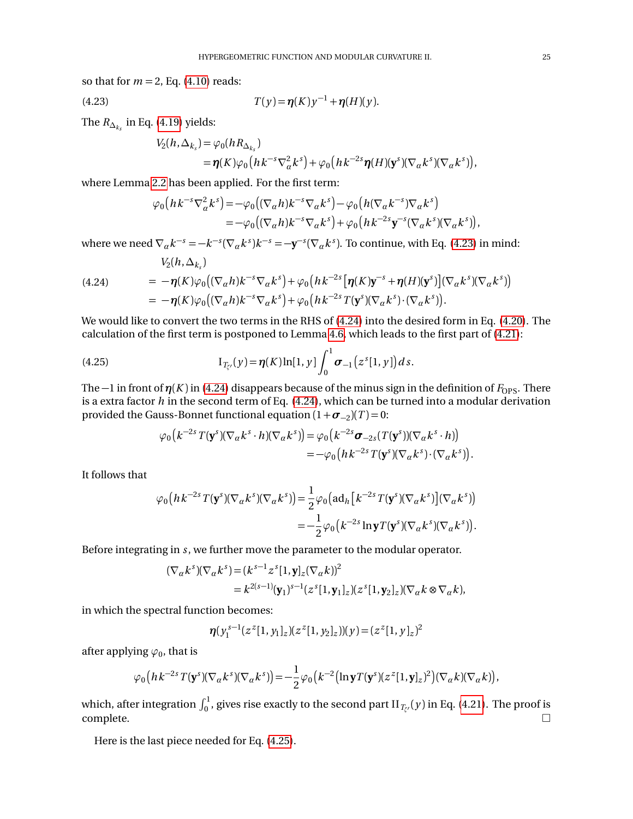so that for  $m = 2$ , Eq.  $(4.10)$  reads:

<span id="page-24-0"></span>(4.23) 
$$
T(y) = \eta(K) y^{-1} + \eta(H)(y).
$$

The  $R_{\Delta_{k_s}}$  in Eq. [\(4.19\)](#page-23-3) yields:

$$
V_2(h, \Delta_{k_s}) = \varphi_0(hR_{\Delta_{k_s}})
$$
  
=  $\eta(K)\varphi_0\big(hk^{-s}\nabla^2_{\alpha}k^s\big) + \varphi_0\big(hk^{-2s}\eta(H)(\mathbf{y}^s)(\nabla_{\alpha}k^s)(\nabla_{\alpha}k^s)\big),$ 

where Lemma [2.2](#page-5-5) has been applied. For the first term:

$$
\varphi_0\big(hk^{-s}\nabla^2_{\alpha}k^s\big) = -\varphi_0\big((\nabla_{\alpha}h)k^{-s}\nabla_{\alpha}k^s\big) - \varphi_0\big(h(\nabla_{\alpha}k^{-s})\nabla_{\alpha}k^s\big) \n= -\varphi_0\big((\nabla_{\alpha}h)k^{-s}\nabla_{\alpha}k^s\big) + \varphi_0\big(hk^{-2s}\mathbf{y}^{-s}(\nabla_{\alpha}k^s)(\nabla_{\alpha}k^s)\big),
$$

where we need  $\nabla_{\alpha} k^{-s} = -k^{-s} (\nabla_{\alpha} k^s) k^{-s} = -\mathbf{y}^{-s} (\nabla_{\alpha} k^s)$ . To continue, with Eq. [\(4.23\)](#page-24-0) in mind:

<span id="page-24-1"></span>(4.24)  
\n
$$
V_2(h, \Delta_{k_s})
$$
\n
$$
= -\eta(K)\varphi_0((\nabla_{\alpha}h)k^{-s}\nabla_{\alpha}k^s) + \varphi_0(hk^{-2s}[\eta(K)\mathbf{y}^{-s} + \eta(H)(\mathbf{y}^s)](\nabla_{\alpha}k^s)(\nabla_{\alpha}k^s))
$$
\n
$$
= -\eta(K)\varphi_0((\nabla_{\alpha}h)k^{-s}\nabla_{\alpha}k^s) + \varphi_0(hk^{-2s}T(\mathbf{y}^s)(\nabla_{\alpha}k^s)\cdot(\nabla_{\alpha}k^s)).
$$

We would like to convert the two terms in the RHS of [\(4.24\)](#page-24-1) into the desired form in Eq. [\(4.20\)](#page-23-4). The calculation of the first term is postponed to Lemma [4.6,](#page-24-2) which leads to the first part of [\(4.21\)](#page-23-1):

<span id="page-24-3"></span>(4.25) 
$$
I_{T_{\zeta'}}(y) = \eta(K) \ln[1, y] \int_0^1 \sigma_{-1}(z^{s}[1, y]) ds.
$$

The  $-1$  in front of  $\eta(K)$  in [\(4.24\)](#page-24-1) disappears because of the minus sign in the definition of  $F_{\text{OPS}}$ . There is a extra factor *h* in the second term of Eq. [\(4.24\)](#page-24-1), which can be turned into a modular derivation provided the Gauss-Bonnet functional equation  $(1 + \sigma_{-2})(T) = 0$ :

$$
\varphi_0(k^{-2s}T(\mathbf{y}^s)(\nabla_{\alpha}k^s\cdot h)(\nabla_{\alpha}k^s)) = \varphi_0(k^{-2s}\sigma_{-2s}(T(\mathbf{y}^s))(\nabla_{\alpha}k^s\cdot h))
$$
  
=  $-\varphi_0\big(hk^{-2s}T(\mathbf{y}^s)(\nabla_{\alpha}k^s)\cdot(\nabla_{\alpha}k^s)\big).$ 

It follows that

$$
\varphi_0\big(hk^{-2s}T(\mathbf{y}^s)(\nabla_\alpha k^s)(\nabla_\alpha k^s)\big) = \frac{1}{2}\varphi_0\big(\mathrm{ad}_h\big[k^{-2s}T(\mathbf{y}^s)(\nabla_\alpha k^s)\big](\nabla_\alpha k^s)\big) \n= -\frac{1}{2}\varphi_0\big(k^{-2s}\ln\mathbf{y}T(\mathbf{y}^s)(\nabla_\alpha k^s)(\nabla_\alpha k^s)\big).
$$

Before integrating in *s*, we further move the parameter to the modular operator.

$$
\begin{aligned} (\nabla_{\alpha} k^s)(\nabla_{\alpha} k^s) &= (k^{s-1} z^s [1, \mathbf{y}]_z (\nabla_{\alpha} k))^2 \\ &= k^{2(s-1)} (\mathbf{y}_1)^{s-1} (z^s [1, \mathbf{y}_1]_z) (z^s [1, \mathbf{y}_2]_z) (\nabla_{\alpha} k \otimes \nabla_{\alpha} k), \end{aligned}
$$

in which the spectral function becomes:

$$
\boldsymbol{\eta}(y_1^{s-1}(z^z[1,y_1]_z)(z^z[1,y_2]_z))(y) = (z^z[1,y]_z)^2
$$

after applying  $\varphi_0$ , that is

$$
\varphi_0\big(hk^{-2s}T(\mathbf{y}^s)(\nabla_{\alpha}k^s)(\nabla_{\alpha}k^s)\big) = -\frac{1}{2}\varphi_0\big(k^{-2}\big(\ln \mathbf{y}T(\mathbf{y}^s)(z^z[1,\mathbf{y}]_z)^2\big)(\nabla_{\alpha}k)(\nabla_{\alpha}k)\big),
$$

which, after integration  $\int_0^1$ , gives rise exactly to the second part II $_{T_{\zeta'}}(y)$  in Eq. [\(4.21\)](#page-23-1). The proof is  $\Box$ complete.  $\Box$ 

<span id="page-24-2"></span>Here is the last piece needed for Eq. [\(4.25\)](#page-24-3).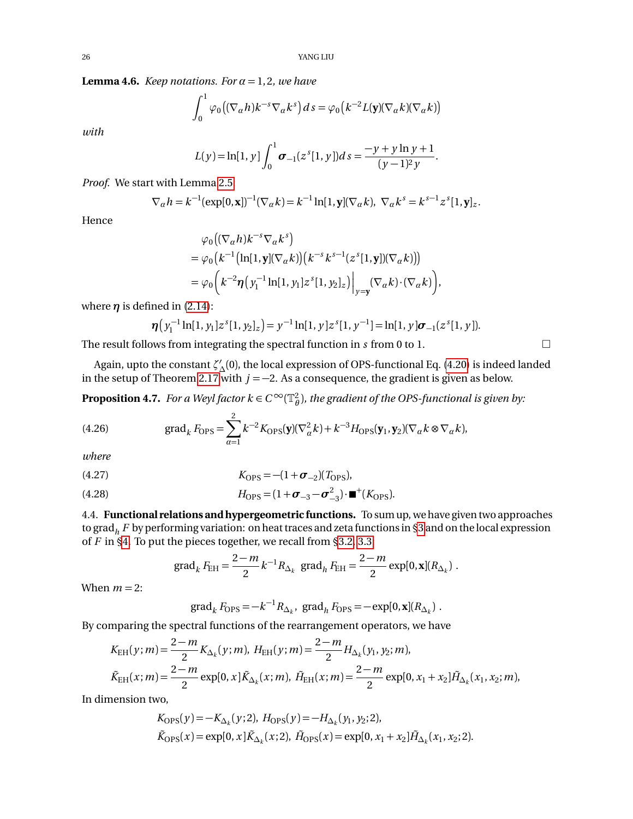**Lemma 4.6.** *Keep notations. For*  $\alpha = 1, 2$ *, we have* 

$$
\int_0^1 \varphi_0\big((\nabla_\alpha h)k^{-s}\nabla_\alpha k^s\big)ds = \varphi_0\big(k^{-2}L(\mathbf{y})(\nabla_\alpha k)(\nabla_\alpha k)\big)
$$

*with*

$$
L(y) = \ln[1, y] \int_0^1 \sigma_{-1}(z^{s}[1, y]) ds = \frac{-y + y \ln y + 1}{(y - 1)^2 y}.
$$

*Proof.* We start with Lemma [2.5:](#page-7-7)

$$
\nabla_{\alpha} h = k^{-1} (\exp[0, \mathbf{x}])^{-1} (\nabla_{\alpha} k) = k^{-1} \ln[1, \mathbf{y}] (\nabla_{\alpha} k), \ \nabla_{\alpha} k^{s} = k^{s-1} z^{s} [1, \mathbf{y}]_{z}.
$$

Hence

$$
\varphi_0((\nabla_{\alpha} h)k^{-s}\nabla_{\alpha} k^s)
$$
  
=  $\varphi_0(k^{-1}(\ln[1, \mathbf{y}](\nabla_{\alpha} k)) (k^{-s}k^{s-1}(z^{s}[1, \mathbf{y}])(\nabla_{\alpha} k)))$   
=  $\varphi_0(k^{-2}\eta(y_1^{-1}\ln[1, y_1]z^{s}[1, y_2]_z)|_{y=\mathbf{y}} (\nabla_{\alpha} k) \cdot (\nabla_{\alpha} k)),$ 

where  $\eta$  is defined in [\(2.14\)](#page-5-6):

$$
\boldsymbol{\eta}\big(y_1^{-1}\ln[1,y_1]z^s[1,y_2]_z\big)=y^{-1}\ln[1,y]z^s[1,y^{-1}]=\ln[1,y]\boldsymbol{\sigma}_{-1}(z^s[1,y]).
$$

The result follows from integrating the spectral function in *s* from 0 to 1.

Again, upto the constant  $\zeta'_{\Delta}(0)$ , the local expression of OPS-functional Eq. [\(4.20\)](#page-23-4) is indeed landed in the setup of Theorem [2.17](#page-14-0) with  $j = -2$ . As a consequence, the gradient is given as below.

<span id="page-25-1"></span>**Proposition 4.7.** *For a Weyl factor k*  $\in C^\infty(\mathbb{T}_\theta^2)$ , *the gradient of the OPS-functional is given by:* 

(4.26) grad<sub>k</sub> 
$$
F_{\text{OPS}} = \sum_{\alpha=1}^{2} k^{-2} K_{\text{OPS}}(\mathbf{y}) (\nabla_{\alpha}^2 k) + k^{-3} H_{\text{OPS}}(\mathbf{y}_1, \mathbf{y}_2) (\nabla_{\alpha} k \otimes \nabla_{\alpha} k),
$$

*where*

(4.27) 
$$
K_{\rm OPS} = -(1 + \sigma_{-2})(T_{\rm OPS}),
$$

(4.28) 
$$
H_{\rm OPS} = (1 + \sigma_{-3} - \sigma_{-3}^2) \cdot \blacksquare^+(K_{\rm OPS}).
$$

<span id="page-25-0"></span>4.4. **Functional relations and hypergeometric functions.** To sum up, we have given two approaches to grad*<sup>h</sup> F* by performing variation: on heat traces and zeta functions in [§3](#page-16-0) and on the local expression of *F* in [§4.](#page-20-0) To put the pieces together, we recall from [§3.2,](#page-17-0) [3.3:](#page-19-0)

grad<sub>k</sub> 
$$
F_{\text{EH}} = \frac{2-m}{2} k^{-1} R_{\Delta_k}
$$
 grad<sub>h</sub>  $F_{\text{EH}} = \frac{2-m}{2} \exp[0, \mathbf{x}](R_{\Delta_k}).$ 

When  $m = 2$ :

$$
\operatorname{grad}_k F_{\text{OPS}} = -k^{-1} R_{\Delta_k}, \ \operatorname{grad}_h F_{\text{OPS}} = -\exp[0, \mathbf{x}](R_{\Delta_k}).
$$

By comparing the spectral functions of the rearrangement operators, we have

$$
K_{\rm EH}(y;m) = \frac{2-m}{2} K_{\Delta_k}(y;m), \ H_{\rm EH}(y;m) = \frac{2-m}{2} H_{\Delta_k}(y_1, y_2;m),
$$
  

$$
\tilde{K}_{\rm EH}(x;m) = \frac{2-m}{2} \exp[0, x] \tilde{K}_{\Delta_k}(x;m), \ \tilde{H}_{\rm EH}(x;m) = \frac{2-m}{2} \exp[0, x_1 + x_2] \tilde{H}_{\Delta_k}(x_1, x_2;m),
$$

In dimension two,

$$
K_{\text{OPS}}(y) = -K_{\Delta_k}(y; 2), H_{\text{OPS}}(y) = -H_{\Delta_k}(y_1, y_2; 2),
$$
  
\n
$$
\tilde{K}_{\text{OPS}}(x) = \exp[0, x] \tilde{K}_{\Delta_k}(x; 2), \ \tilde{H}_{\text{OPS}}(x) = \exp[0, x_1 + x_2] \tilde{H}_{\Delta_k}(x_1, x_2; 2).
$$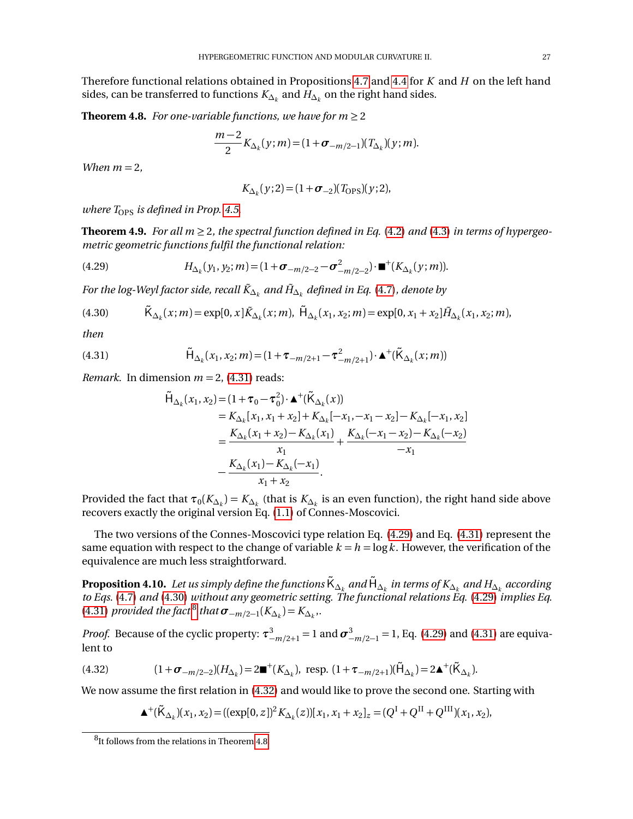Therefore functional relations obtained in Propositions [4.7](#page-25-1) and [4.4](#page-22-5) for *K* and *H* on the left hand sides, can be transferred to functions  $K_{\Delta_k}$  and  $H_{\Delta_k}$  on the right hand sides.

<span id="page-26-0"></span>**Theorem 4.8.** *For one-variable functions, we have for*  $m \geq 2$ 

$$
\frac{m-2}{2}K_{\Delta_k}(y;m)=(1+\sigma_{-m/2-1})(T_{\Delta_k})(y;m).
$$

*When*  $m = 2$ *,* 

$$
K_{\Delta_k}(y;2) = (1 + \sigma_{-2})(T_{\rm OPS})(y;2),
$$

*where*  $T_{\text{OPS}}$  *is defined in Prop.* [4.5.](#page-23-5)

<span id="page-26-1"></span>**Theorem 4.9.** *For all*  $m \geq 2$ *, the spectral function defined in Eq.* [\(4.2\)](#page-21-1) *and* [\(4.3\)](#page-21-2) *in terms of hypergeometric geometric functions fulfil the functional relation:*

<span id="page-26-4"></span>(4.29) 
$$
H_{\Delta_k}(y_1, y_2; m) = (1 + \sigma_{-m/2 - 2} - \sigma_{-m/2 - 2}^2) \cdot \mathbf{m}^+(K_{\Delta_k}(y; m)).
$$

 $F$ or the log-Weyl factor side, recall  $\tilde{K}_{\Delta_k}$  and  $\tilde{H}_{\Delta_k}$  defined in Eq. [\(4.7\)](#page-21-8), denote by

<span id="page-26-5"></span>
$$
(4.30) \qquad \tilde{\mathsf{K}}_{\Delta_k}(x;m) = \exp[0,x] \tilde{\mathsf{K}}_{\Delta_k}(x;m), \ \tilde{\mathsf{H}}_{\Delta_k}(x_1,x_2;m) = \exp[0,x_1+x_2] \tilde{\mathsf{H}}_{\Delta_k}(x_1,x_2;m),
$$

*then*

<span id="page-26-3"></span>(4.31) 
$$
\tilde{H}_{\Delta_k}(x_1, x_2; m) = (1 + \tau_{-m/2+1} - \tau_{-m/2+1}^2) \cdot \mathbf{\Delta}^+(\tilde{K}_{\Delta_k}(x; m))
$$

*Remark.* In dimension  $m = 2$ , [\(4.31\)](#page-26-3) reads:

$$
\tilde{H}_{\Delta_k}(x_1, x_2) = (1 + \tau_0 - \tau_0^2) \cdot \mathbf{\Delta}^+(\tilde{K}_{\Delta_k}(x))
$$
\n
$$
= K_{\Delta_k}[x_1, x_1 + x_2] + K_{\Delta_k}[-x_1, -x_1 - x_2] - K_{\Delta_k}[-x_1, x_2]
$$
\n
$$
= \frac{K_{\Delta_k}(x_1 + x_2) - K_{\Delta_k}(x_1)}{x_1} + \frac{K_{\Delta_k}(-x_1 - x_2) - K_{\Delta_k}(-x_2)}{-x_1}
$$
\n
$$
- \frac{K_{\Delta_k}(x_1) - K_{\Delta_k}(-x_1)}{x_1 + x_2}.
$$

Provided the fact that  $\tau_0(K_{\Delta_k})=K_{\Delta_k}$  (that is  $K_{\Delta_k}$  is an even function), the right hand side above recovers exactly the original version Eq. [\(1.1\)](#page-1-3) of Connes-Moscovici.

The two versions of the Connes-Moscovici type relation Eq. [\(4.29\)](#page-26-4) and Eq. [\(4.31\)](#page-26-3) represent the same equation with respect to the change of variable  $k = h = \log k$ . However, the verification of the equivalence are much less straightforward.

<span id="page-26-2"></span> ${\bf Proof}$   ${\bf K}_{\Delta_k}$  and  ${\bf H}_{\Delta_k}$  and  ${\bf H}_{\Delta_k}$  and  ${\bf H}_{\Delta_k}$  and  ${\bf H}_{\Delta_k}$  and  ${\bf H}_{\Delta_k}$  according *to Eqs.* [\(4.7\)](#page-21-8) *and* [\(4.30\)](#page-26-5) *without any geometric setting. The functional relations Eq.* [\(4.29\)](#page-26-4) *implies Eq.* [\(4.31\)](#page-26-3) *provided the fact*<sup>[8](#page-26-6)</sup> *that*  $\sigma$ <sub>-*m*/2-1</sub>( $K_{\Delta_k}$ ) =  $K_{\Delta_k}$ ,.

*Proof.* Because of the cyclic property:  $\tau_{-m/2+1}^3 = 1$  and  $\sigma_{-m/2-1}^3 = 1$ , Eq. [\(4.29\)](#page-26-4) and [\(4.31\)](#page-26-3) are equivalent to

<span id="page-26-7"></span>(4.32) 
$$
(1 + \sigma_{-m/2-2})(H_{\Delta_k}) = 2\blacksquare^+(K_{\Delta_k}), \text{ resp. } (1 + \tau_{-m/2+1})(\tilde{H}_{\Delta_k}) = 2\blacktriangle^+(\tilde{K}_{\Delta_k}).
$$

We now assume the first relation in [\(4.32\)](#page-26-7) and would like to prove the second one. Starting with

$$
\blacktriangle^+(\tilde{K}_{\Delta_k})(x_1, x_2) = ((\exp[0, z])^2 K_{\Delta_k}(z))[x_1, x_1 + x_2]_z = (Q^{\mathcal{I}} + Q^{\mathcal{II}} + Q^{\mathcal{III}})(x_1, x_2),
$$

<span id="page-26-6"></span> ${}^{8}$ It follows from the relations in Theorem [4.8.](#page-26-0)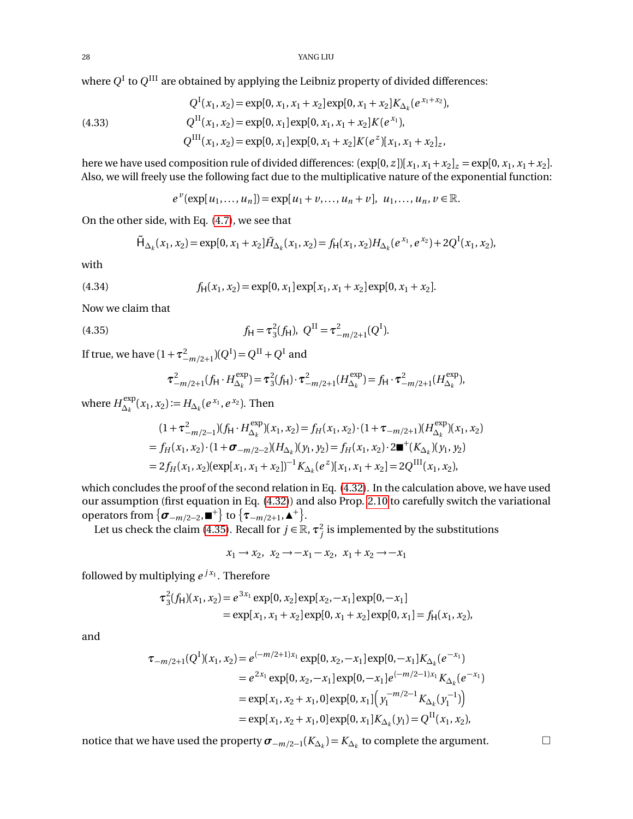where  $Q^{\rm I}$  to  $Q^{\rm III}$  are obtained by applying the Leibniz property of divided differences:

(4.33) 
$$
Q^{I}(x_1, x_2) = \exp[0, x_1, x_1 + x_2] \exp[0, x_1 + x_2] K_{\Delta_k}(e^{x_1 + x_2}),
$$

$$
Q^{II}(x_1, x_2) = \exp[0, x_1] \exp[0, x_1, x_1 + x_2] K(e^{x_1}),
$$

$$
Q^{III}(x_1, x_2) = \exp[0, x_1] \exp[0, x_1 + x_2] K(e^{x_2}) [x_1, x_1 + x_2]_{z},
$$

here we have used composition rule of divided differences:  $(\exp[0, z])[x_1, x_1 + x_2]_z = \exp[0, x_1, x_1 + x_2]$ . Also, we will freely use the following fact due to the multiplicative nature of the exponential function:

$$
e^{v}(\exp[u_1,...,u_n]) = \exp[u_1 + v,..., u_n + v], u_1,..., u_n, v \in \mathbb{R}.
$$

On the other side, with Eq. [\(4.7\)](#page-21-8), we see that

$$
\tilde{\mathsf{H}}_{\Delta_k}(x_1, x_2) = \exp[0, x_1 + x_2] \tilde{\mathsf{H}}_{\Delta_k}(x_1, x_2) = f_{\mathsf{H}}(x_1, x_2) \mathsf{H}_{\Delta_k}(e^{x_1}, e^{x_2}) + 2Q^{\mathsf{T}}(x_1, x_2),
$$

with

(4.34) 
$$
f_{H}(x_1, x_2) = \exp[0, x_1] \exp[x_1, x_1 + x_2] \exp[0, x_1 + x_2].
$$

Now we claim that

<span id="page-27-0"></span>(4.35) 
$$
f_{\mathsf{H}} = \tau_3^2(f_{\mathsf{H}}), \ Q^{\mathsf{II}} = \tau_{-m/2+1}^2(Q^{\mathsf{I}}).
$$

If true, we have  $(1 + \tau_{-m/2+1}^2)(Q^I) = Q^{II} + Q^I$  and

$$
\tau_{-m/2+1}^2(f_H \cdot H_{\Delta_k}^{\text{exp}}) = \tau_3^2(f_H) \cdot \tau_{-m/2+1}^2(H_{\Delta_k}^{\text{exp}}) = f_H \cdot \tau_{-m/2+1}^2(H_{\Delta_k}^{\text{exp}}),
$$

where  $H_{\Delta}^{\text{exp}}$  $\Delta_k^{\text{exp}}(x_1, x_2) := H_{\Delta_k}(e^{x_1}, e^{x_2}).$  Then

$$
(1 + \tau_{-m/2-1}^2)(f_H \cdot H_{\Delta_k}^{\text{exp}})(x_1, x_2) = f_H(x_1, x_2) \cdot (1 + \tau_{-m/2+1})(H_{\Delta_k}^{\text{exp}})(x_1, x_2)
$$
  
=  $f_H(x_1, x_2) \cdot (1 + \sigma_{-m/2-2})(H_{\Delta_k})(y_1, y_2) = f_H(x_1, x_2) \cdot 2 \blacksquare^+(K_{\Delta_k})(y_1, y_2)$   
=  $2f_H(x_1, x_2)(\exp[x_1, x_1 + x_2])^{-1} K_{\Delta_k}(e^z)[x_1, x_1 + x_2] = 2Q^{\text{III}}(x_1, x_2),$ 

which concludes the proof of the second relation in Eq. [\(4.32\)](#page-26-7). In the calculation above, we have used our assumption (first equation in Eq. [\(4.32\)](#page-26-7)) and also Prop. [2.10](#page-9-2) to carefully switch the variational operators from  $\{\boldsymbol{\sigma}_{-m/2-2}, \blacksquare^+\}$  to  $\{\boldsymbol{\tau}_{-m/2+1}, \blacktriangle^+\}.$ 

Let us check the claim [\(4.35\)](#page-27-0). Recall for  $j \in \mathbb{R}$ ,  $\tau_j^2$  is implemented by the substitutions

 $x_1$  →  $x_2$ ,  $x_2$  →  $-x_1$  –  $x_2$ ,  $x_1 + x_2$  →  $-x_1$ 

followed by multiplying  $e^{j x_1}$ . Therefore

$$
\tau_3^2(f_H)(x_1, x_2) = e^{3x_1} \exp[0, x_2] \exp[x_2, -x_1] \exp[0, -x_1]
$$
  
=  $\exp[x_1, x_1 + x_2] \exp[0, x_1 + x_2] \exp[0, x_1] = f_H(x_1, x_2),$ 

and

$$
\tau_{-m/2+1}(Q^{I})(x_1, x_2) = e^{(-m/2+1)x_1} \exp[0, x_2, -x_1] \exp[0, -x_1] K_{\Delta_k}(e^{-x_1})
$$
  
\n
$$
= e^{2x_1} \exp[0, x_2, -x_1] \exp[0, -x_1] e^{(-m/2-1)x_1} K_{\Delta_k}(e^{-x_1})
$$
  
\n
$$
= \exp[x_1, x_2 + x_1, 0] \exp[0, x_1] (y_1^{-m/2-1} K_{\Delta_k}(y_1^{-1}))
$$
  
\n
$$
= \exp[x_1, x_2 + x_1, 0] \exp[0, x_1] K_{\Delta_k}(y_1) = Q^{II}(x_1, x_2),
$$

notice that we have used the property  $\sigma$ <sub>−*m*/2−1</sub>( $K_{\Delta_k}$ ) =  $K_{\Delta_k}$  to complete the argument.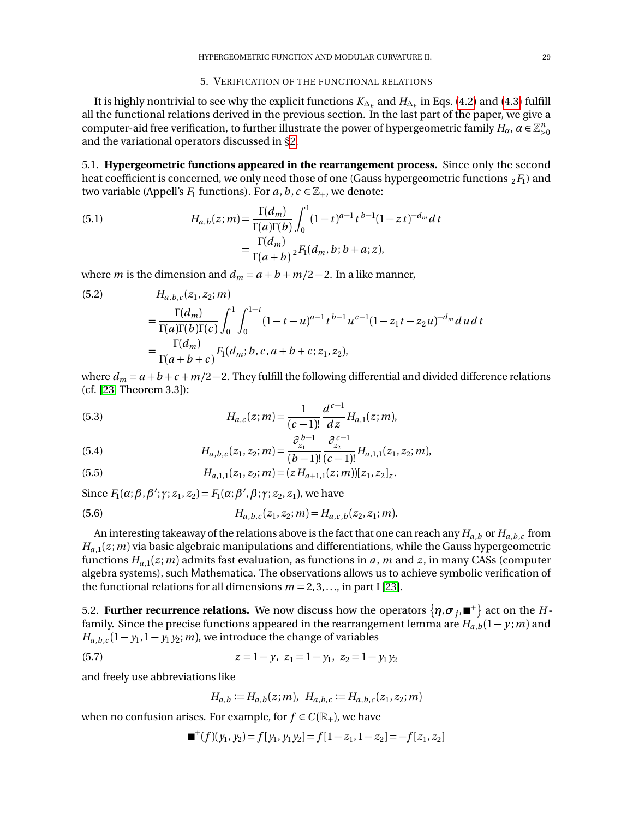#### 5. VERIFICATION OF THE FUNCTIONAL RELATIONS

<span id="page-28-0"></span>It is highly nontrivial to see why the explicit functions  $K_{\Delta_k}$  and  $H_{\Delta_k}$  in Eqs. [\(4.2\)](#page-21-1) and [\(4.3\)](#page-21-2) fulfill all the functional relations derived in the previous section. In the last part of the paper, we give a computer-aid free verification, to further illustrate the power of hypergeometric family  $H_\alpha$ ,  $\alpha\in\mathbb{Z}_{>0}^n$ and the variational operators discussed in [§2.](#page-2-1)

<span id="page-28-1"></span>5.1. **Hypergeometric functions appeared in the rearrangement process.** Since only the second heat coefficient is concerned, we only need those of one (Gauss hypergeometric functions  $_2F_1$ ) and two variable (Appell's  $F_1$  functions). For  $a, b, c \in \mathbb{Z}_+$ , we denote:

<span id="page-28-3"></span>(5.1) 
$$
H_{a,b}(z;m) = \frac{\Gamma(d_m)}{\Gamma(a)\Gamma(b)} \int_0^1 (1-t)^{a-1} t^{b-1} (1-zt)^{-d_m} dt
$$

$$
= \frac{\Gamma(d_m)}{\Gamma(a+b)} {}_2F_1(d_m, b; b+a; z),
$$

where *m* is the dimension and  $d_m = a + b + m/2 - 2$ . In a like manner,

<span id="page-28-4"></span>(5.2) 
$$
H_{a,b,c}(z_1, z_2; m)
$$
  
= 
$$
\frac{\Gamma(d_m)}{\Gamma(a)\Gamma(b)\Gamma(c)} \int_0^1 \int_0^{1-t} (1-t-u)^{a-1} t^{b-1} u^{c-1} (1-z_1t-z_2u)^{-d_m} du dt
$$
  
= 
$$
\frac{\Gamma(d_m)}{\Gamma(a+b+c)} F_1(d_m; b, c, a+b+c; z_1, z_2),
$$

where  $d_m = a + b + c + m/2 - 2$ . They fulfill the following differential and divided difference relations (cf. [[23,](#page-36-0) Theorem 3.3]):

<span id="page-28-7"></span>(5.3) 
$$
H_{a,c}(z;m) = \frac{1}{(c-1)!} \frac{d^{c-1}}{dz} H_{a,1}(z;m),
$$

<span id="page-28-8"></span>(5.4) 
$$
H_{a,b,c}(z_1,z_2;m) = \frac{\partial_{z_1}^{b-1}}{(b-1)!} \frac{\partial_{z_2}^{c-1}}{(c-1)!} H_{a,1,1}(z_1,z_2;m),
$$

<span id="page-28-5"></span>(5.5) 
$$
H_{a,1,1}(z_1,z_2;m) = (zH_{a+1,1}(z;m))[z_1,z_2]_z.
$$

Since  $F_1(\alpha; \beta, \beta'; \gamma; z_1, z_2) = F_1(\alpha; \beta', \beta; \gamma; z_2, z_1)$ , we have

(5.6) 
$$
H_{a,b,c}(z_1,z_2;m) = H_{a,c,b}(z_2,z_1;m).
$$

An interesting takeaway of the relations above is the fact that one can reach any *Ha*,*<sup>b</sup>* or *Ha*,*b*,*<sup>c</sup>* from  $H_{a,1}(z; m)$  via basic algebraic manipulations and differentiations, while the Gauss hypergeometric functions  $H_{a,1}(z;m)$  admits fast evaluation, as functions in *a*, *m* and *z*, in many CASs (computer algebra systems), such Mathematica. The observations allows us to achieve symbolic verification of the functional relations for all dimensions  $m = 2, 3, \ldots$ , in part I [[23](#page-36-0)].

<span id="page-28-2"></span>5.2. **Further recurrence relations.** We now discuss how the operators  $\{\bm \eta, \bm \sigma_j, \blacksquare^+\}$  act on the  $H$ family. Since the precise functions appeared in the rearrangement lemma are  $H_{a,b}(1-y; m)$  and  $H_{a,b,c}(1-y_1,1-y_1,y_2;m)$ , we introduce the change of variables

<span id="page-28-6"></span>(5.7) 
$$
z = 1 - y, \ z_1 = 1 - y_1, \ z_2 = 1 - y_1 y_2
$$

and freely use abbreviations like

 $H_{a,b} := H_{a,b}(z;m), H_{a,b,c} := H_{a,b,c}(z_1,z_2;m)$ 

when no confusion arises. For example, for  $f \in C(\mathbb{R}_+)$ , we have

$$
\blacksquare^+(f)(y_1, y_2) = f[y_1, y_1y_2] = f[1 - z_1, 1 - z_2] = -f[z_1, z_2]
$$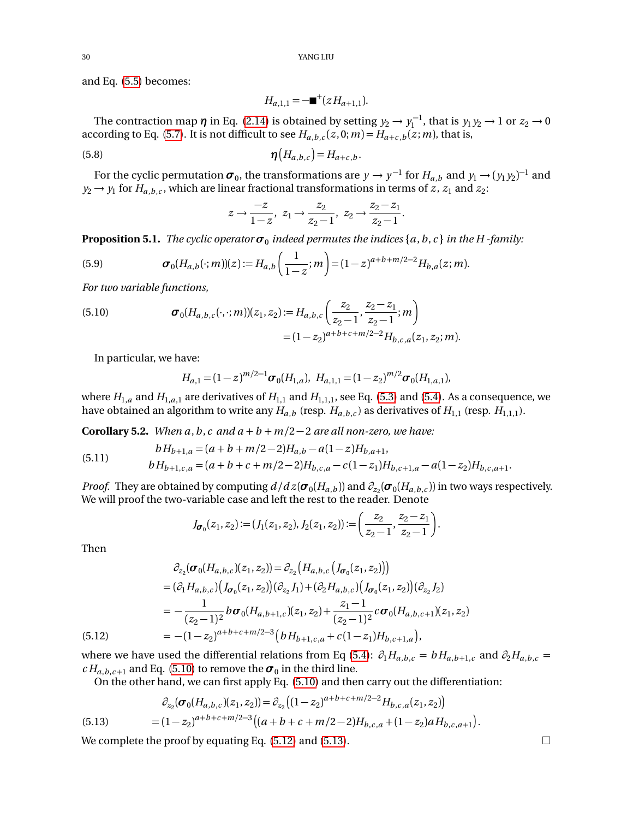and Eq. [\(5.5\)](#page-28-5) becomes:

$$
H_{a,1,1} = -\blacksquare^+(zH_{a+1,1}).
$$

The contraction map  $\eta$  in Eq. [\(2.14\)](#page-5-6) is obtained by setting  $y_2 \to y_1^{-1}$ , that is  $y_1 y_2 \to 1$  or  $z_2 \to 0$ according to Eq. [\(5.7\)](#page-28-6). It is not difficult to see  $H_{a,b,c}(z,0;m) = H_{a+c,b}(z;m)$ , that is,

<span id="page-29-1"></span>
$$
\boldsymbol{\eta}\big(H_{a,b,c}\big) = H_{a+c,b}.
$$

For the cyclic permutation  $\sigma_0$ , the transformations are  $y \to y^{-1}$  for  $H_{a,b}$  and  $y_1 \to (y_1 y_2)^{-1}$  and  $y_2 \rightarrow y_1$  for  $H_{a,b,c}$ , which are linear fractional transformations in terms of *z*, *z*<sub>1</sub> and *z*<sub>2</sub>:

$$
z \to \frac{-z}{1-z}
$$
,  $z_1 \to \frac{z_2}{z_2-1}$ ,  $z_2 \to \frac{z_2-z_1}{z_2-1}$ .

<span id="page-29-0"></span>**Proposition 5.1.** The cyclic operator  $\sigma_0$  indeed permutes the indices {a, b, c} in the H -family:

(5.9) 
$$
\boldsymbol{\sigma}_0(H_{a,b}(\cdot;m))(z) := H_{a,b}\left(\frac{1}{1-z};m\right) = (1-z)^{a+b+m/2-2}H_{b,a}(z;m).
$$

*For two variable functions,*

<span id="page-29-2"></span>(5.10) 
$$
\boldsymbol{\sigma}_{0}(H_{a,b,c}(\cdot,\cdot;m))(z_{1},z_{2}) := H_{a,b,c}\left(\frac{z_{2}}{z_{2}-1},\frac{z_{2}-z_{1}}{z_{2}-1};m\right)
$$

$$
= (1-z_{2})^{a+b+c+m/2-2}H_{b,c,a}(z_{1},z_{2};m).
$$

In particular, we have:

$$
H_{a,1} = (1-z)^{m/2-1}\sigma_0(H_{1,a}), \ H_{a,1,1} = (1-z_2)^{m/2}\sigma_0(H_{1,a,1}),
$$

where  $H_{1,a}$  and  $H_{1,a,1}$  are derivatives of  $H_{1,1}$  and  $H_{1,1,1}$ , see Eq. [\(5.3\)](#page-28-7) and [\(5.4\)](#page-28-8). As a consequence, we have obtained an algorithm to write any  $H_{a,b}$  (resp.  $H_{a,b,c}$ ) as derivatives of  $H_{1,1}$  (resp.  $H_{1,1,1}$ ).

<span id="page-29-5"></span>**Corollary 5.2.** *When a, b, c and*  $a + b + m/2 - 2$  *are all non-zero, we have:* 

(5.11) 
$$
bH_{b+1,a} = (a+b+m/2-2)H_{a,b} - a(1-z)H_{b,a+1},
$$

$$
bH_{b+1,c,a} = (a+b+c+m/2-2)H_{b,c,a} - c(1-z_1)H_{b,c+1,a} - a(1-z_2)H_{b,c,a+1}.
$$

*Proof.* They are obtained by computing  $d/dz(\sigma_0(H_{a,b}))$  and  $\partial_{z_2}(\sigma_0(H_{a,b,c}))$  in two ways respectively. We will proof the two-variable case and left the rest to the reader. Denote

$$
J_{\sigma_0}(z_1, z_2) := (J_1(z_1, z_2), J_2(z_1, z_2)) := \left(\frac{z_2}{z_2 - 1}, \frac{z_2 - z_1}{z_2 - 1}\right).
$$

Then

$$
\partial_{z_2}(\sigma_0(H_{a,b,c})(z_1, z_2)) = \partial_{z_2} \left( H_{a,b,c} \left( J_{\sigma_0}(z_1, z_2) \right) \right)
$$
\n
$$
= (\partial_1 H_{a,b,c}) \left( J_{\sigma_0}(z_1, z_2) \right) (\partial_{z_2} J_1) + (\partial_2 H_{a,b,c}) \left( J_{\sigma_0}(z_1, z_2) \right) (\partial_{z_2} J_2)
$$
\n
$$
= -\frac{1}{(z_2 - 1)^2} b \sigma_0 (H_{a,b+1,c}) (z_1, z_2) + \frac{z_1 - 1}{(z_2 - 1)^2} c \sigma_0 (H_{a,b,c+1}) (z_1, z_2)
$$
\n
$$
= -(1 - z_2)^{a+b+c+m/2-3} \left( b H_{b+1,c,a} + c (1 - z_1) H_{b,c+1,a} \right),
$$

<span id="page-29-3"></span>where we have used the differential relations from Eq [\(5.4\)](#page-28-8):  $\partial_1 H_{a,b,c} = b H_{a,b+1,c}$  and  $\partial_2 H_{a,b,c} =$  $c H_{a,b,c+1}$  and Eq. [\(5.10\)](#page-29-2) to remove the  $\sigma_0$  in the third line.

On the other hand, we can first apply Eq. [\(5.10\)](#page-29-2) and then carry out the differentiation:

<span id="page-29-4"></span>(5.13) 
$$
\partial_{z_2}(\sigma_0(H_{a,b,c})(z_1,z_2)) = \partial_{z_2}((1-z_2)^{a+b+c+m/2-2}H_{b,c,a}(z_1,z_2))
$$

$$
= (1-z_2)^{a+b+c+m/2-3} \big( (a+b+c+m/2-2)H_{b,c,a} + (1-z_2)aH_{b,c,a+1} \big).
$$

We complete the proof by equating Eq.  $(5.12)$  and  $(5.13)$ .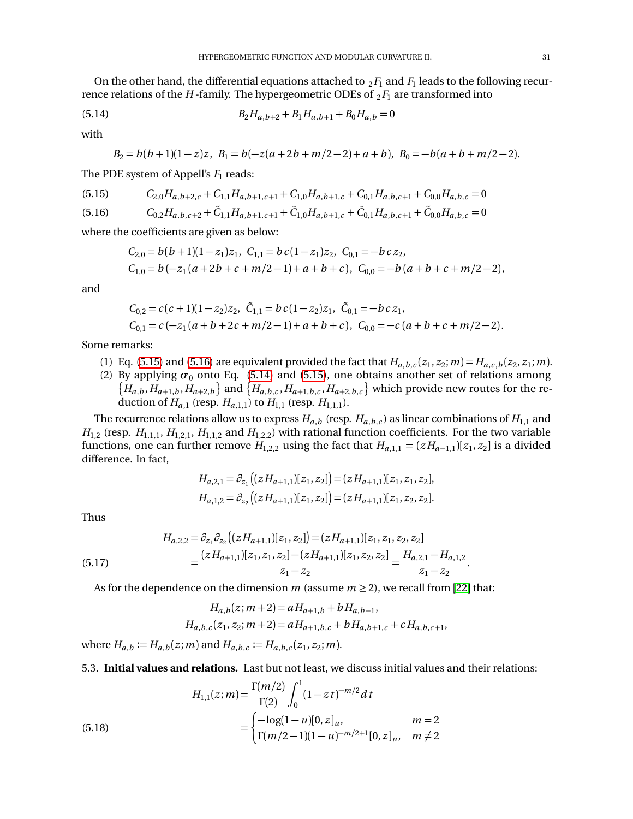On the other hand, the differential equations attached to  $_2F_1$  and  $F_1$  leads to the following recurrence relations of the *H* -family. The hypergeometric ODEs of  $_2F_1$  are transformed into

<span id="page-30-3"></span>(5.14) 
$$
B_2H_{a,b+2} + B_1H_{a,b+1} + B_0H_{a,b} = 0
$$

with

$$
B_2 = b(b+1)(1-z)z, B_1 = b(-z(a+2b+m/2-2)+a+b), B_0 = -b(a+b+m/2-2).
$$

The PDE system of Appell's *F*<sub>1</sub> reads:

<span id="page-30-1"></span>
$$
(5.15) \t C2,0Ha,b+2,c + C1,1Ha,b+1,c+1 + C1,0Ha,b+1,c + C0,1Ha,b,c+1 + C0,0Ha,b,c = 0
$$

<span id="page-30-2"></span>
$$
(5.16) \qquad C_{0,2}H_{a,b,c+2} + \tilde{C}_{1,1}H_{a,b+1,c+1} + \tilde{C}_{1,0}H_{a,b+1,c} + \tilde{C}_{0,1}H_{a,b,c+1} + \tilde{C}_{0,0}H_{a,b,c} = 0
$$

where the coefficients are given as below:

$$
C_{2,0} = b(b+1)(1-z_1)z_1, \ C_{1,1} = bc(1-z_1)z_2, \ C_{0,1} = -bc z_2,
$$
  
\n
$$
C_{1,0} = b(-z_1(a+2b+c+m/2-1)+a+b+c), \ C_{0,0} = -b(a+b+c+m/2-2),
$$

and

$$
C_{0,2} = c(c+1)(1-z_2)z_2, \quad \tilde{C}_{1,1} = bc(1-z_2)z_1, \quad \tilde{C}_{0,1} = -bc z_1,
$$
  
\n
$$
C_{0,1} = c(-z_1(a+b+2c+m/2-1)+a+b+c), \quad C_{0,0} = -c(a+b+c+m/2-2).
$$

Some remarks:

- (1) Eq. [\(5.15\)](#page-30-1) and [\(5.16\)](#page-30-2) are equivalent provided the fact that  $H_{a,b,c}(z_1, z_2; m) = H_{a,c,b}(z_2, z_1; m)$ .
- (2) By applying  $\sigma_0$  onto Eq. [\(5.14\)](#page-30-3) and [\(5.15\)](#page-30-1), one obtains another set of relations among  ${H_{a,b}, H_{a+1,b}, H_{a+2,b}}$  and  ${H_{a,b,c}, H_{a+1,b,c}, H_{a+2,b,c}}$  which provide new routes for the reduction of  $H_{a,1}$  (resp.  $H_{a,1,1}$ ) to  $H_{1,1}$  (resp.  $H_{1,1,1}$ ).

The recurrence relations allow us to express  $H_{a,b}$  (resp.  $H_{a,b,c}$ ) as linear combinations of  $H_{1,1}$  and  $H_{1,2}$  (resp.  $H_{1,1,1}$ ,  $H_{1,2,1}$ ,  $H_{1,1,2}$  and  $H_{1,2,2}$ ) with rational function coefficients. For the two variable functions, one can further remove  $H_{1,2,2}$  using the fact that  $H_{a,1,1} = (zH_{a+1,1})[z_1, z_2]$  is a divided difference. In fact,

$$
H_{a,2,1} = \partial_{z_1} \left( (zH_{a+1,1})[z_1, z_2] \right) = (zH_{a+1,1})[z_1, z_1, z_2],
$$
  
\n
$$
H_{a,1,2} = \partial_{z_2} \left( (zH_{a+1,1})[z_1, z_2] \right) = (zH_{a+1,1})[z_1, z_2, z_2].
$$

Thus

(5.17) 
$$
H_{a,2,2} = \partial_{z_1} \partial_{z_2} \left( (z H_{a+1,1}) [z_1, z_2] \right) = (z H_{a+1,1}) [z_1, z_1, z_2, z_2] = \frac{(z H_{a+1,1}) [z_1, z_1, z_2] - (z H_{a+1,1}) [z_1, z_2, z_2]}{z_1 - z_2} = \frac{H_{a,2,1} - H_{a,1,2}}{z_1 - z_2}.
$$

As for the dependence on the dimension *m* (assume  $m \geq 2$ ), we recall from [[22](#page-36-1)] that:

$$
H_{a,b}(z;m+2) = aH_{a+1,b} + bH_{a,b+1},
$$
  

$$
H_{a,b,c}(z_1, z_2; m+2) = aH_{a+1,b,c} + bH_{a,b+1,c} + cH_{a,b,c+1},
$$

where  $H_{a,b} := H_{a,b}(z;m)$  and  $H_{a,b,c} := H_{a,b,c}(z_1, z_2; m)$ .

<span id="page-30-0"></span>5.3. **Initial values and relations.** Last but not least, we discuss initial values and their relations:

(5.18)  
\n
$$
H_{1,1}(z;m) = \frac{\Gamma(m/2)}{\Gamma(2)} \int_0^1 (1 - z t)^{-m/2} dt
$$
\n
$$
= \begin{cases}\n-\log(1 - u)[0, z]_u, & m = 2 \\
\Gamma(m/2 - 1)(1 - u)^{-m/2 + 1}[0, z]_u, & m \neq 2\n\end{cases}
$$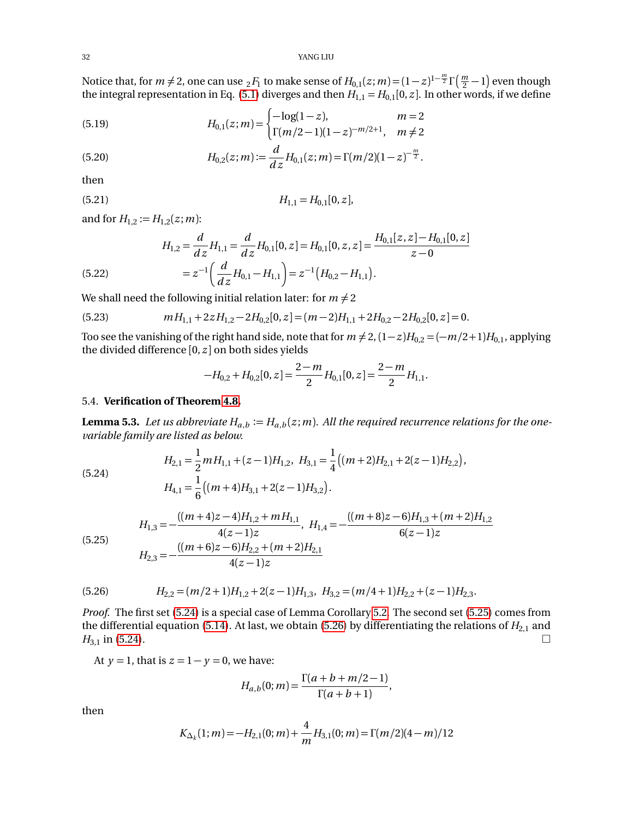32 YANG LIU

Notice that, for  $m \neq 2$ , one can use  ${}_2F_1$  to make sense of  $H_{0,1}(z;m)$  =  $(1-z)^{1-\frac{m}{2}}\Gamma(\frac{m}{2}-1)$  even though the integral representation in Eq. [\(5.1\)](#page-28-3) diverges and then  $H_{1,1} = H_{0,1}[0, z]$ . In other words, if we define

(5.19) 
$$
H_{0,1}(z;m) = \begin{cases} -\log(1-z), & m=2\\ \Gamma(m/2-1)(1-z)^{-m/2+1}, & m \neq 2 \end{cases}
$$

<span id="page-31-4"></span>(5.20) 
$$
H_{0,2}(z;m) := \frac{d}{dz}H_{0,1}(z;m) = \Gamma(m/2)(1-z)^{-\frac{m}{2}}.
$$

then

$$
(5.21) \t\t H_{1,1} = H_{0,1}[0, z],
$$

and for  $H_{1,2} := H_{1,2}(z; m)$ :

<span id="page-31-6"></span>(5.22) 
$$
H_{1,2} = \frac{d}{dz} H_{1,1} = \frac{d}{dz} H_{0,1}[0, z] = H_{0,1}[0, z, z] = \frac{H_{0,1}[z, z] - H_{0,1}[0, z]}{z - 0}
$$

$$
= z^{-1} \left( \frac{d}{dz} H_{0,1} - H_{1,1} \right) = z^{-1} \left( H_{0,2} - H_{1,1} \right).
$$

We shall need the following initial relation later: for  $m \neq 2$ 

<span id="page-31-5"></span>(5.23) 
$$
mH_{1,1} + 2zH_{1,2} - 2H_{0,2}[0, z] = (m-2)H_{1,1} + 2H_{0,2} - 2H_{0,2}[0, z] = 0.
$$

Too see the vanishing of the right hand side, note that for  $m \neq 2$ ,  $(1-z)H_{0,2} = (-m/2+1)H_{0,1}$ , applying the divided difference  $[0, z]$  on both sides yields

$$
-H_{0,2} + H_{0,2}[0, z] = \frac{2-m}{2} H_{0,1}[0, z] = \frac{2-m}{2} H_{1,1}.
$$

### <span id="page-31-7"></span><span id="page-31-0"></span>5.4. **Verification of Theorem [4.8.](#page-26-0)**

**Lemma 5.3.** Let us abbreviate  $H_{a,b} \coloneqq H_{a,b}(z;m)$ . All the required recurrence relations for the one*variable family are listed as below.*

<span id="page-31-1"></span>(5.24) 
$$
H_{2,1} = \frac{1}{2} m H_{1,1} + (z-1) H_{1,2}, \ H_{3,1} = \frac{1}{4} \left( (m+2) H_{2,1} + 2(z-1) H_{2,2} \right),
$$

$$
H_{4,1} = \frac{1}{6} \left( (m+4) H_{3,1} + 2(z-1) H_{3,2} \right).
$$

<span id="page-31-2"></span> $(5.25)$ 

$$
H_{1,3} = -\frac{((m+4)z - 4)H_{1,2} + mH_{1,1}}{4(z-1)z}, \ H_{1,4} = -\frac{((m+8)z - 6)H_{1,3} + (m+2)H_{1,2}}{6(z-1)z}
$$
  

$$
H_{2,3} = -\frac{((m+6)z - 6)H_{2,2} + (m+2)H_{2,1}}{4(z-1)z}
$$

<span id="page-31-3"></span>(5.26) 
$$
H_{2,2} = (m/2+1)H_{1,2} + 2(z-1)H_{1,3}, \ H_{3,2} = (m/4+1)H_{2,2} + (z-1)H_{2,3}.
$$

*Proof.* The first set [\(5.24\)](#page-31-1) is a special case of Lemma Corollary [5.2.](#page-29-5) The second set [\(5.25\)](#page-31-2) comes from the differential equation [\(5.14\)](#page-30-3). At last, we obtain [\(5.26\)](#page-31-3) by differentiating the relations of  $H_{2,1}$  and  $H_{3,1}$  in [\(5.24\)](#page-31-1).

At  $y = 1$ , that is  $z = 1 - y = 0$ , we have:

$$
H_{a,b}(0;m) = \frac{\Gamma(a+b+m/2-1)}{\Gamma(a+b+1)},
$$

then

$$
K_{\Delta_k}(1; m) = -H_{2,1}(0; m) + \frac{4}{m}H_{3,1}(0; m) = \Gamma(m/2)(4 - m)/12
$$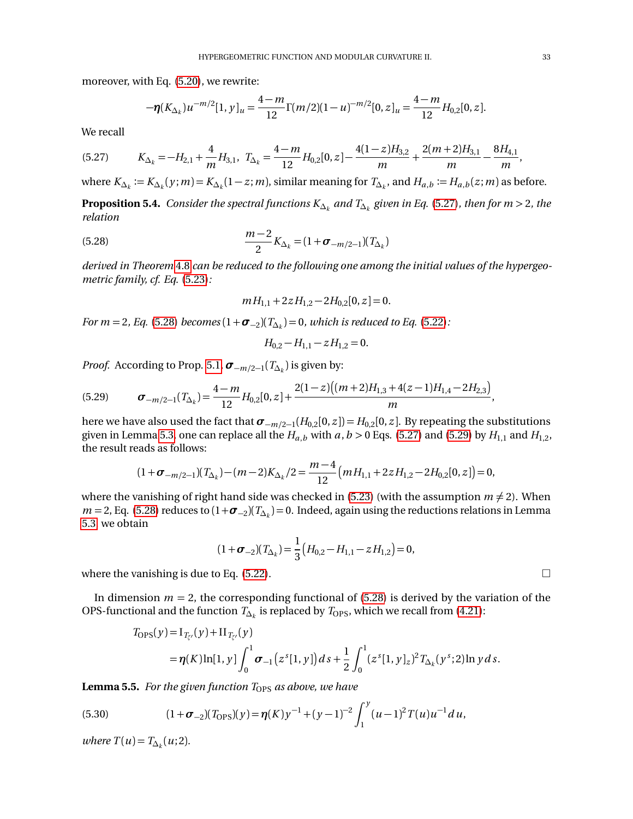moreover, with Eq. [\(5.20\)](#page-31-4), we rewrite:

$$
-\eta(K_{\Delta_k})u^{-m/2}[1, y]_u = \frac{4-m}{12}\Gamma(m/2)(1-u)^{-m/2}[0, z]_u = \frac{4-m}{12}H_{0,2}[0, z].
$$

We recall

<span id="page-32-1"></span>
$$
(5.27) \t K_{\Delta_k} = -H_{2,1} + \frac{4}{m}H_{3,1}, \t T_{\Delta_k} = \frac{4-m}{12}H_{0,2}[0,z] - \frac{4(1-z)H_{3,2}}{m} + \frac{2(m+2)H_{3,1}}{m} - \frac{8H_{4,1}}{m},
$$

where  $K_{\Delta_k} := K_{\Delta_k}(y; m) = K_{\Delta_k}(1-z; m)$ , similar meaning for  $T_{\Delta_k}$ , and  $H_{a,b} := H_{a,b}(z; m)$  as before.

<span id="page-32-0"></span>**Proposition 5.4.** *Consider the spectral functions K*∆*<sup>k</sup> and T*∆*<sup>k</sup> given in Eq.* [\(5.27\)](#page-32-1)*, then for m >* 2*, the relation*

<span id="page-32-2"></span>(5.28) 
$$
\frac{m-2}{2}K_{\Delta_k} = (1 + \sigma_{-m/2-1})(T_{\Delta_k})
$$

*derived in Theorem* [4.8](#page-26-0) *can be reduced to the following one among the initial values of the hypergeometric family, cf. Eq.* [\(5.23\)](#page-31-5)*:*

$$
mH_{1,1} + 2zH_{1,2} - 2H_{0,2}[0, z] = 0.
$$

*For m* = 2, *Eq*. [\(5.28\)](#page-32-2) *becomes* ( $1 + \sigma_{-2}$ )( $T_{\Delta_k}$ ) = 0, which is reduced to Eq. [\(5.22\)](#page-31-6):

$$
H_{0,2} - H_{1,1} - z H_{1,2} = 0.
$$

*Proof.* According to Prop. [5.1,](#page-29-0) *σ*−*m/*2−<sup>1</sup> (*T*∆*<sup>k</sup>* ) is given by:

<span id="page-32-3"></span>
$$
(5.29) \t\sigma_{-m/2-1}(T_{\Delta_k}) = \frac{4-m}{12}H_{0,2}[0,z] + \frac{2(1-z)\big((m+2)H_{1,3}+4(z-1)H_{1,4}-2H_{2,3}\big)}{m},
$$

here we have also used the fact that  $\pmb{\sigma}_{-m/2-1}(H_{0,2}[0,z])$   $=$   $H_{0,2}[0,z]$ . By repeating the substitutions given in Lemma [5.3,](#page-31-7) one can replace all the  $H_{a,b}$  with  $a, b > 0$  Eqs. [\(5.27\)](#page-32-1) and [\(5.29\)](#page-32-3) by  $H_{1,1}$  and  $H_{1,2}$ , the result reads as follows:

$$
(1+\sigma_{-m/2-1})(T_{\Delta_k})-(m-2)K_{\Delta_k}/2=\frac{m-4}{12}\left(mH_{1,1}+2zH_{1,2}-2H_{0,2}[0,z]\right)=0,
$$

where the vanishing of right hand side was checked in [\(5.23\)](#page-31-5) (with the assumption  $m \neq 2$ ). When  $m = 2$ , Eq. [\(5.28\)](#page-32-2) reduces to  $(1 + \sigma_{-2})(T_{\Delta_k}) = 0$ . Indeed, again using the reductions relations in Lemma [5.3,](#page-31-7) we obtain

$$
(1 + \sigma_{-2})(T_{\Delta_k}) = \frac{1}{3} (H_{0,2} - H_{1,1} - z H_{1,2}) = 0,
$$

where the vanishing is due to Eq. [\(5.22\)](#page-31-6).  $\Box$ 

In dimension  $m = 2$ , the corresponding functional of [\(5.28\)](#page-32-2) is derived by the variation of the OPS-functional and the function  $T_{\Delta_k}$  is replaced by  $T_{\mathrm{OPS}},$  which we recall from [\(4.21\)](#page-23-1):

$$
T_{\text{OPS}}(y) = I_{T_{\zeta'}}(y) + II_{T_{\zeta'}}(y)
$$
  
=  $\eta(K) \ln[1, y] \int_0^1 \sigma_{-1}(z^s[1, y]) ds + \frac{1}{2} \int_0^1 (z^s[1, y]_z)^2 T_{\Delta_k}(y^s; 2) \ln y ds.$ 

**Lemma 5.5.** *For the given function T<sub>OPS</sub> as above, we have* 

(5.30) 
$$
(1+\sigma_{-2})(T_{\text{OPS}})(y) = \eta(K)y^{-1} + (y-1)^{-2} \int_{1}^{y} (u-1)^{2} T(u)u^{-1} du,
$$

*where*  $T(u) = T_{\Delta_k}(u; 2)$ .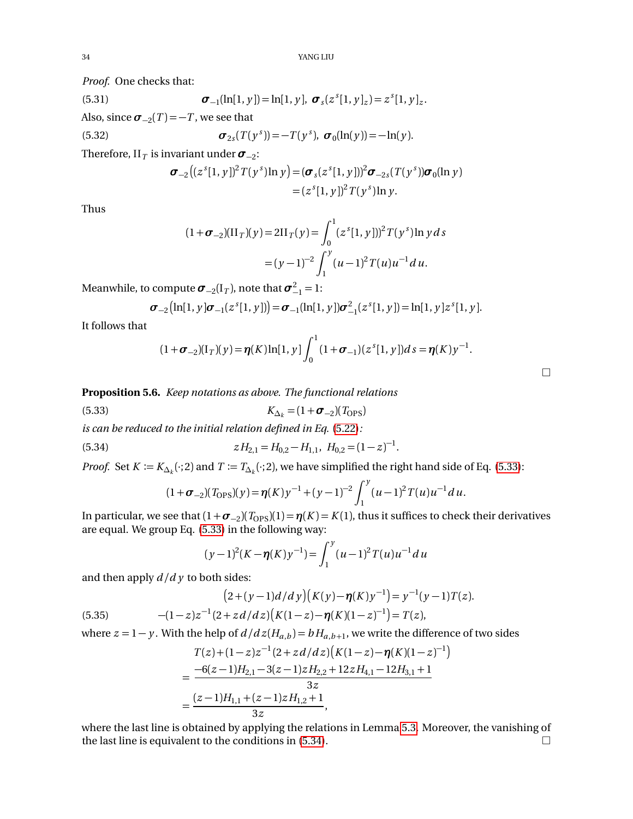*Proof.* One checks that:

(5.31) 
$$
\boldsymbol{\sigma}_{-1}(\ln[1, y]) = \ln[1, y], \ \boldsymbol{\sigma}_s(z^s[1, y]_z) = z^s[1, y]_z.
$$

Also, since  $\sigma_{-2}(T) = -T$ , we see that

(5.32) 
$$
\boldsymbol{\sigma}_{2s}(T(y^s)) = -T(y^s), \ \boldsymbol{\sigma}_0(\ln(y)) = -\ln(y).
$$

Therefore, II $_T$  is invariant under  $\pmb{\sigma}_{-2}$ :

$$
\sigma_{-2}((z^{s}[1, y])^{2}T(y^{s})\ln y) = (\sigma_{s}(z^{s}[1, y]))^{2}\sigma_{-2s}(T(y^{s}))\sigma_{0}(\ln y)
$$
  
=  $(z^{s}[1, y])^{2}T(y^{s})\ln y.$ 

Thus

$$
(1 + \sigma_{-2})(\Pi_T)(y) = 2\Pi_T(y) = \int_0^1 (z^s[1, y]))^2 T(y^s) \ln y \, ds
$$

$$
= (y - 1)^{-2} \int_1^y (u - 1)^2 T(u) u^{-1} du.
$$

Meanwhile, to compute  $\boldsymbol{\sigma}_{-2}(\boldsymbol{\mathrm{I}}_T)$ , note that  $\boldsymbol{\sigma}_{-1}^2 = 1$ :

$$
\boldsymbol{\sigma}_{-2}\big(\ln[1, y]\boldsymbol{\sigma}_{-1}(z^{s}[1, y])\big) = \boldsymbol{\sigma}_{-1}(\ln[1, y])\boldsymbol{\sigma}_{-1}^{2}(z^{s}[1, y]) = \ln[1, y]z^{s}[1, y].
$$

It follows that

$$
(1+\boldsymbol{\sigma}_{-2})(I_T)(y) = \boldsymbol{\eta}(K)\ln[1, y]\int_0^1(1+\boldsymbol{\sigma}_{-1})(z^{s}[1, y])ds = \boldsymbol{\eta}(K)y^{-1}.
$$

 $\Box$ 

<span id="page-33-0"></span>**Proposition 5.6.** *Keep notations as above. The functional relations*

<span id="page-33-1"></span>
$$
K_{\Delta_k} = (1 + \boldsymbol{\sigma}_{-2})(T_{\text{OPS}})
$$

*is can be reduced to the initial relation defined in Eq.* [\(5.22\)](#page-31-6)*:*

<span id="page-33-2"></span>(5.34) 
$$
zH_{2,1} = H_{0,2} - H_{1,1}, \ H_{0,2} = (1-z)^{-1}.
$$

*Proof.* Set  $K := K_{\Delta_k}(\cdot; 2)$  and  $T := T_{\Delta_k}(\cdot; 2)$ , we have simplified the right hand side of Eq. [\(5.33\)](#page-33-1):

$$
(1+\sigma_{-2})(T_{\rm OPS})(y) = \eta(K)y^{-1} + (y-1)^{-2} \int_1^y (u-1)^2 T(u)u^{-1} du.
$$

In particular, we see that  $(1 + \sigma_{-2})(T_{\text{OPS}})(1) = \eta(K) = K(1)$ , thus it suffices to check their derivatives are equal. We group Eq. [\(5.33\)](#page-33-1) in the following way:

$$
(y-1)^{2}(K-\eta(K)y^{-1}) = \int_{1}^{y} (u-1)^{2} T(u)u^{-1} du
$$

and then apply *d /d y* to both sides:

(5.35) 
$$
(2+(y-1)d/dy)(K(y)-\eta(K)y^{-1})=y^{-1}(y-1)T(z).
$$

$$
-(1-z)z^{-1}(2+zd/dz)(K(1-z)-\eta(K)(1-z)^{-1})=T(z),
$$

where  $z = 1 - y$ . With the help of  $d/dz(H_{a,b}) = bH_{a,b+1}$ , we write the difference of two sides

$$
T(z)+(1-z)z^{-1}(2+zd/dz)\left(K(1-z)-\eta(K)(1-z)^{-1}\right)
$$
  
=\frac{-6(z-1)H\_{2,1}-3(z-1)zH\_{2,2}+12zH\_{4,1}-12H\_{3,1}+1}{3z}  
=\frac{(z-1)H\_{1,1}+(z-1)zH\_{1,2}+1}{3z},

where the last line is obtained by applying the relations in Lemma [5.3.](#page-31-7) Moreover, the vanishing of the last line is equivalent to the conditions in  $(5.34)$ .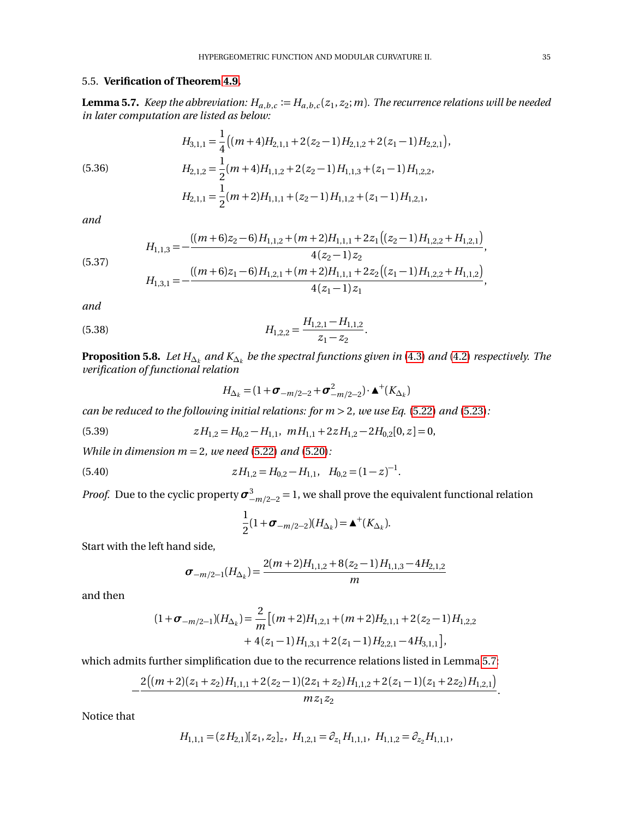## <span id="page-34-2"></span><span id="page-34-0"></span>5.5. **Verification of Theorem [4.9.](#page-26-1)**

 ${\bf Lemma 5.7.}$  *Keep the abbreviation:*  $H_{a,b,c}\coloneqq H_{a,b,c}(z_1,z_2;m)$ *. The recurrence relations will be needed in later computation are listed as below:*

 $\overline{a}$ 

(5.36)  
\n
$$
H_{3,1,1} = \frac{1}{4} \left( (m+4)H_{2,1,1} + 2(z_2 - 1)H_{2,1,2} + 2(z_1 - 1)H_{2,2,1} \right),
$$
\n
$$
H_{2,1,2} = \frac{1}{2} (m+4)H_{1,1,2} + 2(z_2 - 1)H_{1,1,3} + (z_1 - 1)H_{1,2,2},
$$
\n
$$
H_{2,1,1} = \frac{1}{2} (m+2)H_{1,1,1} + (z_2 - 1)H_{1,1,2} + (z_1 - 1)H_{1,2,1},
$$

*and*

(5.37) 
$$
H_{1,1,3} = -\frac{((m+6)z_2 - 6)H_{1,1,2} + (m+2)H_{1,1,1} + 2z_1((z_2 - 1)H_{1,2,2} + H_{1,2,1})}{4(z_2 - 1)z_2},
$$

$$
H_{1,3,1} = -\frac{((m+6)z_1 - 6)H_{1,2,1} + (m+2)H_{1,1,1} + 2z_2((z_1 - 1)H_{1,2,2} + H_{1,1,2})}{4(z_1 - 1)z_1},
$$

*and*

(5.38) 
$$
H_{1,2,2} = \frac{H_{1,2,1} - H_{1,1,2}}{z_1 - z_2}.
$$

<span id="page-34-1"></span> ${\bf Proposition \ 5.8.}$   $\ Let\ H_{\Delta _k }$  and  $K_{\Delta _k }$  be the spectral functions given in [\(4.3\)](#page-21-2) and [\(4.2\)](#page-21-1) respectively. The *verification of functional relation*

$$
H_{\Delta_k} = (1 + \sigma_{-m/2-2} + \sigma_{-m/2-2}^2) \cdot \mathbf{\Delta}^+(K_{\Delta_k})
$$

*can be reduced to the following initial relations: for m >* 2*, we use Eq.* [\(5.22\)](#page-31-6) *and* [\(5.23\)](#page-31-5)*:*

<span id="page-34-3"></span>(5.39) 
$$
zH_{1,2} = H_{0,2} - H_{1,1}, \quad mH_{1,1} + 2zH_{1,2} - 2H_{0,2}[0, z] = 0,
$$

*While in dimension m* = 2*, we need* [\(5.22\)](#page-31-6) *and* [\(5.20\)](#page-31-4)*:*

<span id="page-34-4"></span>(5.40) 
$$
zH_{1,2} = H_{0,2} - H_{1,1}, \quad H_{0,2} = (1-z)^{-1}.
$$

*Proof.* Due to the cyclic property  $\sigma_{-m/2-2}^3 = 1$ , we shall prove the equivalent functional relation

$$
\frac{1}{2}(1+\sigma_{-m/2-2})(H_{\Delta_k})=\blacktriangle^+(K_{\Delta_k}).
$$

Start with the left hand side,

$$
\sigma_{-m/2-1}(H_{\Delta_k}) = \frac{2(m+2)H_{1,1,2} + 8(z_2-1)H_{1,1,3} - 4H_{2,1,2}}{m}
$$

and then

$$
(1 + \sigma_{-m/2-1})(H_{\Delta_k}) = \frac{2}{m} \left[ (m+2)H_{1,2,1} + (m+2)H_{2,1,1} + 2(z_2 - 1)H_{1,2,2} + 4(z_1 - 1)H_{1,3,1} + 2(z_1 - 1)H_{2,2,1} - 4H_{3,1,1} \right],
$$

which admits further simplification due to the recurrence relations listed in Lemma [5.7:](#page-34-2)

$$
-\frac{2\big((m+2)(z_1+z_2)H_{1,1,1}+2(z_2-1)(2z_1+z_2)H_{1,1,2}+2(z_1-1)(z_1+2z_2)H_{1,2,1}\big)}{m z_1 z_2}.
$$

Notice that

$$
H_{1,1,1} = (zH_{2,1})[z_1, z_2]_z, H_{1,2,1} = \partial_{z_1}H_{1,1,1}, H_{1,1,2} = \partial_{z_2}H_{1,1,1},
$$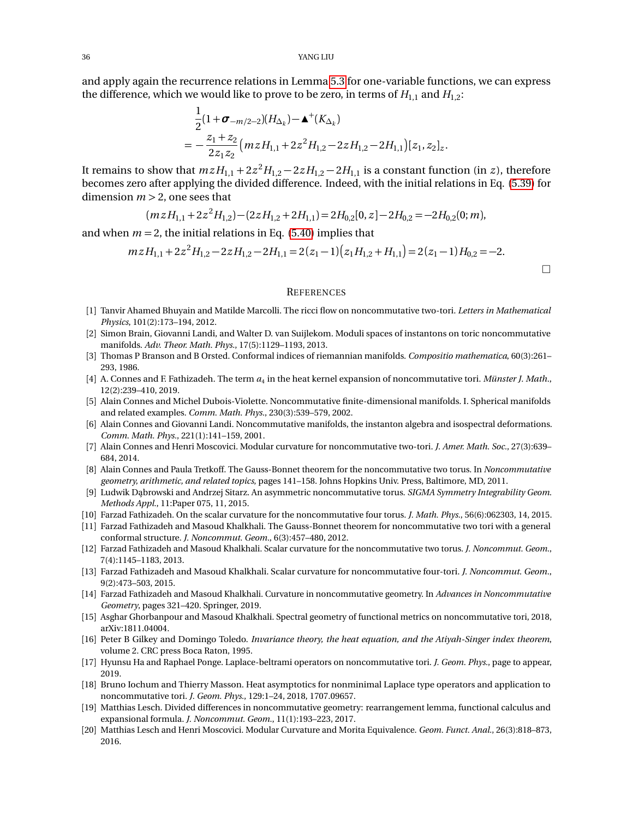and apply again the recurrence relations in Lemma [5.3](#page-31-7) for one-variable functions, we can express the difference, which we would like to prove to be zero, in terms of  $H_{1,1}$  and  $H_{1,2}$ :

$$
\frac{1}{2}(1+\sigma_{-m/2-2})(H_{\Delta_k})-\mathbf{A}^+(K_{\Delta_k})
$$
\n
$$
=-\frac{z_1+z_2}{2z_1z_2}(mzH_{1,1}+2z^2H_{1,2}-2zH_{1,2}-2H_{1,1})[z_1,z_2]_z.
$$

It remains to show that  $mzH_{1,1} + 2z^2H_{1,2} - 2zH_{1,2} - 2H_{1,1}$  is a constant function (in *z*), therefore becomes zero after applying the divided difference. Indeed, with the initial relations in Eq. [\(5.39\)](#page-34-3) for dimension  $m > 2$ , one sees that

$$
(mzH_{1,1} + 2z2H_{1,2}) - (2zH_{1,2} + 2H_{1,1}) = 2H_{0,2}[0, z] - 2H_{0,2} = -2H_{0,2}(0; m),
$$

and when  $m = 2$ , the initial relations in Eq. [\(5.40\)](#page-34-4) implies that

$$
m z H_{1,1} + 2 z^2 H_{1,2} - 2 z H_{1,2} - 2 H_{1,1} = 2(z_1 - 1)(z_1 H_{1,2} + H_{1,1}) = 2(z_1 - 1) H_{0,2} = -2.
$$

 $\Box$ 

#### <span id="page-35-0"></span>**REFERENCES**

- <span id="page-35-15"></span>[1] Tanvir Ahamed Bhuyain and Matilde Marcolli. The ricci flow on noncommutative two-tori. *Letters in Mathematical Physics*, 101(2):173–194, 2012.
- <span id="page-35-11"></span>[2] Simon Brain, Giovanni Landi, and Walter D. van Suijlekom. Moduli spaces of instantons on toric noncommutative manifolds. *Adv. Theor. Math. Phys.*, 17(5):1129–1193, 2013.
- <span id="page-35-19"></span>[3] Thomas P Branson and B Orsted. Conformal indices of riemannian manifolds. *Compositio mathematica*, 60(3):261– 293, 1986.
- <span id="page-35-7"></span>[4] A. Connes and F. Fathizadeh. The term  $a_4$  in the heat kernel expansion of noncommutative tori. *Münster J. Math.*, 12(2):239–410, 2019.
- <span id="page-35-10"></span>[5] Alain Connes and Michel Dubois-Violette. Noncommutative finite-dimensional manifolds. I. Spherical manifolds and related examples. *Comm. Math. Phys.*, 230(3):539–579, 2002.
- <span id="page-35-9"></span>[6] Alain Connes and Giovanni Landi. Noncommutative manifolds, the instanton algebra and isospectral deformations. *Comm. Math. Phys.*, 221(1):141–159, 2001.
- <span id="page-35-3"></span>[7] Alain Connes and Henri Moscovici. Modular curvature for noncommutative two-tori. *J. Amer. Math. Soc.*, 27(3):639– 684, 2014.
- <span id="page-35-1"></span>[8] Alain Connes and Paula Tretkoff. The Gauss-Bonnet theorem for the noncommutative two torus. In *Noncommutative geometry, arithmetic, and related topics*, pages 141–158. Johns Hopkins Univ. Press, Baltimore, MD, 2011.
- <span id="page-35-16"></span>[9] Ludwik Dąbrowski and Andrzej Sitarz. An asymmetric noncommutative torus. *SIGMA Symmetry Integrability Geom. Methods Appl.*, 11:Paper 075, 11, 2015.
- <span id="page-35-12"></span>[10] Farzad Fathizadeh. On the scalar curvature for the noncommutative four torus. *J. Math. Phys.*, 56(6):062303, 14, 2015.
- <span id="page-35-2"></span>[11] Farzad Fathizadeh and Masoud Khalkhali. The Gauss-Bonnet theorem for noncommutative two tori with a general conformal structure. *J. Noncommut. Geom.*, 6(3):457–480, 2012.
- <span id="page-35-5"></span>[12] Farzad Fathizadeh and Masoud Khalkhali. Scalar curvature for the noncommutative two torus. *J. Noncommut. Geom.*, 7(4):1145–1183, 2013.
- <span id="page-35-6"></span>[13] Farzad Fathizadeh and Masoud Khalkhali. Scalar curvature for noncommutative four-tori. *J. Noncommut. Geom.*, 9(2):473–503, 2015.
- <span id="page-35-20"></span>[14] Farzad Fathizadeh and Masoud Khalkhali. Curvature in noncommutative geometry. In *Advances in Noncommutative Geometry*, pages 321–420. Springer, 2019.
- <span id="page-35-17"></span>[15] Asghar Ghorbanpour and Masoud Khalkhali. Spectral geometry of functional metrics on noncommutative tori, 2018, arXiv:1811.04004.
- <span id="page-35-13"></span>[16] Peter B Gilkey and Domingo Toledo. *Invariance theory, the heat equation, and the Atiyah-Singer index theorem*, volume 2. CRC press Boca Raton, 1995.
- <span id="page-35-18"></span>[17] Hyunsu Ha and Raphael Ponge. Laplace-beltrami operators on noncommutative tori. *J. Geom. Phys.*, page to appear, 2019.
- <span id="page-35-14"></span>[18] Bruno Iochum and Thierry Masson. Heat asymptotics for nonminimal Laplace type operators and application to noncommutative tori. *J. Geom. Phys.*, 129:1–24, 2018, 1707.09657.
- <span id="page-35-8"></span>[19] Matthias Lesch. Divided differences in noncommutative geometry: rearrangement lemma, functional calculus and expansional formula. *J. Noncommut. Geom.*, 11(1):193–223, 2017.
- <span id="page-35-4"></span>[20] Matthias Lesch and Henri Moscovici. Modular Curvature and Morita Equivalence. *Geom. Funct. Anal.*, 26(3):818–873, 2016.